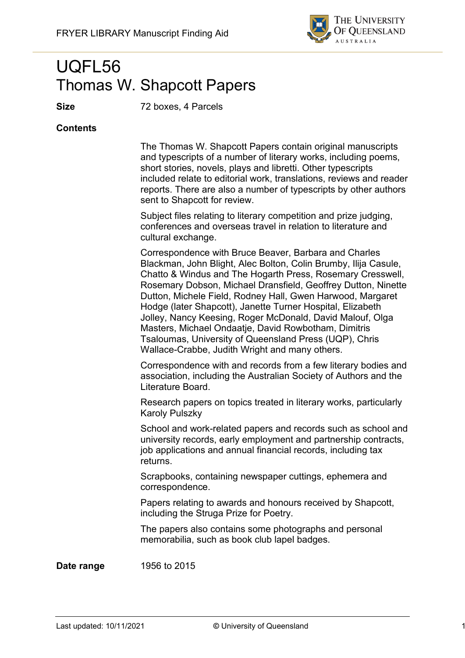

# UQFL56 Thomas W. Shapcott Papers

**Size** 72 boxes, 4 Parcels

#### **Contents**

The Thomas W. Shapcott Papers contain original manuscripts and typescripts of a number of literary works, including poems, short stories, novels, plays and libretti. Other typescripts included relate to editorial work, translations, reviews and reader reports. There are also a number of typescripts by other authors sent to Shapcott for review.

Subject files relating to literary competition and prize judging, conferences and overseas travel in relation to literature and cultural exchange.

Correspondence with Bruce Beaver, Barbara and Charles Blackman, John Blight, Alec Bolton, Colin Brumby, Ilija Casule, Chatto & Windus and The Hogarth Press, Rosemary Cresswell, Rosemary Dobson, Michael Dransfield, Geoffrey Dutton, Ninette Dutton, Michele Field, Rodney Hall, Gwen Harwood, Margaret Hodge (later Shapcott), Janette Turner Hospital, Elizabeth Jolley, Nancy Keesing, Roger McDonald, David Malouf, Olga Masters, Michael Ondaatje, David Rowbotham, Dimitris Tsaloumas, University of Queensland Press (UQP), Chris Wallace-Crabbe, Judith Wright and many others.

Correspondence with and records from a few literary bodies and association, including the Australian Society of Authors and the Literature Board.

Research papers on topics treated in literary works, particularly Karoly Pulszky

School and work-related papers and records such as school and university records, early employment and partnership contracts, job applications and annual financial records, including tax returns.

Scrapbooks, containing newspaper cuttings, ephemera and correspondence.

Papers relating to awards and honours received by Shapcott, including the Struga Prize for Poetry.

The papers also contains some photographs and personal memorabilia, such as book club lapel badges.

**Date range** 1956 to 2015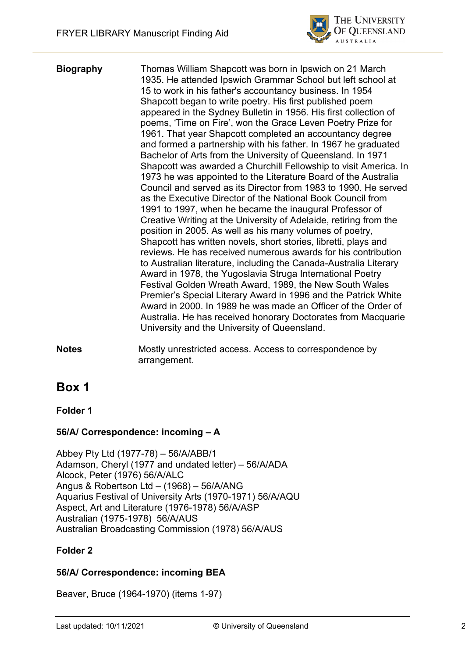

**Biography** Thomas William Shapcott was born in Ipswich on 21 March 1935. He attended Ipswich Grammar School but left school at 15 to work in his father's accountancy business. In 1954 Shapcott began to write poetry. His first published poem appeared in the Sydney Bulletin in 1956. His first collection of poems, 'Time on Fire', won the Grace Leven Poetry Prize for 1961. That year Shapcott completed an accountancy degree and formed a partnership with his father. In 1967 he graduated Bachelor of Arts from the University of Queensland. In 1971 Shapcott was awarded a Churchill Fellowship to visit America. In 1973 he was appointed to the Literature Board of the Australia Council and served as its Director from 1983 to 1990. He served as the Executive Director of the National Book Council from 1991 to 1997, when he became the inaugural Professor of Creative Writing at the University of Adelaide, retiring from the position in 2005. As well as his many volumes of poetry, Shapcott has written novels, short stories, libretti, plays and reviews. He has received numerous awards for his contribution to Australian literature, including the Canada-Australia Literary Award in 1978, the Yugoslavia Struga International Poetry Festival Golden Wreath Award, 1989, the New South Wales Premier's Special Literary Award in 1996 and the Patrick White Award in 2000. In 1989 he was made an Officer of the Order of Australia. He has received honorary Doctorates from Macquarie University and the University of Queensland.

**Notes** Mostly unrestricted access. Access to correspondence by arrangement.

# **Box 1**

**Folder 1**

#### **56/A/ Correspondence: incoming – A**

Abbey Pty Ltd (1977-78) – 56/A/ABB/1 Adamson, Cheryl (1977 and undated letter) – 56/A/ADA Alcock, Peter (1976) 56/A/ALC Angus & Robertson Ltd – (1968) – 56/A/ANG Aquarius Festival of University Arts (1970-1971) 56/A/AQU Aspect, Art and Literature (1976-1978) 56/A/ASP Australian (1975-1978) 56/A/AUS Australian Broadcasting Commission (1978) 56/A/AUS

#### **Folder 2**

## **56/A/ Correspondence: incoming BEA**

Beaver, Bruce (1964-1970) (items 1-97)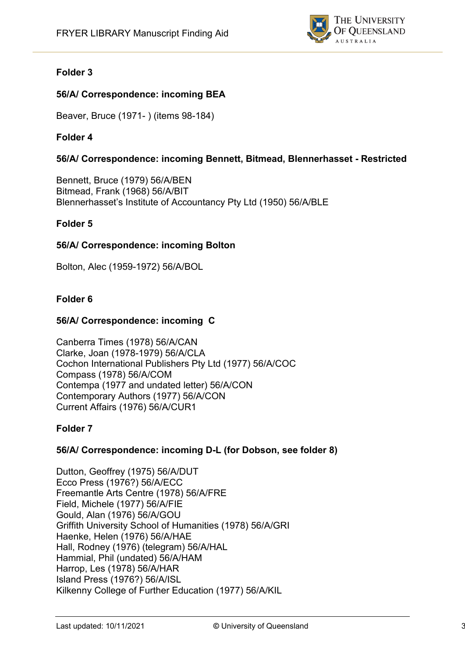

## **Folder 3**

## **56/A/ Correspondence: incoming BEA**

Beaver, Bruce (1971- ) (items 98-184)

### **Folder 4**

### **56/A/ Correspondence: incoming Bennett, Bitmead, Blennerhasset - Restricted**

Bennett, Bruce (1979) 56/A/BEN Bitmead, Frank (1968) 56/A/BIT Blennerhasset's Institute of Accountancy Pty Ltd (1950) 56/A/BLE

#### **Folder 5**

#### **56/A/ Correspondence: incoming Bolton**

Bolton, Alec (1959-1972) 56/A/BOL

#### **Folder 6**

#### **56/A/ Correspondence: incoming C**

Canberra Times (1978) 56/A/CAN Clarke, Joan (1978-1979) 56/A/CLA Cochon International Publishers Pty Ltd (1977) 56/A/COC Compass (1978) 56/A/COM Contempa (1977 and undated letter) 56/A/CON Contemporary Authors (1977) 56/A/CON Current Affairs (1976) 56/A/CUR1

#### **Folder 7**

#### **56/A/ Correspondence: incoming D-L (for Dobson, see folder 8)**

Dutton, Geoffrey (1975) 56/A/DUT Ecco Press (1976?) 56/A/ECC Freemantle Arts Centre (1978) 56/A/FRE Field, Michele (1977) 56/A/FIE Gould, Alan (1976) 56/A/GOU Griffith University School of Humanities (1978) 56/A/GRI Haenke, Helen (1976) 56/A/HAE Hall, Rodney (1976) (telegram) 56/A/HAL Hammial, Phil (undated) 56/A/HAM Harrop, Les (1978) 56/A/HAR Island Press (1976?) 56/A/ISL Kilkenny College of Further Education (1977) 56/A/KIL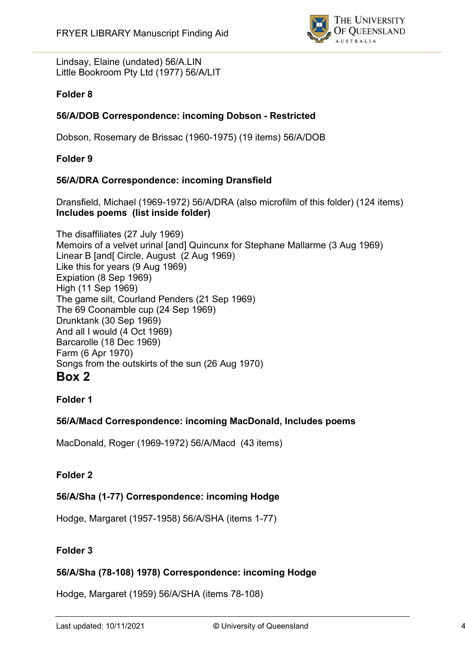

Lindsay, Elaine (undated) 56/A.LIN Little Bookroom Pty Ltd (1977) 56/A/LIT

#### **Folder 8**

#### **56/A/DOB Correspondence: incoming Dobson - Restricted**

Dobson, Rosemary de Brissac (1960-1975) (19 items) 56/A/DOB

**Folder 9**

#### **56/A/DRA Correspondence: incoming Dransfield**

Dransfield, Michael (1969-1972) 56/A/DRA (also microfilm of this folder) (124 items) **Includes poems (list inside folder)**

The disaffiliates (27 July 1969) Memoirs of a velvet urinal [and] Quincunx for Stephane Mallarme (3 Aug 1969) Linear B [and[ Circle, August (2 Aug 1969) Like this for years (9 Aug 1969) Expiation (8 Sep 1969) High (11 Sep 1969) The game silt, Courland Penders (21 Sep 1969) The 69 Coonamble cup (24 Sep 1969) Drunktank (30 Sep 1969) And all I would (4 Oct 1969) Barcarolle (18 Dec 1969) Farm (6 Apr 1970) Songs from the outskirts of the sun (26 Aug 1970) **Box 2**

# **Folder 1**

#### **56/A/Macd Correspondence: incoming MacDonald, Includes poems**

MacDonald, Roger (1969-1972) 56/A/Macd (43 items)

#### **Folder 2**

#### **56/A/Sha (1-77) Correspondence: incoming Hodge**

Hodge, Margaret (1957-1958) 56/A/SHA (items 1-77)

#### **Folder 3**

#### **56/A/Sha (78-108) 1978) Correspondence: incoming Hodge**

Hodge, Margaret (1959) 56/A/SHA (items 78-108)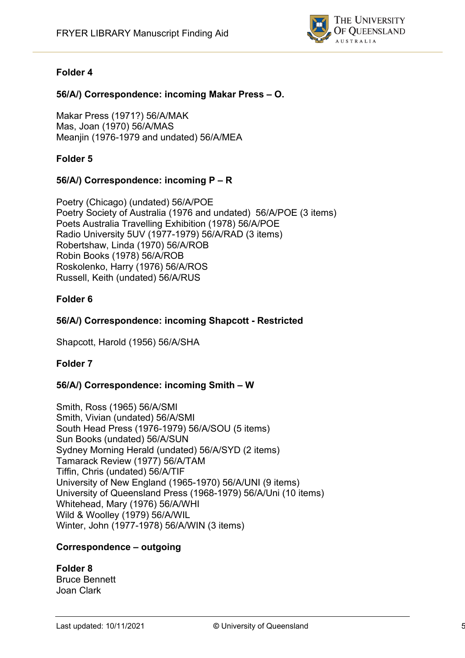

### **Folder 4**

### **56/A/) Correspondence: incoming Makar Press – O.**

Makar Press (1971?) 56/A/MAK Mas, Joan (1970) 56/A/MAS Meanjin (1976-1979 and undated) 56/A/MEA

### **Folder 5**

#### **56/A/) Correspondence: incoming P – R**

Poetry (Chicago) (undated) 56/A/POE Poetry Society of Australia (1976 and undated) 56/A/POE (3 items) Poets Australia Travelling Exhibition (1978) 56/A/POE Radio University 5UV (1977-1979) 56/A/RAD (3 items) Robertshaw, Linda (1970) 56/A/ROB Robin Books (1978) 56/A/ROB Roskolenko, Harry (1976) 56/A/ROS Russell, Keith (undated) 56/A/RUS

#### **Folder 6**

#### **56/A/) Correspondence: incoming Shapcott - Restricted**

Shapcott, Harold (1956) 56/A/SHA

#### **Folder 7**

#### **56/A/) Correspondence: incoming Smith – W**

Smith, Ross (1965) 56/A/SMI Smith, Vivian (undated) 56/A/SMI South Head Press (1976-1979) 56/A/SOU (5 items) Sun Books (undated) 56/A/SUN Sydney Morning Herald (undated) 56/A/SYD (2 items) Tamarack Review (1977) 56/A/TAM Tiffin, Chris (undated) 56/A/TIF University of New England (1965-1970) 56/A/UNI (9 items) University of Queensland Press (1968-1979) 56/A/Uni (10 items) Whitehead, Mary (1976) 56/A/WHI Wild & Woolley (1979) 56/A/WIL Winter, John (1977-1978) 56/A/WIN (3 items)

#### **Correspondence – outgoing**

#### **Folder 8** Bruce Bennett Joan Clark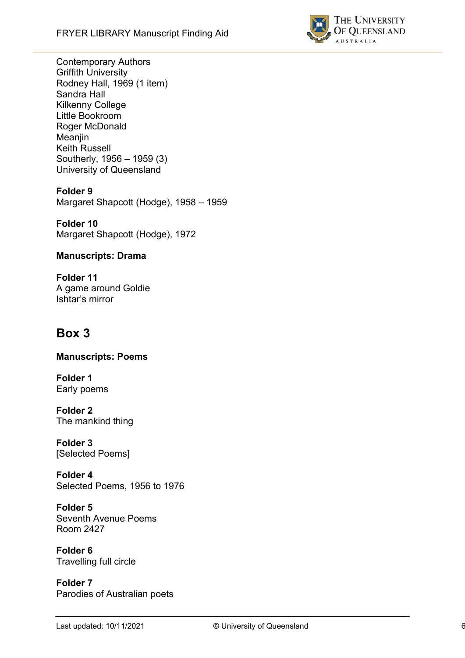

Contemporary Authors Griffith University Rodney Hall, 1969 (1 item) Sandra Hall Kilkenny College Little Bookroom Roger McDonald Meanjin Keith Russell Southerly, 1956 – 1959 (3) University of Queensland

## **Folder 9**

Margaret Shapcott (Hodge), 1958 – 1959

**Folder 10** Margaret Shapcott (Hodge), 1972

### **Manuscripts: Drama**

**Folder 11** A game around Goldie Ishtar's mirror

# **Box 3**

**Manuscripts: Poems**

**Folder 1** Early poems

**Folder 2** The mankind thing

**Folder 3** [Selected Poems]

**Folder 4** Selected Poems, 1956 to 1976

**Folder 5** Seventh Avenue Poems Room 2427

**Folder 6** Travelling full circle

**Folder 7** Parodies of Australian poets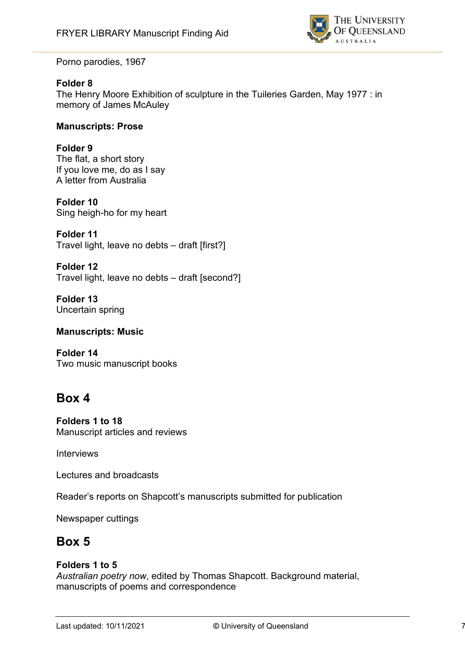

Porno parodies, 1967

#### **Folder 8**

The Henry Moore Exhibition of sculpture in the Tuileries Garden, May 1977 : in memory of James McAuley

#### **Manuscripts: Prose**

#### **Folder 9**

The flat, a short story If you love me, do as I say A letter from Australia

**Folder 10** Sing heigh-ho for my heart

**Folder 11** Travel light, leave no debts – draft [first?]

**Folder 12** Travel light, leave no debts – draft [second?]

**Folder 13** Uncertain spring

#### **Manuscripts: Music**

**Folder 14** Two music manuscript books

# **Box 4**

**Folders 1 to 18** Manuscript articles and reviews

Interviews

Lectures and broadcasts

Reader's reports on Shapcott's manuscripts submitted for publication

Newspaper cuttings

# **Box 5**

#### **Folders 1 to 5**

*Australian poetry now*, edited by Thomas Shapcott. Background material, manuscripts of poems and correspondence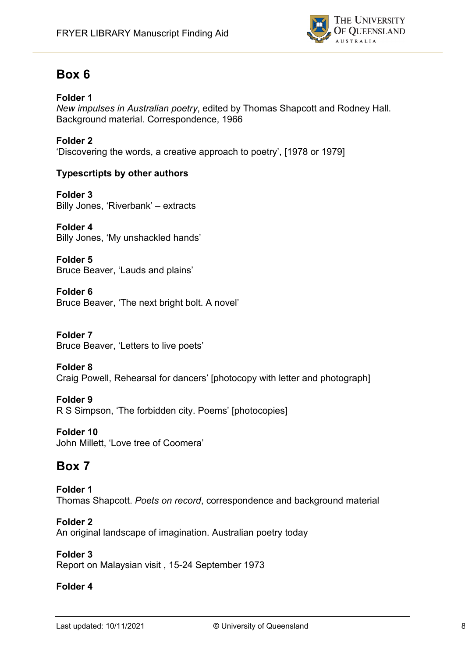

# **Box 6**

## **Folder 1**

*New impulses in Australian poetry*, edited by Thomas Shapcott and Rodney Hall. Background material. Correspondence, 1966

## **Folder 2**

'Discovering the words, a creative approach to poetry', [1978 or 1979]

## **Typescrtipts by other authors**

**Folder 3** Billy Jones, 'Riverbank' – extracts

**Folder 4** Billy Jones, 'My unshackled hands'

**Folder 5** Bruce Beaver, 'Lauds and plains'

**Folder 6** Bruce Beaver, 'The next bright bolt. A novel'

**Folder 7** Bruce Beaver, 'Letters to live poets'

#### **Folder 8** Craig Powell, Rehearsal for dancers' [photocopy with letter and photograph]

**Folder 9** R S Simpson, 'The forbidden city. Poems' [photocopies]

**Folder 10** John Millett, 'Love tree of Coomera'

# **Box 7**

**Folder 1** Thomas Shapcott. *Poets on record*, correspondence and background material

**Folder 2** An original landscape of imagination. Australian poetry today

#### **Folder 3** Report on Malaysian visit , 15-24 September 1973

### **Folder 4**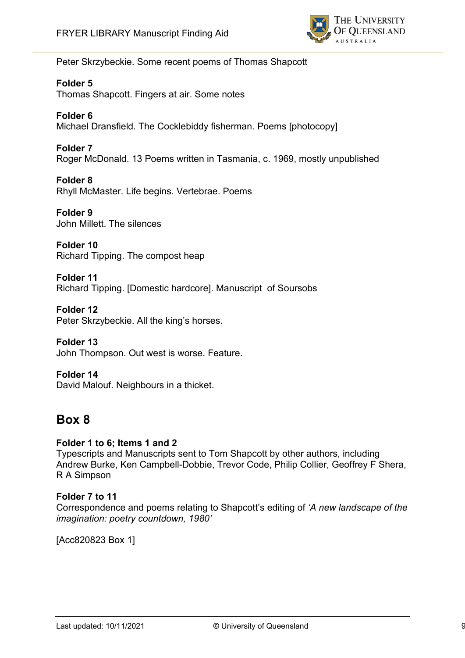

Peter Skrzybeckie. Some recent poems of Thomas Shapcott

#### **Folder 5**

Thomas Shapcott. Fingers at air. Some notes

#### **Folder 6**

Michael Dransfield. The Cocklebiddy fisherman. Poems [photocopy]

#### **Folder 7**

Roger McDonald. 13 Poems written in Tasmania, c. 1969, mostly unpublished

#### **Folder 8**

Rhyll McMaster. Life begins. Vertebrae. Poems

**Folder 9** John Millett. The silences

**Folder 10** Richard Tipping. The compost heap

**Folder 11** Richard Tipping. [Domestic hardcore]. Manuscript of Soursobs

**Folder 12** Peter Skrzybeckie. All the king's horses.

**Folder 13** John Thompson. Out west is worse. Feature.

#### **Folder 14**  David Malouf. Neighbours in a thicket.

# **Box 8**

#### **Folder 1 to 6; Items 1 and 2**

Typescripts and Manuscripts sent to Tom Shapcott by other authors, including Andrew Burke, Ken Campbell-Dobbie, Trevor Code, Philip Collier, Geoffrey F Shera, R A Simpson

#### **Folder 7 to 11**

Correspondence and poems relating to Shapcott's editing of *'A new landscape of the imagination: poetry countdown, 1980'*

[Acc820823 Box 1]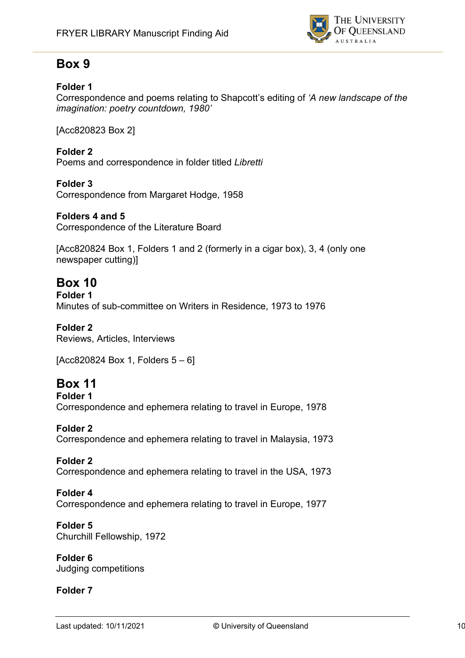

# **Box 9**

### **Folder 1**

Correspondence and poems relating to Shapcott's editing of *'A new landscape of the imagination: poetry countdown, 1980'*

[Acc820823 Box 2]

## **Folder 2**

Poems and correspondence in folder titled *Libretti*

#### **Folder 3**

Correspondence from Margaret Hodge, 1958

### **Folders 4 and 5**

Correspondence of the Literature Board

[Acc820824 Box 1, Folders 1 and 2 (formerly in a cigar box), 3, 4 (only one newspaper cutting)]

# **Box 10**

**Folder 1** Minutes of sub-committee on Writers in Residence, 1973 to 1976

## **Folder 2**

Reviews, Articles, Interviews

 $[Acc820824 Box 1, Folds 5 - 6]$ 

# **Box 11**

**Folder 1** Correspondence and ephemera relating to travel in Europe, 1978

**Folder 2** Correspondence and ephemera relating to travel in Malaysia, 1973

#### **Folder 2** Correspondence and ephemera relating to travel in the USA, 1973

#### **Folder 4** Correspondence and ephemera relating to travel in Europe, 1977

**Folder 5** Churchill Fellowship, 1972

**Folder 6** Judging competitions

## **Folder 7**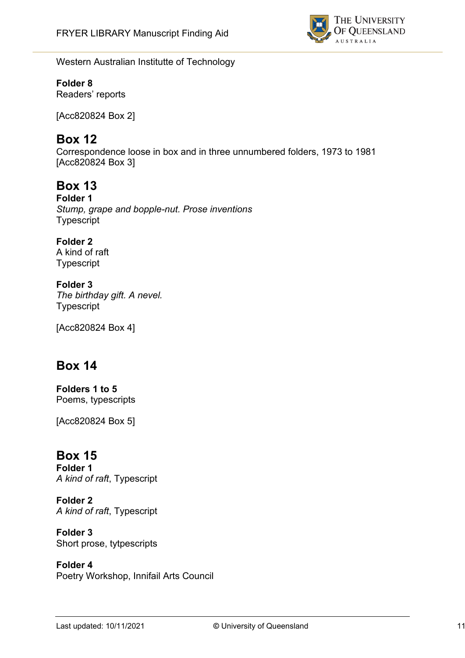

Western Australian Institutte of Technology

# **Folder 8**

Readers' reports

[Acc820824 Box 2]

# **Box 12**

Correspondence loose in box and in three unnumbered folders, 1973 to 1981 [Acc820824 Box 3]

# **Box 13**

**Folder 1** *Stump, grape and bopple-nut. Prose inventions* Typescript

### **Folder 2**

A kind of raft Typescript

**Folder 3** *The birthday gift. A nevel.* Typescript

[Acc820824 Box 4]

# **Box 14**

**Folders 1 to 5** Poems, typescripts

[Acc820824 Box 5]

# **Box 15**

**Folder 1** *A kind of raft*, Typescript

**Folder 2** *A kind of raft*, Typescript

**Folder 3** Short prose, tytpescripts

**Folder 4** Poetry Workshop, Innifail Arts Council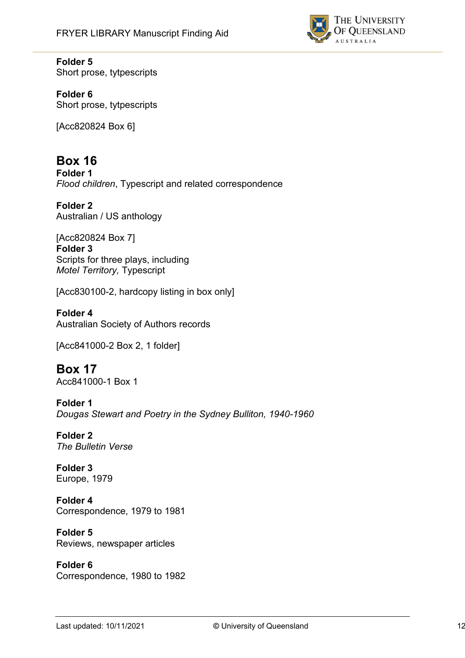

## **Folder 5**

Short prose, tytpescripts

### **Folder 6**

Short prose, tytpescripts

[Acc820824 Box 6]

# **Box 16**

**Folder 1** *Flood children*, Typescript and related correspondence

**Folder 2** Australian / US anthology

[Acc820824 Box 7] **Folder 3** Scripts for three plays, including *Motel Territory,* Typescript

[Acc830100-2, hardcopy listing in box only]

#### **Folder 4** Australian Society of Authors records

[Acc841000-2 Box 2, 1 folder]

# **Box 17**

Acc841000-1 Box 1

#### **Folder 1**

*Dougas Stewart and Poetry in the Sydney Bulliton, 1940-1960*

#### **Folder 2** *The Bulletin Verse*

**Folder 3** Europe, 1979

#### **Folder 4** Correspondence, 1979 to 1981

**Folder 5** Reviews, newspaper articles

#### **Folder 6** Correspondence, 1980 to 1982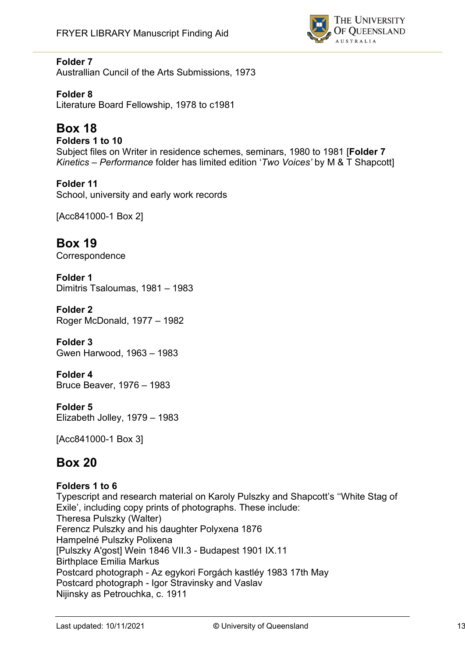

## **Folder 7**

Australlian Cuncil of the Arts Submissions, 1973

**Folder 8** Literature Board Fellowship, 1978 to c1981

# **Box 18**

#### **Folders 1 to 10** Subject files on Writer in residence schemes, seminars, 1980 to 1981 [**Folder 7**  *Kinetics – Performance* folder has limited edition '*Two Voices'* by M & T Shapcott]

**Folder 11** School, university and early work records

[Acc841000-1 Box 2]

**Box 19 Correspondence** 

**Folder 1** Dimitris Tsaloumas, 1981 – 1983

**Folder 2** Roger McDonald, 1977 – 1982

**Folder 3** Gwen Harwood, 1963 – 1983

**Folder 4** Bruce Beaver, 1976 – 1983

**Folder 5** Elizabeth Jolley, 1979 – 1983

[Acc841000-1 Box 3]

# **Box 20**

#### **Folders 1 to 6**

Typescript and research material on Karoly Pulszky and Shapcott's ''White Stag of Exile', including copy prints of photographs. These include: Theresa Pulszky (Walter) Ferencz Pulszky and his daughter Polyxena 1876 Hampelné Pulszky Polixena [Pulszky A'gost] Wein 1846 VII.3 - Budapest 1901 IX.11 Birthplace Emilia Markus Postcard photograph - Az egykori Forgách kastléy 1983 17th May Postcard photograph - Igor Stravinsky and Vaslav Nijinsky as Petrouchka, c. 1911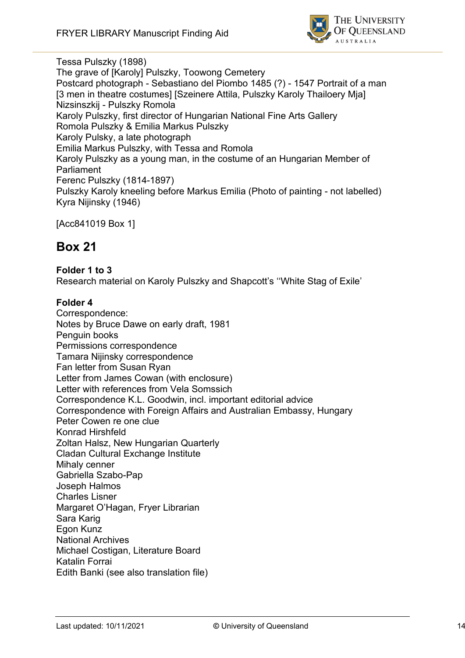

Tessa Pulszky (1898) The grave of [Karoly] Pulszky, Toowong Cemetery Postcard photograph - Sebastiano del Piombo 1485 (?) - 1547 Portrait of a man [3 men in theatre costumes] [Szeinere Attila, Pulszky Karoly Thailoery Mia] Nizsinszkij - Pulszky Romola Karoly Pulszky, first director of Hungarian National Fine Arts Gallery Romola Pulszky & Emilia Markus Pulszky Karoly Pulsky, a late photograph Emilia Markus Pulszky, with Tessa and Romola Karoly Pulszky as a young man, in the costume of an Hungarian Member of Parliament Ferenc Pulszky (1814-1897) Pulszky Karoly kneeling before Markus Emilia (Photo of painting - not labelled) Kyra Nijinsky (1946)

[Acc841019 Box 1]

# **Box 21**

### **Folder 1 to 3**

Research material on Karoly Pulszky and Shapcott's ''White Stag of Exile'

#### **Folder 4**

Correspondence: Notes by Bruce Dawe on early draft, 1981 Penguin books Permissions correspondence Tamara Nijinsky correspondence Fan letter from Susan Ryan Letter from James Cowan (with enclosure) Letter with references from Vela Somssich Correspondence K.L. Goodwin, incl. important editorial advice Correspondence with Foreign Affairs and Australian Embassy, Hungary Peter Cowen re one clue Konrad Hirshfeld Zoltan Halsz, New Hungarian Quarterly Cladan Cultural Exchange Institute Mihaly cenner Gabriella Szabo-Pap Joseph Halmos Charles Lisner Margaret O'Hagan, Fryer Librarian Sara Karig Egon Kunz National Archives Michael Costigan, Literature Board Katalin Forrai Edith Banki (see also translation file)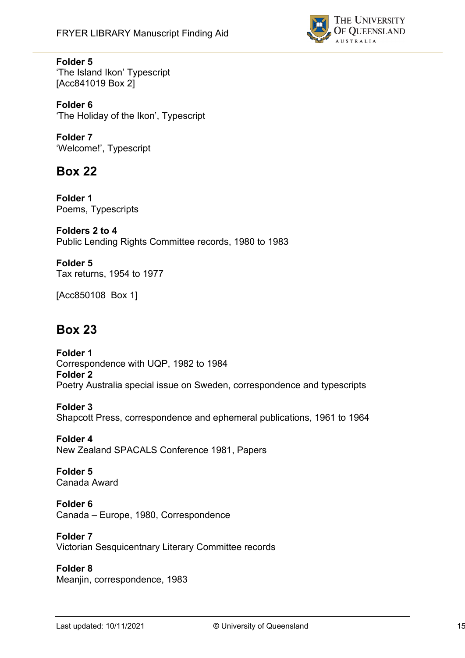

### **Folder 5**

'The Island Ikon' Typescript [Acc841019 Box 2]

**Folder 6** 'The Holiday of the Ikon', Typescript

**Folder 7** 'Welcome!', Typescript

# **Box 22**

**Folder 1** Poems, Typescripts

**Folders 2 to 4** Public Lending Rights Committee records, 1980 to 1983

**Folder 5** Tax returns, 1954 to 1977

[Acc850108 Box 1]

# **Box 23**

**Folder 1** Correspondence with UQP, 1982 to 1984 **Folder 2** Poetry Australia special issue on Sweden, correspondence and typescripts

#### **Folder 3**

Shapcott Press, correspondence and ephemeral publications, 1961 to 1964

**Folder 4** New Zealand SPACALS Conference 1981, Papers

**Folder 5** Canada Award

# **Folder 6**

Canada – Europe, 1980, Correspondence

**Folder 7**

Victorian Sesquicentnary Literary Committee records

#### **Folder 8**

Meanjin, correspondence, 1983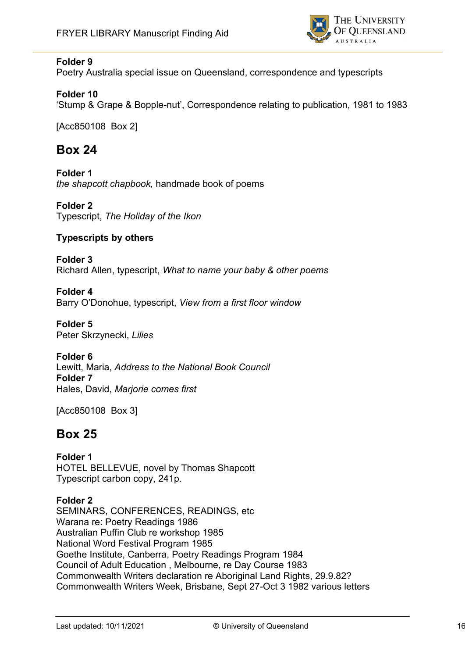

## **Folder 9**

Poetry Australia special issue on Queensland, correspondence and typescripts

### **Folder 10**

'Stump & Grape & Bopple-nut', Correspondence relating to publication, 1981 to 1983

[Acc850108 Box 2]

# **Box 24**

**Folder 1** *the shapcott chapbook,* handmade book of poems

**Folder 2** Typescript, *The Holiday of the Ikon*

## **Typescripts by others**

**Folder 3** Richard Allen, typescript, *What to name your baby & other poems*

**Folder 4** Barry O'Donohue, typescript, *View from a first floor window*

**Folder 5** Peter Skrzynecki, *Lilies*

#### **Folder 6**

Lewitt, Maria, *Address to the National Book Council* **Folder 7** Hales, David, *Marjorie comes first*

[Acc850108 Box 3]

# **Box 25**

**Folder 1** HOTEL BELLEVUE, novel by Thomas Shapcott Typescript carbon copy, 241p.

#### **Folder 2**

SEMINARS, CONFERENCES, READINGS, etc Warana re: Poetry Readings 1986 Australian Puffin Club re workshop 1985 National Word Festival Program 1985 Goethe Institute, Canberra, Poetry Readings Program 1984 Council of Adult Education , Melbourne, re Day Course 1983 Commonwealth Writers declaration re Aboriginal Land Rights, 29.9.82? Commonwealth Writers Week, Brisbane, Sept 27-Oct 3 1982 various letters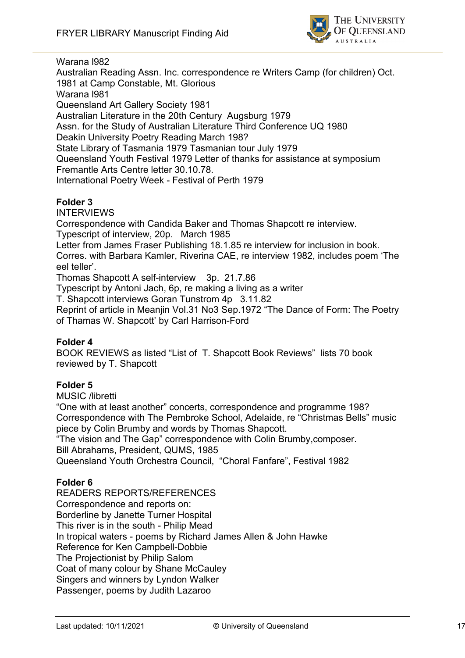

Warana l982

Australian Reading Assn. Inc. correspondence re Writers Camp (for children) Oct. 1981 at Camp Constable, Mt. Glorious Warana l981 Queensland Art Gallery Society 1981 Australian Literature in the 20th Century Augsburg 1979 Assn. for the Study of Australian Literature Third Conference UQ 1980 Deakin University Poetry Reading March 198? State Library of Tasmania 1979 Tasmanian tour July 1979 Queensland Youth Festival 1979 Letter of thanks for assistance at symposium Fremantle Arts Centre letter 30.10.78. International Poetry Week - Festival of Perth 1979

### **Folder 3**

INTERVIEWS

Correspondence with Candida Baker and Thomas Shapcott re interview. Typescript of interview, 20p. March 1985

Letter from James Fraser Publishing 18.1.85 re interview for inclusion in book. Corres. with Barbara Kamler, Riverina CAE, re interview 1982, includes poem 'The eel teller'.

Thomas Shapcott A self-interview 3p. 21.7.86

Typescript by Antoni Jach, 6p, re making a living as a writer

T. Shapcott interviews Goran Tunstrom 4p 3.11.82

Reprint of article in Meanjin Vol.31 No3 Sep.1972 "The Dance of Form: The Poetry of Thamas W. Shapcott' by Carl Harrison-Ford

#### **Folder 4**

BOOK REVIEWS as listed "List of T. Shapcott Book Reviews" lists 70 book reviewed by T. Shapcott

#### **Folder 5**

MUSIC /libretti

"One with at least another" concerts, correspondence and programme 198? Correspondence with The Pembroke School, Adelaide, re "Christmas Bells" music piece by Colin Brumby and words by Thomas Shapcott.

"The vision and The Gap" correspondence with Colin Brumby,composer. Bill Abrahams, President, QUMS, 1985

Queensland Youth Orchestra Council, "Choral Fanfare", Festival 1982

#### **Folder 6**

READERS REPORTS/REFERENCES Correspondence and reports on: Borderline by Janette Turner Hospital This river is in the south - Philip Mead In tropical waters - poems by Richard James Allen & John Hawke Reference for Ken Campbell-Dobbie The Projectionist by Philip Salom Coat of many colour by Shane McCauley Singers and winners by Lyndon Walker Passenger, poems by Judith Lazaroo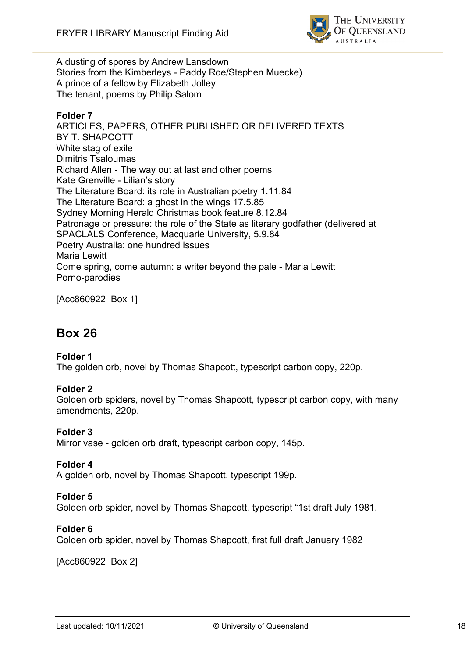

A dusting of spores by Andrew Lansdown Stories from the Kimberleys - Paddy Roe/Stephen Muecke) A prince of a fellow by Elizabeth Jolley The tenant, poems by Philip Salom

### **Folder 7**

ARTICLES, PAPERS, OTHER PUBLISHED OR DELIVERED TEXTS BY T. SHAPCOTT White stag of exile Dimitris Tsaloumas Richard Allen - The way out at last and other poems Kate Grenville - Lilian's story The Literature Board: its role in Australian poetry 1.11.84 The Literature Board: a ghost in the wings 17.5.85 Sydney Morning Herald Christmas book feature 8.12.84 Patronage or pressure: the role of the State as literary godfather (delivered at SPACLALS Conference, Macquarie University, 5.9.84 Poetry Australia: one hundred issues Maria Lewitt Come spring, come autumn: a writer beyond the pale - Maria Lewitt Porno-parodies

[Acc860922 Box 1]

# **Box 26**

#### **Folder 1**

The golden orb, novel by Thomas Shapcott, typescript carbon copy, 220p.

#### **Folder 2**

Golden orb spiders, novel by Thomas Shapcott, typescript carbon copy, with many amendments, 220p.

#### **Folder 3**

Mirror vase - golden orb draft, typescript carbon copy, 145p.

#### **Folder 4**

A golden orb, novel by Thomas Shapcott, typescript 199p.

### **Folder 5**

Golden orb spider, novel by Thomas Shapcott, typescript "1st draft July 1981.

#### **Folder 6**

Golden orb spider, novel by Thomas Shapcott, first full draft January 1982

[Acc860922 Box 2]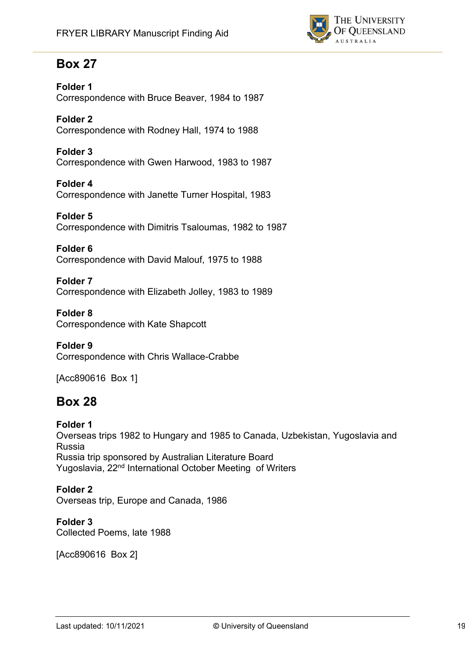

# **Box 27**

**Folder 1** Correspondence with Bruce Beaver, 1984 to 1987

**Folder 2** Correspondence with Rodney Hall, 1974 to 1988

**Folder 3** Correspondence with Gwen Harwood, 1983 to 1987

**Folder 4** Correspondence with Janette Turner Hospital, 1983

**Folder 5** Correspondence with Dimitris Tsaloumas, 1982 to 1987

**Folder 6** Correspondence with David Malouf, 1975 to 1988

**Folder 7** Correspondence with Elizabeth Jolley, 1983 to 1989

**Folder 8** Correspondence with Kate Shapcott

**Folder 9** Correspondence with Chris Wallace-Crabbe

[Acc890616 Box 1]

# **Box 28**

**Folder 1**  Overseas trips 1982 to Hungary and 1985 to Canada, Uzbekistan, Yugoslavia and Russia Russia trip sponsored by Australian Literature Board Yugoslavia, 22nd International October Meeting of Writers

**Folder 2** Overseas trip, Europe and Canada, 1986

**Folder 3** Collected Poems, late 1988

[Acc890616 Box 2]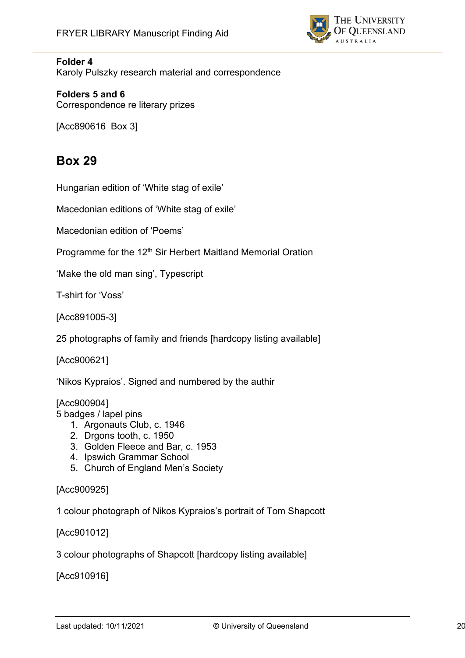

#### **Folder 4**

Karoly Pulszky research material and correspondence

**Folders 5 and 6** Correspondence re literary prizes

[Acc890616 Box 3]

# **Box 29**

Hungarian edition of 'White stag of exile'

Macedonian editions of 'White stag of exile'

Macedonian edition of 'Poems'

Programme for the 12<sup>th</sup> Sir Herbert Maitland Memorial Oration

'Make the old man sing', Typescript

T-shirt for 'Voss'

[Acc891005-3]

25 photographs of family and friends [hardcopy listing available]

[Acc900621]

'Nikos Kypraios'. Signed and numbered by the authir

[Acc900904]

5 badges / lapel pins

- 1. Argonauts Club, c. 1946
- 2. Drgons tooth, c. 1950
- 3. Golden Fleece and Bar, c. 1953
- 4. Ipswich Grammar School
- 5. Church of England Men's Society

#### [Acc900925]

1 colour photograph of Nikos Kypraios's portrait of Tom Shapcott

[Acc901012]

3 colour photographs of Shapcott [hardcopy listing available]

[Acc910916]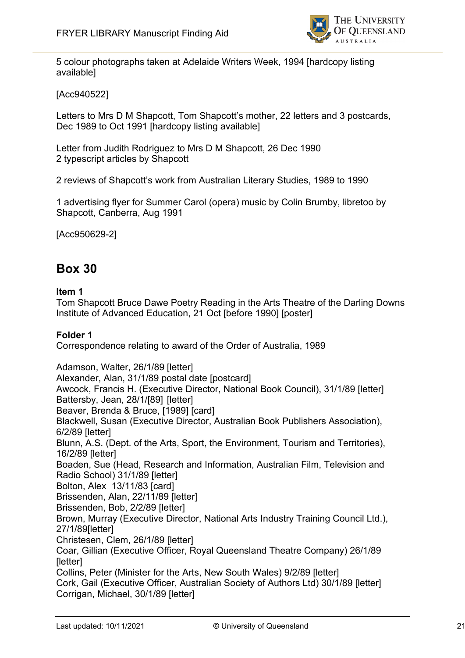

5 colour photographs taken at Adelaide Writers Week, 1994 [hardcopy listing available]

## [Acc940522]

Letters to Mrs D M Shapcott, Tom Shapcott's mother, 22 letters and 3 postcards, Dec 1989 to Oct 1991 [hardcopy listing available]

Letter from Judith Rodriguez to Mrs D M Shapcott, 26 Dec 1990 2 typescript articles by Shapcott

2 reviews of Shapcott's work from Australian Literary Studies, 1989 to 1990

1 advertising flyer for Summer Carol (opera) music by Colin Brumby, libretoo by Shapcott, Canberra, Aug 1991

[Acc950629-2]

# **Box 30**

#### **Item 1**

Tom Shapcott Bruce Dawe Poetry Reading in the Arts Theatre of the Darling Downs Institute of Advanced Education, 21 Oct [before 1990] [poster]

#### **Folder 1**

Correspondence relating to award of the Order of Australia, 1989

Adamson, Walter, 26/1/89 [letter] Alexander, Alan, 31/1/89 postal date [postcard] Awcock, Francis H. (Executive Director, National Book Council), 31/1/89 [letter] Battersby, Jean, 28/1/[89] [letter] Beaver, Brenda & Bruce, [1989] [card] Blackwell, Susan (Executive Director, Australian Book Publishers Association), 6/2/89 [letter] Blunn, A.S. (Dept. of the Arts, Sport, the Environment, Tourism and Territories), 16/2/89 [letter] Boaden, Sue (Head, Research and Information, Australian Film, Television and Radio School) 31/1/89 [letter] Bolton, Alex 13/11/83 [card] Brissenden, Alan, 22/11/89 [letter] Brissenden, Bob, 2/2/89 [letter] Brown, Murray (Executive Director, National Arts Industry Training Council Ltd.), 27/1/89[letter] Christesen, Clem, 26/1/89 [letter] Coar, Gillian (Executive Officer, Royal Queensland Theatre Company) 26/1/89 [letter] Collins, Peter (Minister for the Arts, New South Wales) 9/2/89 [letter] Cork, Gail (Executive Officer, Australian Society of Authors Ltd) 30/1/89 [letter] Corrigan, Michael, 30/1/89 [letter]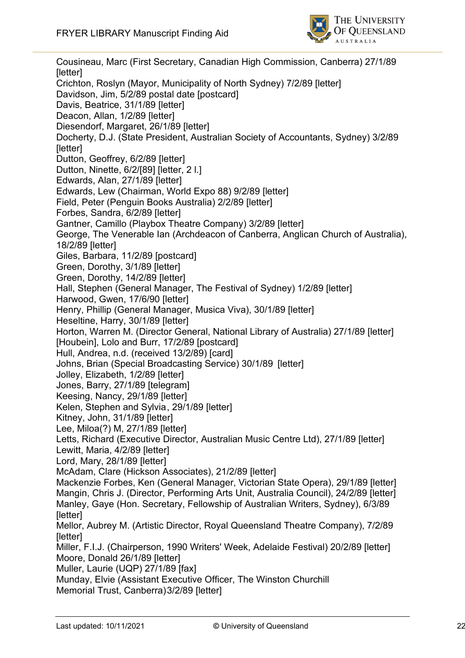

Cousineau, Marc (First Secretary, Canadian High Commission, Canberra) 27/1/89 [letter] Crichton, Roslyn (Mayor, Municipality of North Sydney) 7/2/89 [letter] Davidson, Jim, 5/2/89 postal date [postcard] Davis, Beatrice, 31/1/89 [letter] Deacon, Allan, 1/2/89 [letter] Diesendorf, Margaret, 26/1/89 [letter] Docherty, D.J. (State President, Australian Society of Accountants, Sydney) 3/2/89 [letter] Dutton, Geoffrey, 6/2/89 [letter] Dutton, Ninette, 6/2/[89] [letter, 2 l.] Edwards, Alan, 27/1/89 [letter] Edwards, Lew (Chairman, World Expo 88) 9/2/89 [letter] Field, Peter (Penguin Books Australia) 2/2/89 [letter] Forbes, Sandra, 6/2/89 [letter] Gantner, Camillo (Playbox Theatre Company) 3/2/89 [letter] George, The Venerable Ian (Archdeacon of Canberra, Anglican Church of Australia), 18/2/89 [letter] Giles, Barbara, 11/2/89 [postcard] Green, Dorothy, 3/1/89 [letter] Green, Dorothy, 14/2/89 [letter] Hall, Stephen (General Manager, The Festival of Sydney) 1/2/89 [letter] Harwood, Gwen, 17/6/90 [letter] Henry, Phillip (General Manager, Musica Viva), 30/1/89 [letter] Heseltine, Harry, 30/1/89 [letter] Horton, Warren M. (Director General, National Library of Australia) 27/1/89 [letter] [Houbein], Lolo and Burr, 17/2/89 [postcard] Hull, Andrea, n.d. (received 13/2/89) [card] Johns, Brian (Special Broadcasting Service) 30/1/89 [letter] Jolley, Elizabeth, 1/2/89 [letter] Jones, Barry, 27/1/89 [telegram] Keesing, Nancy, 29/1/89 [letter] Kelen, Stephen and Sylvia, 29/1/89 [letter] Kitney, John, 31/1/89 [letter] Lee, Miloa(?) M, 27/1/89 [letter] Letts, Richard (Executive Director, Australian Music Centre Ltd), 27/1/89 [letter] Lewitt, Maria, 4/2/89 [letter] Lord, Mary, 28/1/89 [letter] McAdam, Clare (Hickson Associates), 21/2/89 [letter] Mackenzie Forbes, Ken (General Manager, Victorian State Opera), 29/1/89 [letter] Mangin, Chris J. (Director, Performing Arts Unit, Australia Council), 24/2/89 [letter] Manley, Gaye (Hon. Secretary, Fellowship of Australian Writers, Sydney), 6/3/89 [letter] Mellor, Aubrey M. (Artistic Director, Royal Queensland Theatre Company), 7/2/89 [letter] Miller, F.I.J. (Chairperson, 1990 Writers' Week, Adelaide Festival) 20/2/89 [letter] Moore, Donald 26/1/89 [letter] Muller, Laurie (UQP) 27/1/89 [fax] Munday, Elvie (Assistant Executive Officer, The Winston Churchill Memorial Trust, Canberra)3/2/89 [letter]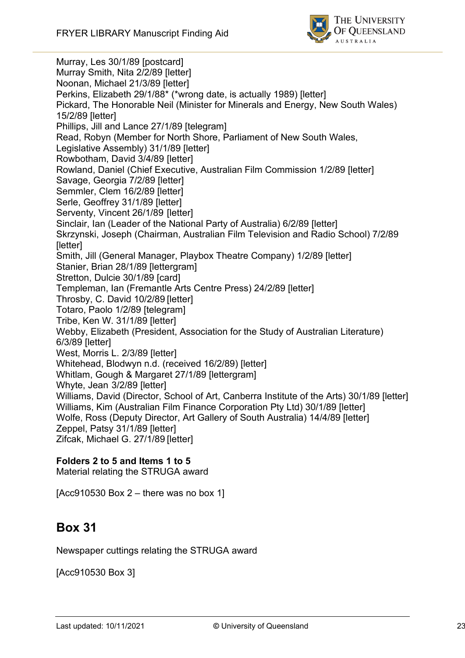

Murray, Les 30/1/89 [postcard] Murray Smith, Nita 2/2/89 [letter] Noonan, Michael 21/3/89 [letter] Perkins, Elizabeth 29/1/88\* (\*wrong date, is actually 1989) [letter] Pickard, The Honorable Neil (Minister for Minerals and Energy, New South Wales) 15/2/89 [letter] Phillips, Jill and Lance 27/1/89 [telegram] Read, Robyn (Member for North Shore, Parliament of New South Wales, Legislative Assembly) 31/1/89 [letter] Rowbotham, David 3/4/89 [letter] Rowland, Daniel (Chief Executive, Australian Film Commission 1/2/89 [letter] Savage, Georgia 7/2/89 [letter] Semmler, Clem 16/2/89 [letter] Serle, Geoffrey 31/1/89 [letter] Serventy, Vincent 26/1/89 [letter] Sinclair, Ian (Leader of the National Party of Australia) 6/2/89 [letter] Skrzynski, Joseph (Chairman, Australian Film Television and Radio School) 7/2/89 [letter] Smith, Jill (General Manager, Playbox Theatre Company) 1/2/89 [letter] Stanier, Brian 28/1/89 [lettergram] Stretton, Dulcie 30/1/89 [card] Templeman, Ian (Fremantle Arts Centre Press) 24/2/89 [letter] Throsby, C. David 10/2/89 [letter] Totaro, Paolo 1/2/89 [telegram] Tribe, Ken W. 31/1/89 [letter] Webby, Elizabeth (President, Association for the Study of Australian Literature) 6/3/89 [letter] West, Morris L. 2/3/89 [letter] Whitehead, Blodwyn n.d. (received 16/2/89) [letter] Whitlam, Gough & Margaret 27/1/89 [lettergram] Whyte, Jean 3/2/89 [letter] Williams, David (Director, School of Art, Canberra Institute of the Arts) 30/1/89 [letter] Williams, Kim (Australian Film Finance Corporation Pty Ltd) 30/1/89 [letter] Wolfe, Ross (Deputy Director, Art Gallery of South Australia) 14/4/89 [letter] Zeppel, Patsy 31/1/89 [letter] Zifcak, Michael G. 27/1/89 [letter]

#### **Folders 2 to 5 and Items 1 to 5**

Material relating the STRUGA award

 $[Acc910530 Box 2 - there was no box 1]$ 

# **Box 31**

Newspaper cuttings relating the STRUGA award

[Acc910530 Box 3]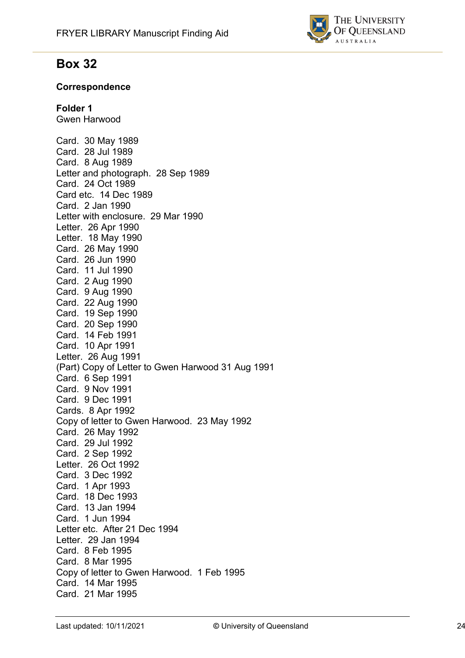

# **Box 32**

### **Correspondence**

## **Folder 1**

Gwen Harwood

Card. 30 May 1989 Card. 28 Jul 1989 Card. 8 Aug 1989 Letter and photograph. 28 Sep 1989 Card. 24 Oct 1989 Card etc. 14 Dec 1989 Card. 2 Jan 1990 Letter with enclosure. 29 Mar 1990 Letter. 26 Apr 1990 Letter. 18 May 1990 Card. 26 May 1990 Card. 26 Jun 1990 Card. 11 Jul 1990 Card. 2 Aug 1990 Card. 9 Aug 1990 Card. 22 Aug 1990 Card. 19 Sep 1990 Card. 20 Sep 1990 Card. 14 Feb 1991 Card. 10 Apr 1991 Letter. 26 Aug 1991 (Part) Copy of Letter to Gwen Harwood 31 Aug 1991 Card. 6 Sep 1991 Card. 9 Nov 1991 Card. 9 Dec 1991 Cards. 8 Apr 1992 Copy of letter to Gwen Harwood. 23 May 1992 Card. 26 May 1992 Card. 29 Jul 1992 Card. 2 Sep 1992 Letter. 26 Oct 1992 Card. 3 Dec 1992 Card. 1 Apr 1993 Card. 18 Dec 1993 Card. 13 Jan 1994 Card. 1 Jun 1994 Letter etc. After 21 Dec 1994 Letter. 29 Jan 1994 Card. 8 Feb 1995 Card. 8 Mar 1995 Copy of letter to Gwen Harwood. 1 Feb 1995 Card. 14 Mar 1995 Card. 21 Mar 1995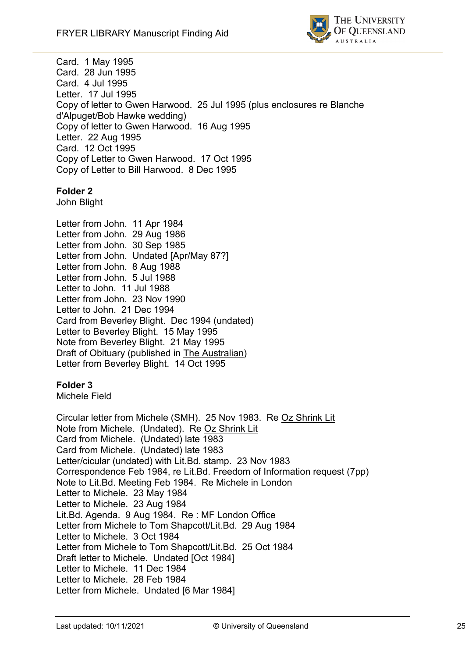

Card. 1 May 1995 Card. 28 Jun 1995 Card. 4 Jul 1995 Letter. 17 Jul 1995 Copy of letter to Gwen Harwood. 25 Jul 1995 (plus enclosures re Blanche d'Alpuget/Bob Hawke wedding) Copy of letter to Gwen Harwood. 16 Aug 1995 Letter. 22 Aug 1995 Card. 12 Oct 1995 Copy of Letter to Gwen Harwood. 17 Oct 1995 Copy of Letter to Bill Harwood. 8 Dec 1995

## **Folder 2**

John Blight

Letter from John. 11 Apr 1984 Letter from John. 29 Aug 1986 Letter from John. 30 Sep 1985 Letter from John. Undated [Apr/May 87?] Letter from John. 8 Aug 1988 Letter from John. 5 Jul 1988 Letter to John. 11 Jul 1988 Letter from John. 23 Nov 1990 Letter to John. 21 Dec 1994 Card from Beverley Blight. Dec 1994 (undated) Letter to Beverley Blight. 15 May 1995 Note from Beverley Blight. 21 May 1995 Draft of Obituary (published in The Australian) Letter from Beverley Blight. 14 Oct 1995

#### **Folder 3**

Michele Field

Circular letter from Michele (SMH). 25 Nov 1983. Re Oz Shrink Lit Note from Michele. (Undated). Re Oz Shrink Lit Card from Michele. (Undated) late 1983 Card from Michele. (Undated) late 1983 Letter/cicular (undated) with Lit.Bd. stamp. 23 Nov 1983 Correspondence Feb 1984, re Lit.Bd. Freedom of Information request (7pp) Note to Lit.Bd. Meeting Feb 1984. Re Michele in London Letter to Michele. 23 May 1984 Letter to Michele. 23 Aug 1984 Lit.Bd. Agenda. 9 Aug 1984. Re : MF London Office Letter from Michele to Tom Shapcott/Lit.Bd. 29 Aug 1984 Letter to Michele. 3 Oct 1984 Letter from Michele to Tom Shapcott/Lit.Bd. 25 Oct 1984 Draft letter to Michele. Undated [Oct 1984] Letter to Michele. 11 Dec 1984 Letter to Michele. 28 Feb 1984 Letter from Michele. Undated [6 Mar 1984]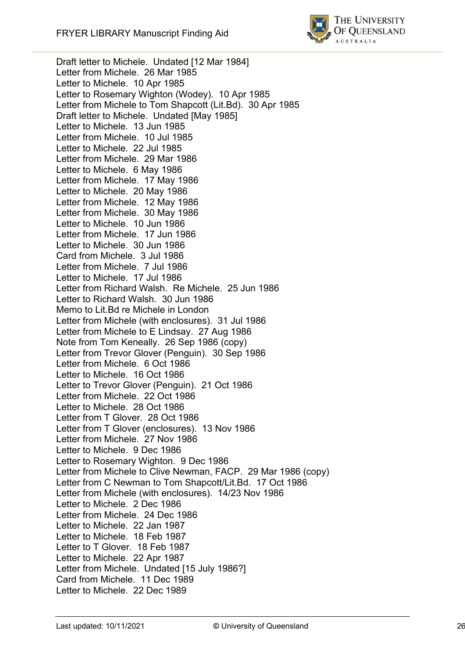

Draft letter to Michele. Undated [12 Mar 1984] Letter from Michele. 26 Mar 1985 Letter to Michele. 10 Apr 1985 Letter to Rosemary Wighton (Wodey). 10 Apr 1985 Letter from Michele to Tom Shapcott (Lit.Bd). 30 Apr 1985 Draft letter to Michele. Undated [May 1985] Letter to Michele. 13 Jun 1985 Letter from Michele. 10 Jul 1985 Letter to Michele. 22 Jul 1985 Letter from Michele. 29 Mar 1986 Letter to Michele. 6 May 1986 Letter from Michele. 17 May 1986 Letter to Michele. 20 May 1986 Letter from Michele. 12 May 1986 Letter from Michele. 30 May 1986 Letter to Michele. 10 Jun 1986 Letter from Michele. 17 Jun 1986 Letter to Michele. 30 Jun 1986 Card from Michele. 3 Jul 1986 Letter from Michele. 7 Jul 1986 Letter to Michele. 17 Jul 1986 Letter from Richard Walsh. Re Michele. 25 Jun 1986 Letter to Richard Walsh. 30 Jun 1986 Memo to Lit.Bd re Michele in London Letter from Michele (with enclosures). 31 Jul 1986 Letter from Michele to E Lindsay. 27 Aug 1986 Note from Tom Keneally. 26 Sep 1986 (copy) Letter from Trevor Glover (Penguin). 30 Sep 1986 Letter from Michele. 6 Oct 1986 Letter to Michele. 16 Oct 1986 Letter to Trevor Glover (Penguin). 21 Oct 1986 Letter from Michele. 22 Oct 1986 Letter to Michele. 28 Oct 1986 Letter from T Glover. 28 Oct 1986 Letter from T Glover (enclosures). 13 Nov 1986 Letter from Michele. 27 Nov 1986 Letter to Michele. 9 Dec 1986 Letter to Rosemary Wighton. 9 Dec 1986 Letter from Michele to Clive Newman, FACP. 29 Mar 1986 (copy) Letter from C Newman to Tom Shapcott/Lit.Bd. 17 Oct 1986 Letter from Michele (with enclosures). 14/23 Nov 1986 Letter to Michele. 2 Dec 1986 Letter from Michele. 24 Dec 1986 Letter to Michele. 22 Jan 1987 Letter to Michele. 18 Feb 1987 Letter to T Glover. 18 Feb 1987 Letter to Michele. 22 Apr 1987 Letter from Michele. Undated [15 July 1986?] Card from Michele. 11 Dec 1989 Letter to Michele. 22 Dec 1989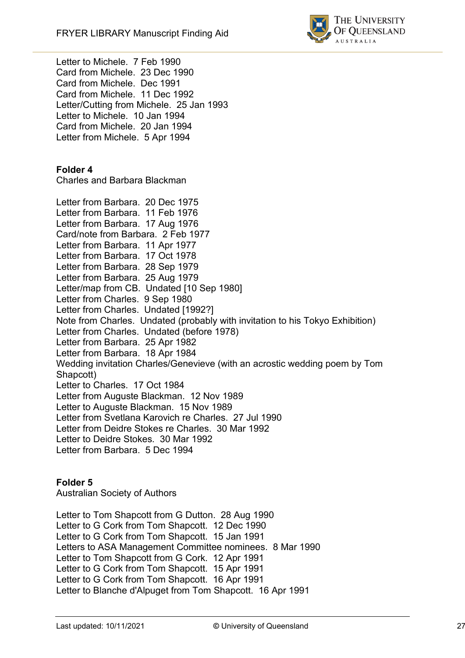

Letter to Michele. 7 Feb 1990 Card from Michele. 23 Dec 1990 Card from Michele. Dec 1991 Card from Michele. 11 Dec 1992 Letter/Cutting from Michele. 25 Jan 1993 Letter to Michele. 10 Jan 1994 Card from Michele. 20 Jan 1994 Letter from Michele. 5 Apr 1994

#### **Folder 4**

Charles and Barbara Blackman

Letter from Barbara. 20 Dec 1975 Letter from Barbara. 11 Feb 1976 Letter from Barbara. 17 Aug 1976 Card/note from Barbara. 2 Feb 1977 Letter from Barbara. 11 Apr 1977 Letter from Barbara. 17 Oct 1978 Letter from Barbara. 28 Sep 1979 Letter from Barbara. 25 Aug 1979 Letter/map from CB. Undated [10 Sep 1980] Letter from Charles. 9 Sep 1980 Letter from Charles. Undated [1992?] Note from Charles. Undated (probably with invitation to his Tokyo Exhibition) Letter from Charles. Undated (before 1978) Letter from Barbara. 25 Apr 1982 Letter from Barbara. 18 Apr 1984 Wedding invitation Charles/Genevieve (with an acrostic wedding poem by Tom Shapcott) Letter to Charles. 17 Oct 1984 Letter from Auguste Blackman. 12 Nov 1989 Letter to Auguste Blackman. 15 Nov 1989 Letter from Svetlana Karovich re Charles. 27 Jul 1990 Letter from Deidre Stokes re Charles. 30 Mar 1992 Letter to Deidre Stokes. 30 Mar 1992 Letter from Barbara. 5 Dec 1994

#### **Folder 5**

Australian Society of Authors

Letter to Tom Shapcott from G Dutton. 28 Aug 1990 Letter to G Cork from Tom Shapcott. 12 Dec 1990 Letter to G Cork from Tom Shapcott. 15 Jan 1991 Letters to ASA Management Committee nominees. 8 Mar 1990 Letter to Tom Shapcott from G Cork. 12 Apr 1991 Letter to G Cork from Tom Shapcott. 15 Apr 1991 Letter to G Cork from Tom Shapcott. 16 Apr 1991 Letter to Blanche d'Alpuget from Tom Shapcott. 16 Apr 1991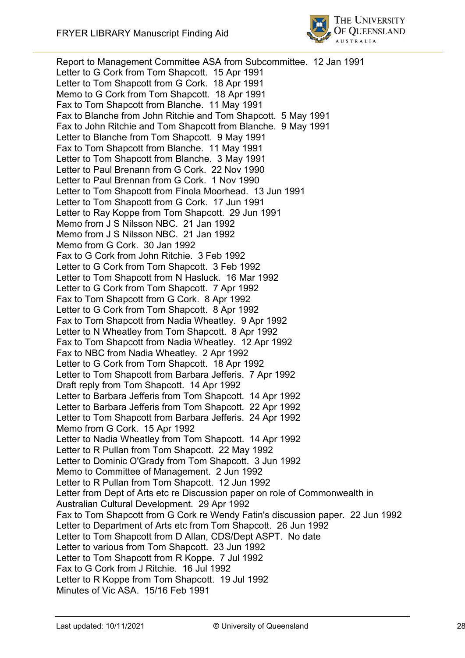

Report to Management Committee ASA from Subcommittee. 12 Jan 1991 Letter to G Cork from Tom Shapcott. 15 Apr 1991 Letter to Tom Shapcott from G Cork. 18 Apr 1991 Memo to G Cork from Tom Shapcott. 18 Apr 1991 Fax to Tom Shapcott from Blanche. 11 May 1991 Fax to Blanche from John Ritchie and Tom Shapcott. 5 May 1991 Fax to John Ritchie and Tom Shapcott from Blanche. 9 May 1991 Letter to Blanche from Tom Shapcott. 9 May 1991 Fax to Tom Shapcott from Blanche. 11 May 1991 Letter to Tom Shapcott from Blanche. 3 May 1991 Letter to Paul Brenann from G Cork. 22 Nov 1990 Letter to Paul Brennan from G Cork. 1 Nov 1990 Letter to Tom Shapcott from Finola Moorhead. 13 Jun 1991 Letter to Tom Shapcott from G Cork. 17 Jun 1991 Letter to Ray Koppe from Tom Shapcott. 29 Jun 1991 Memo from J S Nilsson NBC. 21 Jan 1992 Memo from J S Nilsson NBC. 21 Jan 1992 Memo from G Cork. 30 Jan 1992 Fax to G Cork from John Ritchie. 3 Feb 1992 Letter to G Cork from Tom Shapcott. 3 Feb 1992 Letter to Tom Shapcott from N Hasluck. 16 Mar 1992 Letter to G Cork from Tom Shapcott. 7 Apr 1992 Fax to Tom Shapcott from G Cork. 8 Apr 1992 Letter to G Cork from Tom Shapcott. 8 Apr 1992 Fax to Tom Shapcott from Nadia Wheatley. 9 Apr 1992 Letter to N Wheatley from Tom Shapcott. 8 Apr 1992 Fax to Tom Shapcott from Nadia Wheatley. 12 Apr 1992 Fax to NBC from Nadia Wheatley. 2 Apr 1992 Letter to G Cork from Tom Shapcott. 18 Apr 1992 Letter to Tom Shapcott from Barbara Jefferis. 7 Apr 1992 Draft reply from Tom Shapcott. 14 Apr 1992 Letter to Barbara Jefferis from Tom Shapcott. 14 Apr 1992 Letter to Barbara Jefferis from Tom Shapcott. 22 Apr 1992 Letter to Tom Shapcott from Barbara Jefferis. 24 Apr 1992 Memo from G Cork. 15 Apr 1992 Letter to Nadia Wheatley from Tom Shapcott. 14 Apr 1992 Letter to R Pullan from Tom Shapcott. 22 May 1992 Letter to Dominic O'Grady from Tom Shapcott. 3 Jun 1992 Memo to Committee of Management. 2 Jun 1992 Letter to R Pullan from Tom Shapcott. 12 Jun 1992 Letter from Dept of Arts etc re Discussion paper on role of Commonwealth in Australian Cultural Development. 29 Apr 1992 Fax to Tom Shapcott from G Cork re Wendy Fatin's discussion paper. 22 Jun 1992 Letter to Department of Arts etc from Tom Shapcott. 26 Jun 1992 Letter to Tom Shapcott from D Allan, CDS/Dept ASPT. No date Letter to various from Tom Shapcott. 23 Jun 1992 Letter to Tom Shapcott from R Koppe. 7 Jul 1992 Fax to G Cork from J Ritchie. 16 Jul 1992 Letter to R Koppe from Tom Shapcott. 19 Jul 1992 Minutes of Vic ASA. 15/16 Feb 1991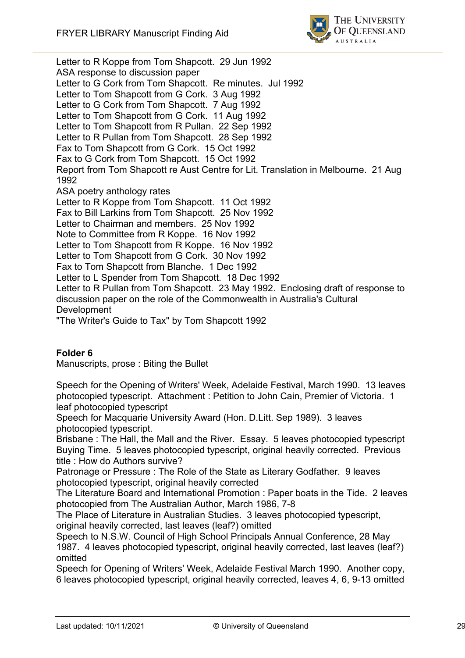

Letter to R Koppe from Tom Shapcott. 29 Jun 1992 ASA response to discussion paper Letter to G Cork from Tom Shapcott. Re minutes. Jul 1992 Letter to Tom Shapcott from G Cork. 3 Aug 1992 Letter to G Cork from Tom Shapcott. 7 Aug 1992 Letter to Tom Shapcott from G Cork. 11 Aug 1992 Letter to Tom Shapcott from R Pullan. 22 Sep 1992 Letter to R Pullan from Tom Shapcott. 28 Sep 1992 Fax to Tom Shapcott from G Cork. 15 Oct 1992 Fax to G Cork from Tom Shapcott. 15 Oct 1992 Report from Tom Shapcott re Aust Centre for Lit. Translation in Melbourne. 21 Aug 1992 ASA poetry anthology rates Letter to R Koppe from Tom Shapcott. 11 Oct 1992 Fax to Bill Larkins from Tom Shapcott. 25 Nov 1992 Letter to Chairman and members. 25 Nov 1992 Note to Committee from R Koppe. 16 Nov 1992 Letter to Tom Shapcott from R Koppe. 16 Nov 1992 Letter to Tom Shapcott from G Cork. 30 Nov 1992 Fax to Tom Shapcott from Blanche. 1 Dec 1992 Letter to L Spender from Tom Shapcott. 18 Dec 1992 Letter to R Pullan from Tom Shapcott. 23 May 1992. Enclosing draft of response to discussion paper on the role of the Commonwealth in Australia's Cultural Development

"The Writer's Guide to Tax" by Tom Shapcott 1992

## **Folder 6**

Manuscripts, prose : Biting the Bullet

Speech for the Opening of Writers' Week, Adelaide Festival, March 1990. 13 leaves photocopied typescript. Attachment : Petition to John Cain, Premier of Victoria. 1 leaf photocopied typescript

Speech for Macquarie University Award (Hon. D.Litt. Sep 1989). 3 leaves photocopied typescript.

Brisbane : The Hall, the Mall and the River. Essay. 5 leaves photocopied typescript Buying Time. 5 leaves photocopied typescript, original heavily corrected. Previous title : How do Authors survive?

Patronage or Pressure : The Role of the State as Literary Godfather. 9 leaves photocopied typescript, original heavily corrected

The Literature Board and International Promotion : Paper boats in the Tide. 2 leaves photocopied from The Australian Author, March 1986, 7-8

The Place of Literature in Australian Studies. 3 leaves photocopied typescript, original heavily corrected, last leaves (leaf?) omitted

Speech to N.S.W. Council of High School Principals Annual Conference, 28 May 1987. 4 leaves photocopied typescript, original heavily corrected, last leaves (leaf?) omitted

Speech for Opening of Writers' Week, Adelaide Festival March 1990. Another copy, 6 leaves photocopied typescript, original heavily corrected, leaves 4, 6, 9-13 omitted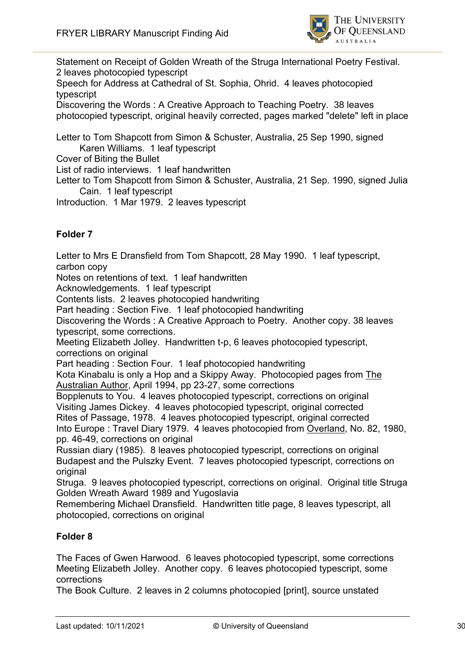

Statement on Receipt of Golden Wreath of the Struga International Poetry Festival. 2 leaves photocopied typescript

Speech for Address at Cathedral of St. Sophia, Ohrid. 4 leaves photocopied typescript

Discovering the Words : A Creative Approach to Teaching Poetry. 38 leaves photocopied typescript, original heavily corrected, pages marked "delete" left in place

Letter to Tom Shapcott from Simon & Schuster, Australia, 25 Sep 1990, signed Karen Williams. 1 leaf typescript

Cover of Biting the Bullet

List of radio interviews. 1 leaf handwritten

Letter to Tom Shapcott from Simon & Schuster, Australia, 21 Sep. 1990, signed Julia Cain. 1 leaf typescript

Introduction. 1 Mar 1979. 2 leaves typescript

## **Folder 7**

Letter to Mrs E Dransfield from Tom Shapcott, 28 May 1990. 1 leaf typescript, carbon copy

Notes on retentions of text. 1 leaf handwritten

Acknowledgements. 1 leaf typescript

Contents lists. 2 leaves photocopied handwriting

Part heading : Section Five. 1 leaf photocopied handwriting

Discovering the Words : A Creative Approach to Poetry. Another copy. 38 leaves typescript, some corrections.

Meeting Elizabeth Jolley. Handwritten t-p, 6 leaves photocopied typescript, corrections on original

Part heading : Section Four. 1 leaf photocopied handwriting

Kota Kinabalu is only a Hop and a Skippy Away. Photocopied pages from The Australian Author, April 1994, pp 23-27, some corrections

Bopplenuts to You. 4 leaves photocopied typescript, corrections on original Visiting James Dickey. 4 leaves photocopied typescript, original corrected Rites of Passage, 1978. 4 leaves photocopied typescript, original corrected

Into Europe : Travel Diary 1979. 4 leaves photocopied from Overland, No. 82, 1980, pp. 46-49, corrections on original

Russian diary (1985). 8 leaves photocopied typescript, corrections on original Budapest and the Pulszky Event. 7 leaves photocopied typescript, corrections on original

Struga. 9 leaves photocopied typescript, corrections on original. Original title Struga Golden Wreath Award 1989 and Yugoslavia

Remembering Michael Dransfield. Handwritten title page, 8 leaves typescript, all photocopied, corrections on original

#### **Folder 8**

The Faces of Gwen Harwood. 6 leaves photocopied typescript, some corrections Meeting Elizabeth Jolley. Another copy. 6 leaves photocopied typescript, some corrections

The Book Culture. 2 leaves in 2 columns photocopied [print], source unstated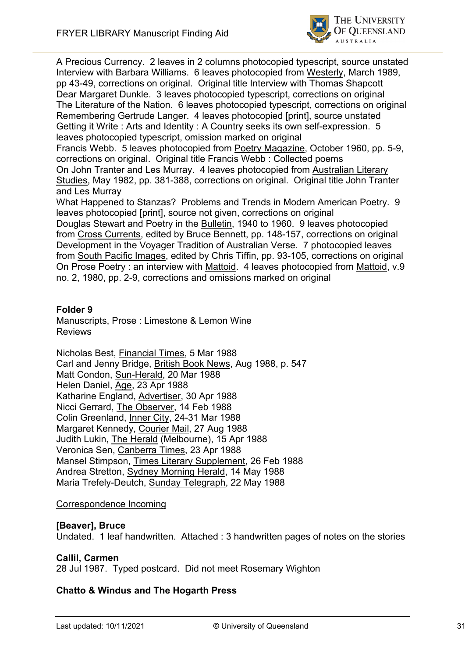

A Precious Currency. 2 leaves in 2 columns photocopied typescript, source unstated Interview with Barbara Williams. 6 leaves photocopied from Westerly, March 1989, pp 43-49, corrections on original. Original title Interview with Thomas Shapcott Dear Margaret Dunkle. 3 leaves photocopied typescript, corrections on original The Literature of the Nation. 6 leaves photocopied typescript, corrections on original Remembering Gertrude Langer. 4 leaves photocopied [print], source unstated Getting it Write : Arts and Identity : A Country seeks its own self-expression. 5 leaves photocopied typescript, omission marked on original

Francis Webb. 5 leaves photocopied from Poetry Magazine, October 1960, pp. 5-9, corrections on original. Original title Francis Webb : Collected poems On John Tranter and Les Murray. 4 leaves photocopied from Australian Literary Studies, May 1982, pp. 381-388, corrections on original. Original title John Tranter and Les Murray

What Happened to Stanzas? Problems and Trends in Modern American Poetry. 9 leaves photocopied [print], source not given, corrections on original

Douglas Stewart and Poetry in the Bulletin, 1940 to 1960. 9 leaves photocopied from Cross Currents, edited by Bruce Bennett, pp. 148-157, corrections on original Development in the Voyager Tradition of Australian Verse. 7 photocopied leaves from South Pacific Images, edited by Chris Tiffin, pp. 93-105, corrections on original On Prose Poetry : an interview with Mattoid. 4 leaves photocopied from Mattoid, v.9 no. 2, 1980, pp. 2-9, corrections and omissions marked on original

#### **Folder 9**

Manuscripts, Prose : Limestone & Lemon Wine Reviews

Nicholas Best, Financial Times, 5 Mar 1988 Carl and Jenny Bridge, British Book News, Aug 1988, p. 547 Matt Condon, Sun-Herald, 20 Mar 1988 Helen Daniel, Age, 23 Apr 1988 Katharine England, Advertiser, 30 Apr 1988 Nicci Gerrard, The Observer, 14 Feb 1988 Colin Greenland, Inner City, 24-31 Mar 1988 Margaret Kennedy, Courier Mail, 27 Aug 1988 Judith Lukin, The Herald (Melbourne), 15 Apr 1988 Veronica Sen, Canberra Times, 23 Apr 1988 Mansel Stimpson, Times Literary Supplement, 26 Feb 1988 Andrea Stretton, Sydney Morning Herald, 14 May 1988 Maria Trefely-Deutch, Sunday Telegraph, 22 May 1988

#### Correspondence Incoming

#### **[Beaver], Bruce**

Undated. 1 leaf handwritten. Attached : 3 handwritten pages of notes on the stories

#### **Callil, Carmen**

28 Jul 1987. Typed postcard. Did not meet Rosemary Wighton

#### **Chatto & Windus and The Hogarth Press**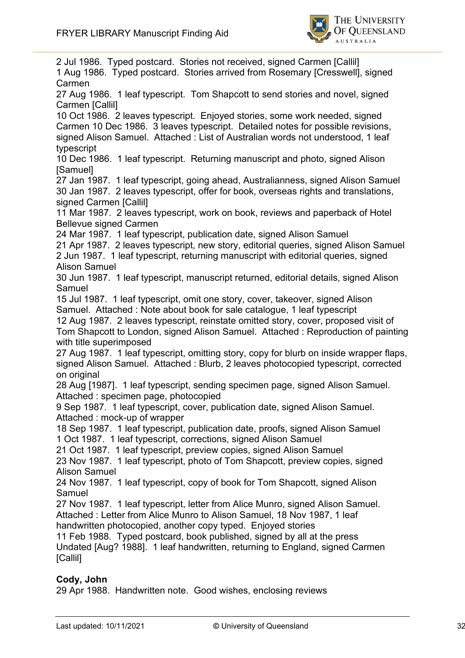

2 Jul 1986. Typed postcard. Stories not received, signed Carmen [Callil] 1 Aug 1986. Typed postcard. Stories arrived from Rosemary [Cresswell], signed Carmen 27 Aug 1986. 1 leaf typescript. Tom Shapcott to send stories and novel, signed Carmen [Callil] 10 Oct 1986. 2 leaves typescript. Enjoyed stories, some work needed, signed Carmen 10 Dec 1986. 3 leaves typescript. Detailed notes for possible revisions, signed Alison Samuel. Attached : List of Australian words not understood, 1 leaf typescript 10 Dec 1986. 1 leaf typescript. Returning manuscript and photo, signed Alison [Samuel] 27 Jan 1987. 1 leaf typescript, going ahead, Australianness, signed Alison Samuel 30 Jan 1987. 2 leaves typescript, offer for book, overseas rights and translations, signed Carmen [Callil] 11 Mar 1987. 2 leaves typescript, work on book, reviews and paperback of Hotel Bellevue signed Carmen 24 Mar 1987. 1 leaf typescript, publication date, signed Alison Samuel 21 Apr 1987. 2 leaves typescript, new story, editorial queries, signed Alison Samuel 2 Jun 1987. 1 leaf typescript, returning manuscript with editorial queries, signed Alison Samuel 30 Jun 1987. 1 leaf typescript, manuscript returned, editorial details, signed Alison Samuel 15 Jul 1987. 1 leaf typescript, omit one story, cover, takeover, signed Alison Samuel. Attached : Note about book for sale catalogue, 1 leaf typescript 12 Aug 1987. 2 leaves typescript, reinstate omitted story, cover, proposed visit of Tom Shapcott to London, signed Alison Samuel. Attached : Reproduction of painting with title superimposed 27 Aug 1987. 1 leaf typescript, omitting story, copy for blurb on inside wrapper flaps, signed Alison Samuel. Attached : Blurb, 2 leaves photocopied typescript, corrected on original 28 Aug [1987]. 1 leaf typescript, sending specimen page, signed Alison Samuel. Attached : specimen page, photocopied 9 Sep 1987. 1 leaf typescript, cover, publication date, signed Alison Samuel. Attached : mock-up of wrapper 18 Sep 1987. 1 leaf typescript, publication date, proofs, signed Alison Samuel 1 Oct 1987. 1 leaf typescript, corrections, signed Alison Samuel 21 Oct 1987. 1 leaf typescript, preview copies, signed Alison Samuel 23 Nov 1987. 1 leaf typescript, photo of Tom Shapcott, preview copies, signed Alison Samuel 24 Nov 1987. 1 leaf typescript, copy of book for Tom Shapcott, signed Alison Samuel 27 Nov 1987. 1 leaf typescript, letter from Alice Munro, signed Alison Samuel. Attached : Letter from Alice Munro to Alison Samuel, 18 Nov 1987, 1 leaf handwritten photocopied, another copy typed. Enjoyed stories 11 Feb 1988. Typed postcard, book published, signed by all at the press Undated [Aug? 1988]. 1 leaf handwritten, returning to England, signed Carmen [Callil]

### **Cody, John**

29 Apr 1988. Handwritten note. Good wishes, enclosing reviews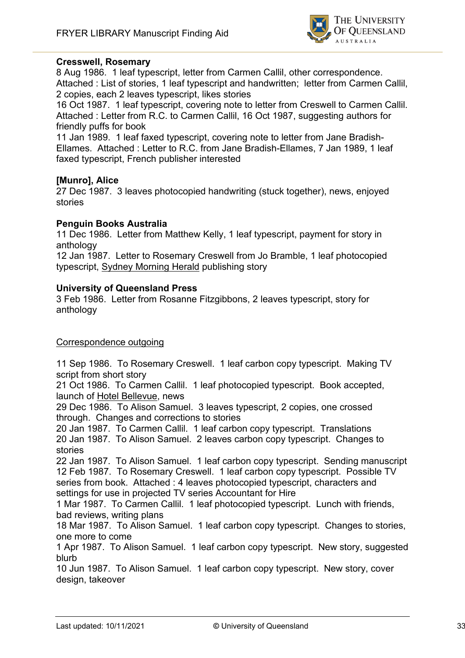

#### **Cresswell, Rosemary**

8 Aug 1986. 1 leaf typescript, letter from Carmen Callil, other correspondence. Attached : List of stories, 1 leaf typescript and handwritten; letter from Carmen Callil, 2 copies, each 2 leaves typescript, likes stories

16 Oct 1987. 1 leaf typescript, covering note to letter from Creswell to Carmen Callil. Attached : Letter from R.C. to Carmen Callil, 16 Oct 1987, suggesting authors for friendly puffs for book

11 Jan 1989. 1 leaf faxed typescript, covering note to letter from Jane Bradish-Ellames. Attached : Letter to R.C. from Jane Bradish-Ellames, 7 Jan 1989, 1 leaf faxed typescript, French publisher interested

#### **[Munro], Alice**

27 Dec 1987. 3 leaves photocopied handwriting (stuck together), news, enjoyed stories

#### **Penguin Books Australia**

11 Dec 1986. Letter from Matthew Kelly, 1 leaf typescript, payment for story in anthology

12 Jan 1987. Letter to Rosemary Creswell from Jo Bramble, 1 leaf photocopied typescript, Sydney Morning Herald publishing story

#### **University of Queensland Press**

3 Feb 1986. Letter from Rosanne Fitzgibbons, 2 leaves typescript, story for anthology

#### Correspondence outgoing

11 Sep 1986. To Rosemary Creswell. 1 leaf carbon copy typescript. Making TV script from short story

21 Oct 1986. To Carmen Callil. 1 leaf photocopied typescript. Book accepted, launch of Hotel Bellevue, news

29 Dec 1986. To Alison Samuel. 3 leaves typescript, 2 copies, one crossed through. Changes and corrections to stories

20 Jan 1987. To Carmen Callil. 1 leaf carbon copy typescript. Translations 20 Jan 1987. To Alison Samuel. 2 leaves carbon copy typescript. Changes to stories

22 Jan 1987. To Alison Samuel. 1 leaf carbon copy typescript. Sending manuscript 12 Feb 1987. To Rosemary Creswell. 1 leaf carbon copy typescript. Possible TV series from book. Attached : 4 leaves photocopied typescript, characters and settings for use in projected TV series Accountant for Hire

1 Mar 1987. To Carmen Callil. 1 leaf photocopied typescript. Lunch with friends, bad reviews, writing plans

18 Mar 1987. To Alison Samuel. 1 leaf carbon copy typescript. Changes to stories, one more to come

1 Apr 1987. To Alison Samuel. 1 leaf carbon copy typescript. New story, suggested blurb

10 Jun 1987. To Alison Samuel. 1 leaf carbon copy typescript. New story, cover design, takeover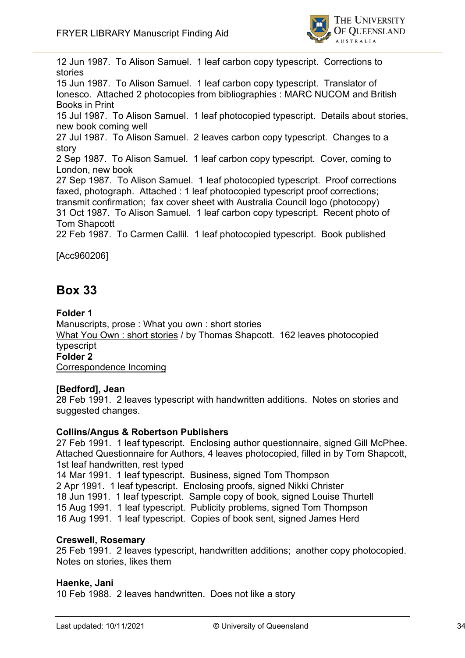

12 Jun 1987. To Alison Samuel. 1 leaf carbon copy typescript. Corrections to stories 15 Jun 1987. To Alison Samuel. 1 leaf carbon copy typescript. Translator of Ionesco. Attached 2 photocopies from bibliographies : MARC NUCOM and British Books in Print 15 Jul 1987. To Alison Samuel. 1 leaf photocopied typescript. Details about stories, new book coming well 27 Jul 1987. To Alison Samuel. 2 leaves carbon copy typescript. Changes to a story 2 Sep 1987. To Alison Samuel. 1 leaf carbon copy typescript. Cover, coming to London, new book 27 Sep 1987. To Alison Samuel. 1 leaf photocopied typescript. Proof corrections faxed, photograph. Attached : 1 leaf photocopied typescript proof corrections; transmit confirmation; fax cover sheet with Australia Council logo (photocopy) 31 Oct 1987. To Alison Samuel. 1 leaf carbon copy typescript. Recent photo of Tom Shapcott 22 Feb 1987. To Carmen Callil. 1 leaf photocopied typescript. Book published

[Acc960206]

# **Box 33**

**Folder 1** Manuscripts, prose : What you own : short stories What You Own : short stories / by Thomas Shapcott. 162 leaves photocopied typescript **Folder 2** Correspondence Incoming

## **[Bedford], Jean**

28 Feb 1991. 2 leaves typescript with handwritten additions. Notes on stories and suggested changes.

#### **Collins/Angus & Robertson Publishers**

27 Feb 1991. 1 leaf typescript. Enclosing author questionnaire, signed Gill McPhee. Attached Questionnaire for Authors, 4 leaves photocopied, filled in by Tom Shapcott, 1st leaf handwritten, rest typed

14 Mar 1991. 1 leaf typescript. Business, signed Tom Thompson 2 Apr 1991. 1 leaf typescript. Enclosing proofs, signed Nikki Christer 18 Jun 1991. 1 leaf typescript. Sample copy of book, signed Louise Thurtell 15 Aug 1991. 1 leaf typescript. Publicity problems, signed Tom Thompson 16 Aug 1991. 1 leaf typescript. Copies of book sent, signed James Herd

#### **Creswell, Rosemary**

25 Feb 1991. 2 leaves typescript, handwritten additions; another copy photocopied. Notes on stories, likes them

#### **Haenke, Jani**

10 Feb 1988. 2 leaves handwritten. Does not like a story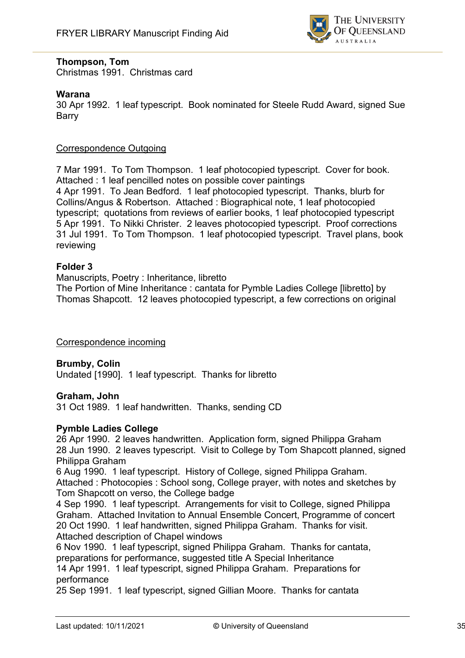

#### **Thompson, Tom**

Christmas 1991. Christmas card

#### **Warana**

30 Apr 1992. 1 leaf typescript. Book nominated for Steele Rudd Award, signed Sue Barry

#### Correspondence Outgoing

7 Mar 1991. To Tom Thompson. 1 leaf photocopied typescript. Cover for book. Attached : 1 leaf pencilled notes on possible cover paintings 4 Apr 1991. To Jean Bedford. 1 leaf photocopied typescript. Thanks, blurb for Collins/Angus & Robertson. Attached : Biographical note, 1 leaf photocopied typescript; quotations from reviews of earlier books, 1 leaf photocopied typescript 5 Apr 1991. To Nikki Christer. 2 leaves photocopied typescript. Proof corrections 31 Jul 1991. To Tom Thompson. 1 leaf photocopied typescript. Travel plans, book reviewing

#### **Folder 3**

Manuscripts, Poetry : Inheritance, libretto The Portion of Mine Inheritance : cantata for Pymble Ladies College [libretto] by Thomas Shapcott. 12 leaves photocopied typescript, a few corrections on original

Correspondence incoming

**Brumby, Colin** Undated [1990]. 1 leaf typescript. Thanks for libretto

#### **Graham, John**

31 Oct 1989. 1 leaf handwritten. Thanks, sending CD

#### **Pymble Ladies College**

26 Apr 1990. 2 leaves handwritten. Application form, signed Philippa Graham 28 Jun 1990. 2 leaves typescript. Visit to College by Tom Shapcott planned, signed Philippa Graham

6 Aug 1990. 1 leaf typescript. History of College, signed Philippa Graham. Attached : Photocopies : School song, College prayer, with notes and sketches by Tom Shapcott on verso, the College badge

4 Sep 1990. 1 leaf typescript. Arrangements for visit to College, signed Philippa Graham. Attached Invitation to Annual Ensemble Concert, Programme of concert 20 Oct 1990. 1 leaf handwritten, signed Philippa Graham. Thanks for visit. Attached description of Chapel windows

6 Nov 1990. 1 leaf typescript, signed Philippa Graham. Thanks for cantata, preparations for performance, suggested title A Special Inheritance

14 Apr 1991. 1 leaf typescript, signed Philippa Graham. Preparations for performance

25 Sep 1991. 1 leaf typescript, signed Gillian Moore. Thanks for cantata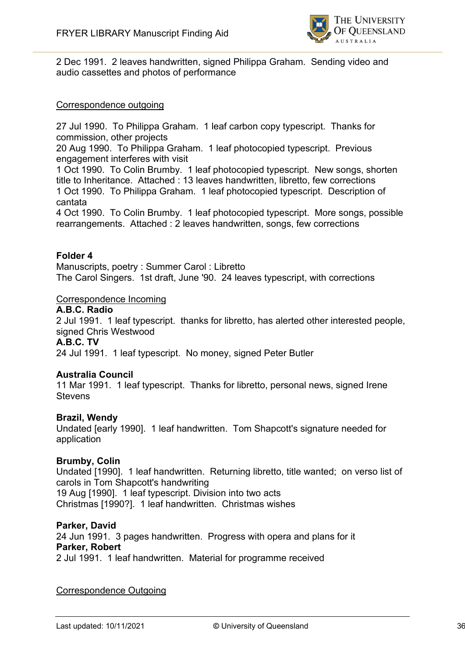

2 Dec 1991. 2 leaves handwritten, signed Philippa Graham. Sending video and audio cassettes and photos of performance

#### Correspondence outgoing

27 Jul 1990. To Philippa Graham. 1 leaf carbon copy typescript. Thanks for commission, other projects

20 Aug 1990. To Philippa Graham. 1 leaf photocopied typescript. Previous engagement interferes with visit

1 Oct 1990. To Colin Brumby. 1 leaf photocopied typescript. New songs, shorten title to Inheritance. Attached : 13 leaves handwritten, libretto, few corrections 1 Oct 1990. To Philippa Graham. 1 leaf photocopied typescript. Description of cantata

4 Oct 1990. To Colin Brumby. 1 leaf photocopied typescript. More songs, possible rearrangements. Attached : 2 leaves handwritten, songs, few corrections

#### **Folder 4**

Manuscripts, poetry : Summer Carol : Libretto The Carol Singers. 1st draft, June '90. 24 leaves typescript, with corrections

#### Correspondence Incoming

**A.B.C. Radio**

2 Jul 1991. 1 leaf typescript. thanks for libretto, has alerted other interested people, signed Chris Westwood

#### **A.B.C. TV**

24 Jul 1991. 1 leaf typescript. No money, signed Peter Butler

#### **Australia Council**

11 Mar 1991. 1 leaf typescript. Thanks for libretto, personal news, signed Irene **Stevens** 

#### **Brazil, Wendy**

Undated [early 1990]. 1 leaf handwritten. Tom Shapcott's signature needed for application

#### **Brumby, Colin**

Undated [1990]. 1 leaf handwritten. Returning libretto, title wanted; on verso list of carols in Tom Shapcott's handwriting 19 Aug [1990]. 1 leaf typescript. Division into two acts Christmas [1990?]. 1 leaf handwritten. Christmas wishes

#### **Parker, David**

24 Jun 1991. 3 pages handwritten. Progress with opera and plans for it **Parker, Robert** 2 Jul 1991. 1 leaf handwritten. Material for programme received

#### Correspondence Outgoing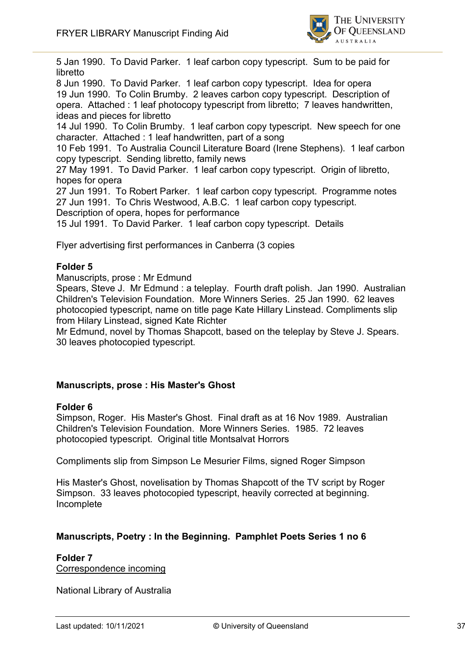

5 Jan 1990. To David Parker. 1 leaf carbon copy typescript. Sum to be paid for libretto

8 Jun 1990. To David Parker. 1 leaf carbon copy typescript. Idea for opera 19 Jun 1990. To Colin Brumby. 2 leaves carbon copy typescript. Description of opera. Attached : 1 leaf photocopy typescript from libretto; 7 leaves handwritten, ideas and pieces for libretto

14 Jul 1990. To Colin Brumby. 1 leaf carbon copy typescript. New speech for one character. Attached : 1 leaf handwritten, part of a song

10 Feb 1991. To Australia Council Literature Board (Irene Stephens). 1 leaf carbon copy typescript. Sending libretto, family news

27 May 1991. To David Parker. 1 leaf carbon copy typescript. Origin of libretto, hopes for opera

27 Jun 1991. To Robert Parker. 1 leaf carbon copy typescript. Programme notes 27 Jun 1991. To Chris Westwood, A.B.C. 1 leaf carbon copy typescript.

Description of opera, hopes for performance

15 Jul 1991. To David Parker. 1 leaf carbon copy typescript. Details

Flyer advertising first performances in Canberra (3 copies

#### **Folder 5**

Manuscripts, prose : Mr Edmund

Spears, Steve J. Mr Edmund : a teleplay. Fourth draft polish. Jan 1990. Australian Children's Television Foundation. More Winners Series. 25 Jan 1990. 62 leaves photocopied typescript, name on title page Kate Hillary Linstead. Compliments slip from Hilary Linstead, signed Kate Richter

Mr Edmund, novel by Thomas Shapcott, based on the teleplay by Steve J. Spears. 30 leaves photocopied typescript.

#### **Manuscripts, prose : His Master's Ghost**

#### **Folder 6**

Simpson, Roger. His Master's Ghost. Final draft as at 16 Nov 1989. Australian Children's Television Foundation. More Winners Series. 1985. 72 leaves photocopied typescript. Original title Montsalvat Horrors

Compliments slip from Simpson Le Mesurier Films, signed Roger Simpson

His Master's Ghost, novelisation by Thomas Shapcott of the TV script by Roger Simpson. 33 leaves photocopied typescript, heavily corrected at beginning. Incomplete

#### **Manuscripts, Poetry : In the Beginning. Pamphlet Poets Series 1 no 6**

**Folder 7** Correspondence incoming

National Library of Australia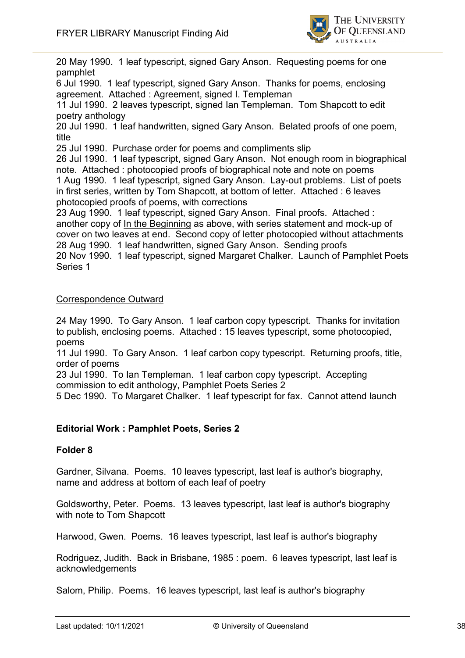

20 May 1990. 1 leaf typescript, signed Gary Anson. Requesting poems for one pamphlet

6 Jul 1990. 1 leaf typescript, signed Gary Anson. Thanks for poems, enclosing agreement. Attached : Agreement, signed I. Templeman

11 Jul 1990. 2 leaves typescript, signed Ian Templeman. Tom Shapcott to edit poetry anthology

20 Jul 1990. 1 leaf handwritten, signed Gary Anson. Belated proofs of one poem, title

25 Jul 1990. Purchase order for poems and compliments slip

26 Jul 1990. 1 leaf typescript, signed Gary Anson. Not enough room in biographical note. Attached : photocopied proofs of biographical note and note on poems 1 Aug 1990. 1 leaf typescript, signed Gary Anson. Lay-out problems. List of poets in first series, written by Tom Shapcott, at bottom of letter. Attached : 6 leaves photocopied proofs of poems, with corrections

23 Aug 1990. 1 leaf typescript, signed Gary Anson. Final proofs. Attached : another copy of In the Beginning as above, with series statement and mock-up of cover on two leaves at end. Second copy of letter photocopied without attachments 28 Aug 1990. 1 leaf handwritten, signed Gary Anson. Sending proofs 20 Nov 1990. 1 leaf typescript, signed Margaret Chalker. Launch of Pamphlet Poets Series 1

#### Correspondence Outward

24 May 1990. To Gary Anson. 1 leaf carbon copy typescript. Thanks for invitation to publish, enclosing poems. Attached : 15 leaves typescript, some photocopied, poems

11 Jul 1990. To Gary Anson. 1 leaf carbon copy typescript. Returning proofs, title, order of poems

23 Jul 1990. To Ian Templeman. 1 leaf carbon copy typescript. Accepting commission to edit anthology, Pamphlet Poets Series 2

5 Dec 1990. To Margaret Chalker. 1 leaf typescript for fax. Cannot attend launch

#### **Editorial Work : Pamphlet Poets, Series 2**

#### **Folder 8**

Gardner, Silvana. Poems. 10 leaves typescript, last leaf is author's biography, name and address at bottom of each leaf of poetry

Goldsworthy, Peter. Poems. 13 leaves typescript, last leaf is author's biography with note to Tom Shapcott

Harwood, Gwen. Poems. 16 leaves typescript, last leaf is author's biography

Rodriguez, Judith. Back in Brisbane, 1985 : poem. 6 leaves typescript, last leaf is acknowledgements

Salom, Philip. Poems. 16 leaves typescript, last leaf is author's biography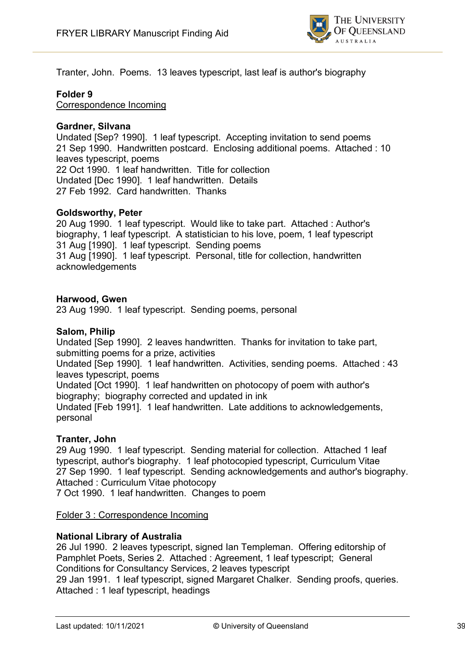

Tranter, John. Poems. 13 leaves typescript, last leaf is author's biography

#### **Folder 9**

Correspondence Incoming

#### **Gardner, Silvana**

Undated [Sep? 1990]. 1 leaf typescript. Accepting invitation to send poems 21 Sep 1990. Handwritten postcard. Enclosing additional poems. Attached : 10 leaves typescript, poems 22 Oct 1990. 1 leaf handwritten. Title for collection Undated [Dec 1990]. 1 leaf handwritten. Details 27 Feb 1992. Card handwritten. Thanks

#### **Goldsworthy, Peter**

20 Aug 1990. 1 leaf typescript. Would like to take part. Attached : Author's biography, 1 leaf typescript. A statistician to his love, poem, 1 leaf typescript 31 Aug [1990]. 1 leaf typescript. Sending poems 31 Aug [1990]. 1 leaf typescript. Personal, title for collection, handwritten acknowledgements

#### **Harwood, Gwen**

23 Aug 1990. 1 leaf typescript. Sending poems, personal

#### **Salom, Philip**

Undated [Sep 1990]. 2 leaves handwritten. Thanks for invitation to take part, submitting poems for a prize, activities

Undated [Sep 1990]. 1 leaf handwritten. Activities, sending poems. Attached : 43 leaves typescript, poems

Undated [Oct 1990]. 1 leaf handwritten on photocopy of poem with author's biography; biography corrected and updated in ink

Undated [Feb 1991]. 1 leaf handwritten. Late additions to acknowledgements, personal

#### **Tranter, John**

29 Aug 1990. 1 leaf typescript. Sending material for collection. Attached 1 leaf typescript, author's biography. 1 leaf photocopied typescript, Curriculum Vitae 27 Sep 1990. 1 leaf typescript. Sending acknowledgements and author's biography. Attached : Curriculum Vitae photocopy

7 Oct 1990. 1 leaf handwritten. Changes to poem

#### Folder 3 : Correspondence Incoming

#### **National Library of Australia**

26 Jul 1990. 2 leaves typescript, signed Ian Templeman. Offering editorship of Pamphlet Poets, Series 2. Attached : Agreement, 1 leaf typescript; General Conditions for Consultancy Services, 2 leaves typescript 29 Jan 1991. 1 leaf typescript, signed Margaret Chalker. Sending proofs, queries. Attached : 1 leaf typescript, headings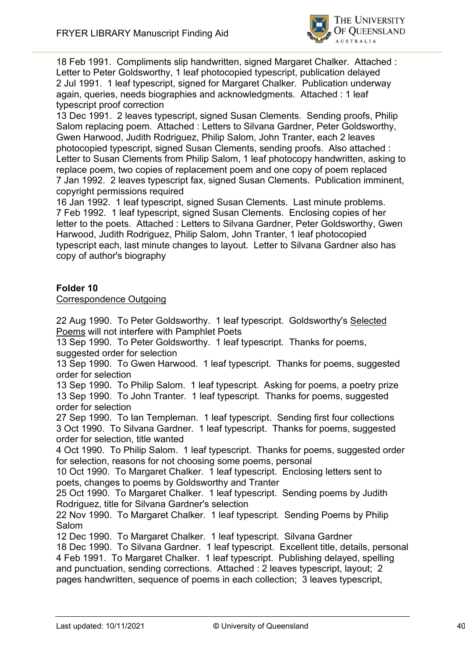

18 Feb 1991. Compliments slip handwritten, signed Margaret Chalker. Attached : Letter to Peter Goldsworthy, 1 leaf photocopied typescript, publication delayed 2 Jul 1991. 1 leaf typescript, signed for Margaret Chalker. Publication underway again, queries, needs biographies and acknowledgments. Attached : 1 leaf typescript proof correction

13 Dec 1991. 2 leaves typescript, signed Susan Clements. Sending proofs, Philip Salom replacing poem. Attached : Letters to Silvana Gardner, Peter Goldsworthy, Gwen Harwood, Judith Rodriguez, Philip Salom, John Tranter, each 2 leaves photocopied typescript, signed Susan Clements, sending proofs. Also attached : Letter to Susan Clements from Philip Salom, 1 leaf photocopy handwritten, asking to replace poem, two copies of replacement poem and one copy of poem replaced 7 Jan 1992. 2 leaves typescript fax, signed Susan Clements. Publication imminent, copyright permissions required

16 Jan 1992. 1 leaf typescript, signed Susan Clements. Last minute problems. 7 Feb 1992. 1 leaf typescript, signed Susan Clements. Enclosing copies of her letter to the poets. Attached : Letters to Silvana Gardner, Peter Goldsworthy, Gwen Harwood, Judith Rodriguez, Philip Salom, John Tranter, 1 leaf photocopied typescript each, last minute changes to layout. Letter to Silvana Gardner also has copy of author's biography

#### **Folder 10**

#### Correspondence Outgoing

22 Aug 1990. To Peter Goldsworthy. 1 leaf typescript. Goldsworthy's Selected Poems will not interfere with Pamphlet Poets

13 Sep 1990. To Peter Goldsworthy. 1 leaf typescript. Thanks for poems, suggested order for selection

13 Sep 1990. To Gwen Harwood. 1 leaf typescript. Thanks for poems, suggested order for selection

13 Sep 1990. To Philip Salom. 1 leaf typescript. Asking for poems, a poetry prize 13 Sep 1990. To John Tranter. 1 leaf typescript. Thanks for poems, suggested order for selection

27 Sep 1990. To Ian Templeman. 1 leaf typescript. Sending first four collections 3 Oct 1990. To Silvana Gardner. 1 leaf typescript. Thanks for poems, suggested order for selection, title wanted

4 Oct 1990. To Philip Salom. 1 leaf typescript. Thanks for poems, suggested order for selection, reasons for not choosing some poems, personal

10 Oct 1990. To Margaret Chalker. 1 leaf typescript. Enclosing letters sent to poets, changes to poems by Goldsworthy and Tranter

25 Oct 1990. To Margaret Chalker. 1 leaf typescript. Sending poems by Judith Rodriguez, title for Silvana Gardner's selection

22 Nov 1990. To Margaret Chalker. 1 leaf typescript. Sending Poems by Philip Salom

12 Dec 1990. To Margaret Chalker. 1 leaf typescript. Silvana Gardner

18 Dec 1990. To Silvana Gardner. 1 leaf typescript. Excellent title, details, personal 4 Feb 1991. To Margaret Chalker. 1 leaf typescript. Publishing delayed, spelling and punctuation, sending corrections. Attached : 2 leaves typescript, layout; 2 pages handwritten, sequence of poems in each collection; 3 leaves typescript,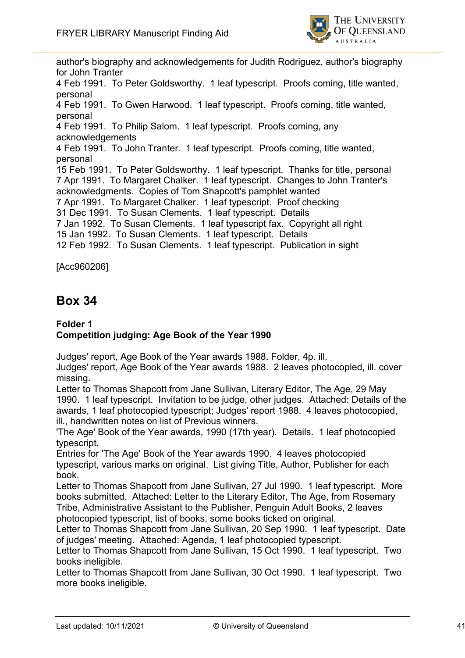

author's biography and acknowledgements for Judith Rodriguez, author's biography for John Tranter 4 Feb 1991. To Peter Goldsworthy. 1 leaf typescript. Proofs coming, title wanted, personal 4 Feb 1991. To Gwen Harwood. 1 leaf typescript. Proofs coming, title wanted, personal 4 Feb 1991. To Philip Salom. 1 leaf typescript. Proofs coming, any acknowledgements 4 Feb 1991. To John Tranter. 1 leaf typescript. Proofs coming, title wanted, personal 15 Feb 1991. To Peter Goldsworthy. 1 leaf typescript. Thanks for title, personal 7 Apr 1991. To Margaret Chalker. 1 leaf typescript. Changes to John Tranter's acknowledgments. Copies of Tom Shapcott's pamphlet wanted 7 Apr 1991. To Margaret Chalker. 1 leaf typescript. Proof checking 31 Dec 1991. To Susan Clements. 1 leaf typescript. Details 7 Jan 1992. To Susan Clements. 1 leaf typescript fax. Copyright all right 15 Jan 1992. To Susan Clements. 1 leaf typescript. Details 12 Feb 1992. To Susan Clements. 1 leaf typescript. Publication in sight

[Acc960206]

# **Box 34**

#### **Folder 1 Competition judging: Age Book of the Year 1990**

Judges' report, Age Book of the Year awards 1988. Folder, 4p. ill.

Judges' report, Age Book of the Year awards 1988. 2 leaves photocopied, ill. cover missing.

Letter to Thomas Shapcott from Jane Sullivan, Literary Editor, The Age, 29 May 1990. 1 leaf typescript. Invitation to be judge, other judges. Attached: Details of the awards, 1 leaf photocopied typescript; Judges' report 1988. 4 leaves photocopied, ill., handwritten notes on list of Previous winners.

'The Age' Book of the Year awards, 1990 (17th year). Details. 1 leaf photocopied typescript.

Entries for 'The Age' Book of the Year awards 1990. 4 leaves photocopied typescript, various marks on original. List giving Title, Author, Publisher for each book.

Letter to Thomas Shapcott from Jane Sullivan, 27 Jul 1990. 1 leaf typescript. More books submitted. Attached: Letter to the Literary Editor, The Age, from Rosemary Tribe, Administrative Assistant to the Publisher, Penguin Adult Books, 2 leaves photocopied typescript, list of books, some books ticked on original.

Letter to Thomas Shapcott from Jane Sullivan, 20 Sep 1990. 1 leaf typescript. Date of judges' meeting. Attached: Agenda, 1 leaf photocopied typescript.

Letter to Thomas Shapcott from Jane Sullivan, 15 Oct 1990. 1 leaf typescript. Two books ineligible.

Letter to Thomas Shapcott from Jane Sullivan, 30 Oct 1990. 1 leaf typescript. Two more books ineligible.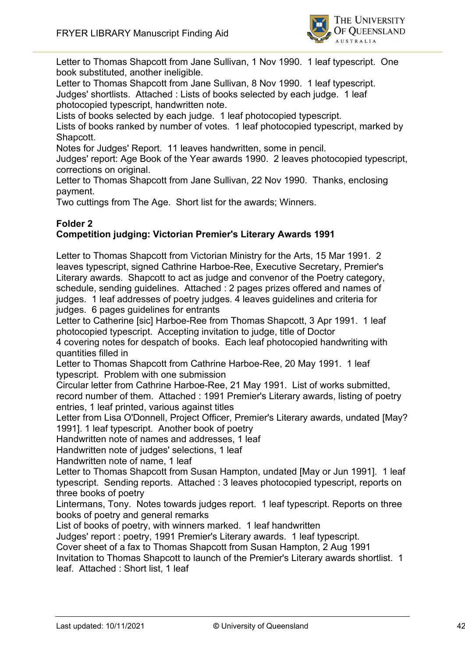

Letter to Thomas Shapcott from Jane Sullivan, 1 Nov 1990. 1 leaf typescript. One book substituted, another ineligible.

Letter to Thomas Shapcott from Jane Sullivan, 8 Nov 1990. 1 leaf typescript. Judges' shortlists. Attached : Lists of books selected by each judge. 1 leaf photocopied typescript, handwritten note.

Lists of books selected by each judge. 1 leaf photocopied typescript.

Lists of books ranked by number of votes. 1 leaf photocopied typescript, marked by Shapcott.

Notes for Judges' Report. 11 leaves handwritten, some in pencil.

Judges' report: Age Book of the Year awards 1990. 2 leaves photocopied typescript, corrections on original.

Letter to Thomas Shapcott from Jane Sullivan, 22 Nov 1990. Thanks, enclosing payment.

Two cuttings from The Age. Short list for the awards; Winners.

#### **Folder 2 Competition judging: Victorian Premier's Literary Awards 1991**

Letter to Thomas Shapcott from Victorian Ministry for the Arts, 15 Mar 1991. 2 leaves typescript, signed Cathrine Harboe-Ree, Executive Secretary, Premier's Literary awards. Shapcott to act as judge and convenor of the Poetry category, schedule, sending guidelines. Attached : 2 pages prizes offered and names of judges. 1 leaf addresses of poetry judges. 4 leaves guidelines and criteria for judges. 6 pages guidelines for entrants

Letter to Catherine [sic] Harboe-Ree from Thomas Shapcott, 3 Apr 1991. 1 leaf photocopied typescript. Accepting invitation to judge, title of Doctor

4 covering notes for despatch of books. Each leaf photocopied handwriting with quantities filled in

Letter to Thomas Shapcott from Cathrine Harboe-Ree, 20 May 1991. 1 leaf typescript. Problem with one submission

Circular letter from Cathrine Harboe-Ree, 21 May 1991. List of works submitted, record number of them. Attached : 1991 Premier's Literary awards, listing of poetry entries, 1 leaf printed, various against titles

Letter from Lisa O'Donnell, Project Officer, Premier's Literary awards, undated [May? 1991]. 1 leaf typescript. Another book of poetry

Handwritten note of names and addresses, 1 leaf

Handwritten note of judges' selections, 1 leaf

Handwritten note of name, 1 leaf

Letter to Thomas Shapcott from Susan Hampton, undated [May or Jun 1991]. 1 leaf typescript. Sending reports. Attached : 3 leaves photocopied typescript, reports on three books of poetry

Lintermans, Tony. Notes towards judges report. 1 leaf typescript. Reports on three books of poetry and general remarks

List of books of poetry, with winners marked. 1 leaf handwritten

Judges' report : poetry, 1991 Premier's Literary awards. 1 leaf typescript.

Cover sheet of a fax to Thomas Shapcott from Susan Hampton, 2 Aug 1991

Invitation to Thomas Shapcott to launch of the Premier's Literary awards shortlist. 1 leaf. Attached : Short list, 1 leaf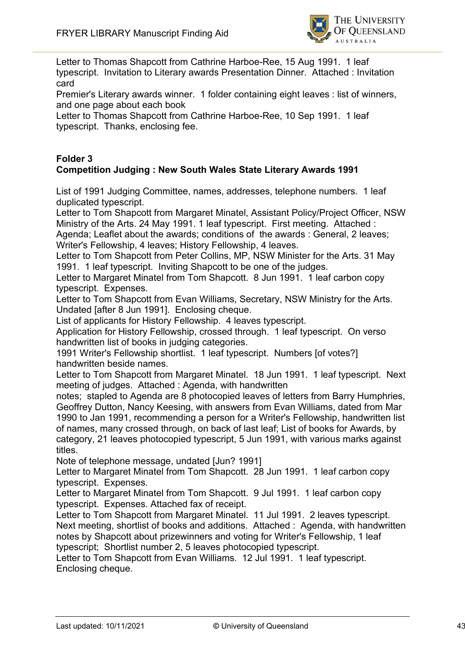

Letter to Thomas Shapcott from Cathrine Harboe-Ree, 15 Aug 1991. 1 leaf typescript. Invitation to Literary awards Presentation Dinner. Attached : Invitation card

Premier's Literary awards winner. 1 folder containing eight leaves : list of winners, and one page about each book

Letter to Thomas Shapcott from Cathrine Harboe-Ree, 10 Sep 1991. 1 leaf typescript. Thanks, enclosing fee.

#### **Folder 3 Competition Judging : New South Wales State Literary Awards 1991**

List of 1991 Judging Committee, names, addresses, telephone numbers. 1 leaf duplicated typescript.

Letter to Tom Shapcott from Margaret Minatel, Assistant Policy/Project Officer, NSW Ministry of the Arts. 24 May 1991. 1 leaf typescript. First meeting. Attached :

Agenda; Leaflet about the awards; conditions of the awards : General, 2 leaves; Writer's Fellowship, 4 leaves; History Fellowship, 4 leaves.

Letter to Tom Shapcott from Peter Collins, MP, NSW Minister for the Arts. 31 May 1991. 1 leaf typescript. Inviting Shapcott to be one of the judges.

Letter to Margaret Minatel from Tom Shapcott. 8 Jun 1991. 1 leaf carbon copy typescript. Expenses.

Letter to Tom Shapcott from Evan Williams, Secretary, NSW Ministry for the Arts. Undated [after 8 Jun 1991]. Enclosing cheque.

List of applicants for History Fellowship. 4 leaves typescript.

Application for History Fellowship, crossed through. 1 leaf typescript. On verso handwritten list of books in judging categories.

1991 Writer's Fellowship shortlist. 1 leaf typescript. Numbers [of votes?] handwritten beside names.

Letter to Tom Shapcott from Margaret Minatel. 18 Jun 1991. 1 leaf typescript. Next meeting of judges. Attached : Agenda, with handwritten

notes; stapled to Agenda are 8 photocopied leaves of letters from Barry Humphries, Geoffrey Dutton, Nancy Keesing, with answers from Evan Williams, dated from Mar 1990 to Jan 1991, recommending a person for a Writer's Fellowship, handwritten list of names, many crossed through, on back of last leaf; List of books for Awards, by category, 21 leaves photocopied typescript, 5 Jun 1991, with various marks against titles.

Note of telephone message, undated [Jun? 1991]

Letter to Margaret Minatel from Tom Shapcott. 28 Jun 1991. 1 leaf carbon copy typescript. Expenses.

Letter to Margaret Minatel from Tom Shapcott. 9 Jul 1991. 1 leaf carbon copy typescript. Expenses. Attached fax of receipt.

Letter to Tom Shapcott from Margaret Minatel. 11 Jul 1991. 2 leaves typescript. Next meeting, shortlist of books and additions. Attached : Agenda, with handwritten notes by Shapcott about prizewinners and voting for Writer's Fellowship, 1 leaf typescript; Shortlist number 2, 5 leaves photocopied typescript.

Letter to Tom Shapcott from Evan Williams. 12 Jul 1991. 1 leaf typescript. Enclosing cheque.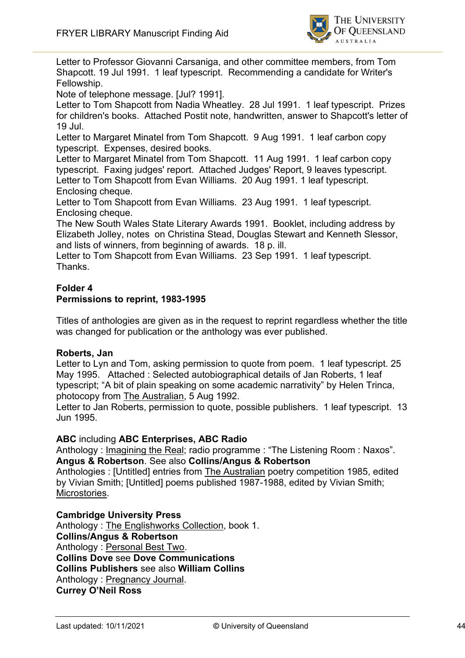

Letter to Professor Giovanni Carsaniga, and other committee members, from Tom Shapcott. 19 Jul 1991. 1 leaf typescript. Recommending a candidate for Writer's Fellowship.

Note of telephone message. [Jul? 1991].

Letter to Tom Shapcott from Nadia Wheatley. 28 Jul 1991. 1 leaf typescript. Prizes for children's books. Attached Postit note, handwritten, answer to Shapcott's letter of 19 Jul.

Letter to Margaret Minatel from Tom Shapcott. 9 Aug 1991. 1 leaf carbon copy typescript. Expenses, desired books.

Letter to Margaret Minatel from Tom Shapcott. 11 Aug 1991. 1 leaf carbon copy typescript. Faxing judges' report. Attached Judges' Report, 9 leaves typescript. Letter to Tom Shapcott from Evan Williams. 20 Aug 1991. 1 leaf typescript. Enclosing cheque.

Letter to Tom Shapcott from Evan Williams. 23 Aug 1991. 1 leaf typescript. Enclosing cheque.

The New South Wales State Literary Awards 1991. Booklet, including address by Elizabeth Jolley, notes on Christina Stead, Douglas Stewart and Kenneth Slessor, and lists of winners, from beginning of awards. 18 p. ill.

Letter to Tom Shapcott from Evan Williams. 23 Sep 1991. 1 leaf typescript. Thanks.

#### **Folder 4 Permissions to reprint, 1983-1995**

Titles of anthologies are given as in the request to reprint regardless whether the title was changed for publication or the anthology was ever published.

#### **Roberts, Jan**

Letter to Lyn and Tom, asking permission to quote from poem. 1 leaf typescript, 25 May 1995. Attached : Selected autobiographical details of Jan Roberts, 1 leaf typescript; "A bit of plain speaking on some academic narrativity" by Helen Trinca, photocopy from The Australian, 5 Aug 1992.

Letter to Jan Roberts, permission to quote, possible publishers. 1 leaf typescript. 13 Jun 1995.

**ABC** including **ABC Enterprises, ABC Radio**

Anthology : Imagining the Real; radio programme : "The Listening Room : Naxos". **Angus & Robertson**. See also **Collins/Angus & Robertson**

Anthologies : [Untitled] entries from The Australian poetry competition 1985, edited by Vivian Smith; [Untitled] poems published 1987-1988, edited by Vivian Smith; Microstories.

**Cambridge University Press**

Anthology : The Englishworks Collection, book 1. **Collins/Angus & Robertson** Anthology : Personal Best Two. **Collins Dove** see **Dove Communications Collins Publishers** see also **William Collins** Anthology : Pregnancy Journal. **Currey O'Neil Ross**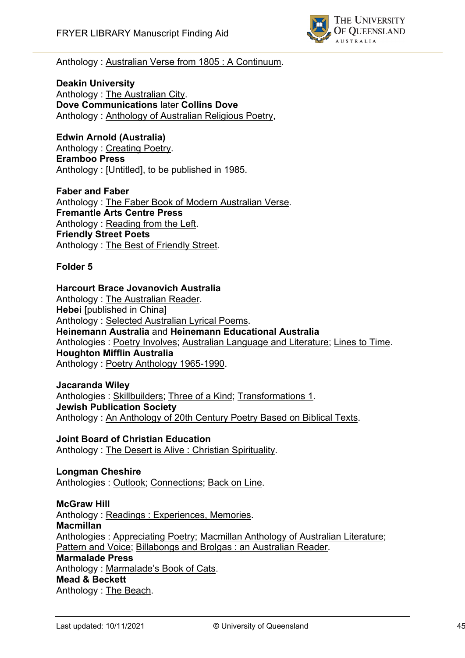

#### Anthology : Australian Verse from 1805 : A Continuum.

**Deakin University** Anthology : The Australian City. **Dove Communications** later **Collins Dove** Anthology : Anthology of Australian Religious Poetry,

#### **Edwin Arnold (Australia)**

Anthology : Creating Poetry. **Eramboo Press** Anthology : [Untitled], to be published in 1985.

**Faber and Faber** Anthology : The Faber Book of Modern Australian Verse. **Fremantle Arts Centre Press** Anthology : Reading from the Left. **Friendly Street Poets** Anthology : The Best of Friendly Street.

#### **Folder 5**

#### **Harcourt Brace Jovanovich Australia**

Anthology : The Australian Reader. **Hebei** [published in China] Anthology : Selected Australian Lyrical Poems. **Heinemann Australia** and **Heinemann Educational Australia** Anthologies : Poetry Involves; Australian Language and Literature; Lines to Time. **Houghton Mifflin Australia** Anthology : Poetry Anthology 1965-1990.

#### **Jacaranda Wiley**

Anthologies : Skillbuilders; Three of a Kind; Transformations 1. **Jewish Publication Society** Anthology : An Anthology of 20th Century Poetry Based on Biblical Texts.

**Joint Board of Christian Education** Anthology : The Desert is Alive : Christian Spirituality.

**Longman Cheshire** Anthologies : Outlook; Connections; Back on Line.

#### **McGraw Hill**

Anthology : Readings : Experiences, Memories. **Macmillan** Anthologies : Appreciating Poetry; Macmillan Anthology of Australian Literature; Pattern and Voice; Billabongs and Brolgas : an Australian Reader. **Marmalade Press** Anthology : Marmalade's Book of Cats. **Mead & Beckett** Anthology : The Beach.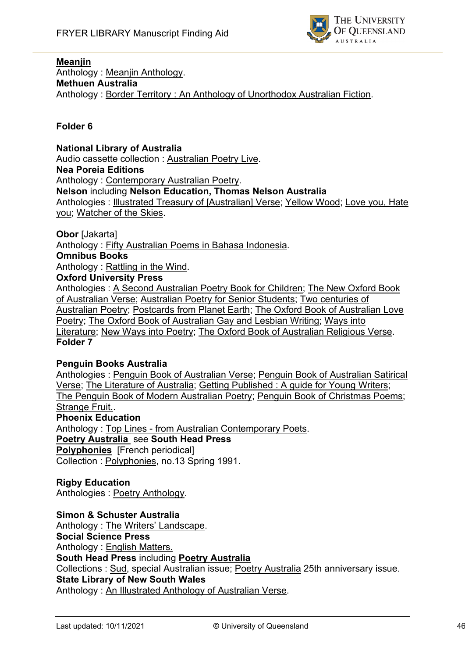

#### **Meanjin**

Anthology : Meanjin Anthology. **Methuen Australia** Anthology : Border Territory : An Anthology of Unorthodox Australian Fiction.

#### **Folder 6**

**National Library of Australia** Audio cassette collection : Australian Poetry Live. **Nea Poreia Editions** Anthology : Contemporary Australian Poetry. **Nelson** including **Nelson Education, Thomas Nelson Australia** Anthologies : Illustrated Treasury of [Australian] Verse; Yellow Wood; Love you, Hate you; Watcher of the Skies.

**Obor** [Jakarta]

Anthology : Fifty Australian Poems in Bahasa Indonesia.

#### **Omnibus Books**

Anthology : Rattling in the Wind.

**Oxford University Press**

Anthologies : A Second Australian Poetry Book for Children; The New Oxford Book of Australian Verse; Australian Poetry for Senior Students; Two centuries of Australian Poetry; Postcards from Planet Earth; The Oxford Book of Australian Love Poetry; The Oxford Book of Australian Gay and Lesbian Writing; Ways into Literature; New Ways into Poetry; The Oxford Book of Australian Religious Verse. **Folder 7**

#### **Penguin Books Australia**

Anthologies : Penguin Book of Australian Verse; Penguin Book of Australian Satirical Verse; The Literature of Australia; Getting Published : A guide for Young Writers; The Penguin Book of Modern Australian Poetry; Penguin Book of Christmas Poems; Strange Fruit..

#### **Phoenix Education**

Anthology : Top Lines - from Australian Contemporary Poets. **Poetry Australia** see **South Head Press**

**Polyphonies** [French periodical]

Collection : Polyphonies, no.13 Spring 1991.

#### **Rigby Education**

Anthologies : Poetry Anthology.

#### **Simon & Schuster Australia**

Anthology : The Writers' Landscape. **Social Science Press** Anthology : English Matters. **South Head Press** including **Poetry Australia** Collections : Sud, special Australian issue; Poetry Australia 25th anniversary issue. **State Library of New South Wales** Anthology : An Illustrated Anthology of Australian Verse.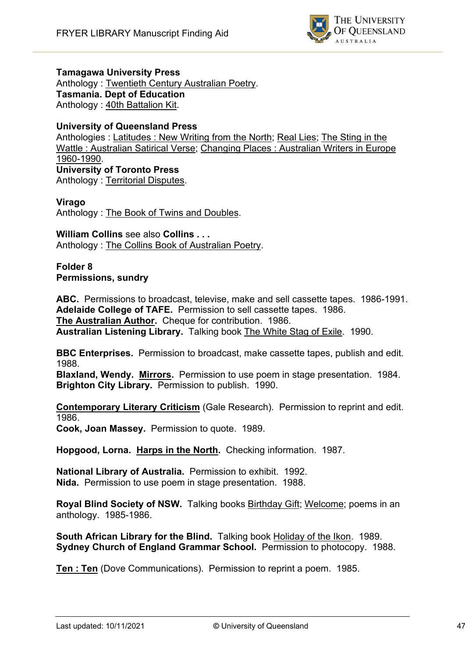

#### **Tamagawa University Press**

Anthology : Twentieth Century Australian Poetry. **Tasmania. Dept of Education** Anthology : 40th Battalion Kit.

#### **University of Queensland Press**

Anthologies : Latitudes : New Writing from the North; Real Lies; The Sting in the Wattle : Australian Satirical Verse; Changing Places : Australian Writers in Europe 1960-1990. **University of Toronto Press** Anthology : Territorial Disputes.

#### **Virago**

Anthology : The Book of Twins and Doubles.

**William Collins** see also **Collins . . .** Anthology : The Collins Book of Australian Poetry.

**Folder 8 Permissions, sundry**

**ABC.** Permissions to broadcast, televise, make and sell cassette tapes. 1986-1991. **Adelaide College of TAFE.** Permission to sell cassette tapes. 1986. **The Australian Author.** Cheque for contribution. 1986. **Australian Listening Library.** Talking book The White Stag of Exile. 1990.

**BBC Enterprises.** Permission to broadcast, make cassette tapes, publish and edit. 1988.

**Blaxland, Wendy. Mirrors.** Permission to use poem in stage presentation. 1984. **Brighton City Library.** Permission to publish. 1990.

**Contemporary Literary Criticism** (Gale Research). Permission to reprint and edit. 1986.

**Cook, Joan Massey.** Permission to quote. 1989.

**Hopgood, Lorna. Harps in the North.** Checking information. 1987.

**National Library of Australia.** Permission to exhibit. 1992. **Nida.** Permission to use poem in stage presentation. 1988.

**Royal Blind Society of NSW.** Talking books Birthday Gift; Welcome; poems in an anthology. 1985-1986.

**South African Library for the Blind.** Talking book Holiday of the Ikon. 1989. **Sydney Church of England Grammar School.** Permission to photocopy. 1988.

**Ten : Ten** (Dove Communications). Permission to reprint a poem. 1985.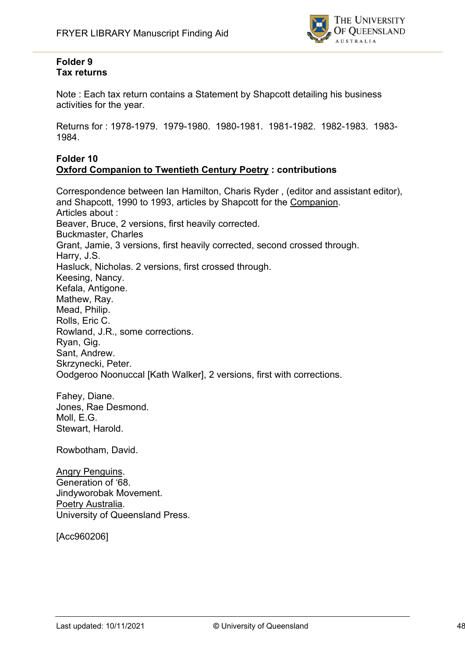

#### **Folder 9 Tax returns**

Note : Each tax return contains a Statement by Shapcott detailing his business activities for the year.

Returns for : 1978-1979. 1979-1980. 1980-1981. 1981-1982. 1982-1983. 1983- 1984.

#### **Folder 10 Oxford Companion to Twentieth Century Poetry : contributions**

Correspondence between Ian Hamilton, Charis Ryder , (editor and assistant editor), and Shapcott, 1990 to 1993, articles by Shapcott for the Companion. Articles about : Beaver, Bruce, 2 versions, first heavily corrected. Buckmaster, Charles Grant, Jamie, 3 versions, first heavily corrected, second crossed through. Harry, J.S. Hasluck, Nicholas. 2 versions, first crossed through. Keesing, Nancy. Kefala, Antigone. Mathew, Ray. Mead, Philip. Rolls, Eric C. Rowland, J.R., some corrections. Ryan, Gig. Sant, Andrew. Skrzynecki, Peter. Oodgeroo Noonuccal [Kath Walker], 2 versions, first with corrections.

Fahey, Diane. Jones, Rae Desmond. Moll, E.G. Stewart, Harold.

Rowbotham, David.

**Angry Penguins.** Generation of '68. Jindyworobak Movement. Poetry Australia. University of Queensland Press.

[Acc960206]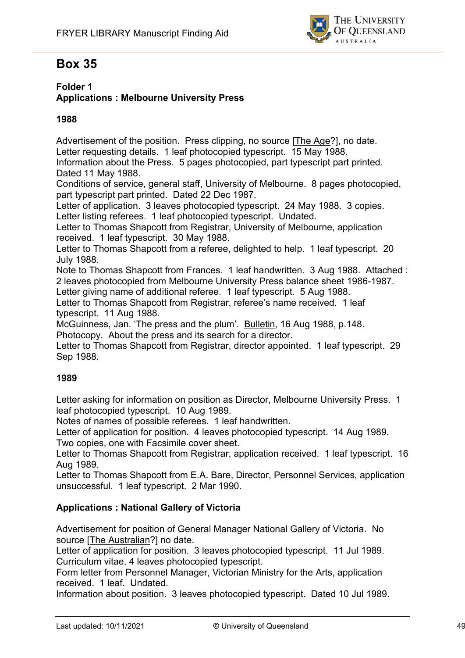

# **Box 35**

#### **Folder 1 Applications : Melbourne University Press**

#### **1988**

Advertisement of the position. Press clipping, no source [The Age?], no date. Letter requesting details. 1 leaf photocopied typescript. 15 May 1988.

Information about the Press. 5 pages photocopied, part typescript part printed. Dated 11 May 1988.

Conditions of service, general staff, University of Melbourne. 8 pages photocopied, part typescript part printed. Dated 22 Dec 1987.

Letter of application. 3 leaves photocopied typescript. 24 May 1988. 3 copies. Letter listing referees. 1 leaf photocopied typescript. Undated.

Letter to Thomas Shapcott from Registrar, University of Melbourne, application received. 1 leaf typescript. 30 May 1988.

Letter to Thomas Shapcott from a referee, delighted to help. 1 leaf typescript. 20 July 1988.

Note to Thomas Shapcott from Frances. 1 leaf handwritten. 3 Aug 1988. Attached : 2 leaves photocopied from Melbourne University Press balance sheet 1986-1987.

Letter giving name of additional referee. 1 leaf typescript. 5 Aug 1988.

Letter to Thomas Shapcott from Registrar, referee's name received. 1 leaf typescript. 11 Aug 1988.

McGuinness, Jan. 'The press and the plum'. Bulletin, 16 Aug 1988, p.148. Photocopy. About the press and its search for a director.

Letter to Thomas Shapcott from Registrar, director appointed. 1 leaf typescript. 29 Sep 1988.

#### **1989**

Letter asking for information on position as Director, Melbourne University Press. 1 leaf photocopied typescript. 10 Aug 1989.

Notes of names of possible referees. 1 leaf handwritten.

Letter of application for position. 4 leaves photocopied typescript. 14 Aug 1989. Two copies, one with Facsimile cover sheet.

Letter to Thomas Shapcott from Registrar, application received. 1 leaf typescript. 16 Aug 1989.

Letter to Thomas Shapcott from E.A. Bare, Director, Personnel Services, application unsuccessful. 1 leaf typescript. 2 Mar 1990.

#### **Applications : National Gallery of Victoria**

Advertisement for position of General Manager National Gallery of Victoria. No source [The Australian?] no date.

Letter of application for position. 3 leaves photocopied typescript. 11 Jul 1989. Curriculum vitae. 4 leaves photocopied typescript.

Form letter from Personnel Manager, Victorian Ministry for the Arts, application received. 1 leaf. Undated.

Information about position. 3 leaves photocopied typescript. Dated 10 Jul 1989.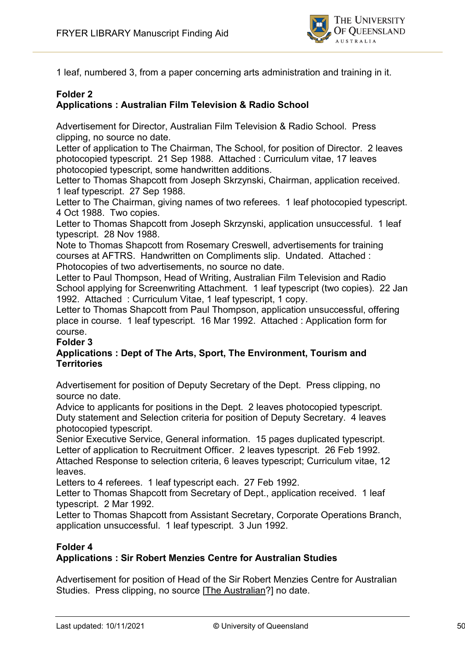

1 leaf, numbered 3, from a paper concerning arts administration and training in it.

#### **Folder 2 Applications : Australian Film Television & Radio School**

Advertisement for Director, Australian Film Television & Radio School. Press clipping, no source no date.

Letter of application to The Chairman, The School, for position of Director. 2 leaves photocopied typescript. 21 Sep 1988. Attached : Curriculum vitae, 17 leaves photocopied typescript, some handwritten additions.

Letter to Thomas Shapcott from Joseph Skrzynski, Chairman, application received. 1 leaf typescript. 27 Sep 1988.

Letter to The Chairman, giving names of two referees. 1 leaf photocopied typescript. 4 Oct 1988. Two copies.

Letter to Thomas Shapcott from Joseph Skrzynski, application unsuccessful. 1 leaf typescript. 28 Nov 1988.

Note to Thomas Shapcott from Rosemary Creswell, advertisements for training courses at AFTRS. Handwritten on Compliments slip. Undated. Attached : Photocopies of two advertisements, no source no date.

Letter to Paul Thompson, Head of Writing, Australian Film Television and Radio School applying for Screenwriting Attachment. 1 leaf typescript (two copies). 22 Jan 1992. Attached : Curriculum Vitae, 1 leaf typescript, 1 copy.

Letter to Thomas Shapcott from Paul Thompson, application unsuccessful, offering place in course. 1 leaf typescript. 16 Mar 1992. Attached : Application form for course.

#### **Folder 3**

#### **Applications : Dept of The Arts, Sport, The Environment, Tourism and Territories**

Advertisement for position of Deputy Secretary of the Dept. Press clipping, no source no date.

Advice to applicants for positions in the Dept. 2 leaves photocopied typescript. Duty statement and Selection criteria for position of Deputy Secretary. 4 leaves photocopied typescript.

Senior Executive Service, General information. 15 pages duplicated typescript. Letter of application to Recruitment Officer. 2 leaves typescript. 26 Feb 1992. Attached Response to selection criteria, 6 leaves typescript; Curriculum vitae, 12 leaves.

Letters to 4 referees. 1 leaf typescript each. 27 Feb 1992.

Letter to Thomas Shapcott from Secretary of Dept., application received. 1 leaf typescript. 2 Mar 1992.

Letter to Thomas Shapcott from Assistant Secretary, Corporate Operations Branch, application unsuccessful. 1 leaf typescript. 3 Jun 1992.

#### **Folder 4**

#### **Applications : Sir Robert Menzies Centre for Australian Studies**

Advertisement for position of Head of the Sir Robert Menzies Centre for Australian Studies. Press clipping, no source [The Australian?] no date.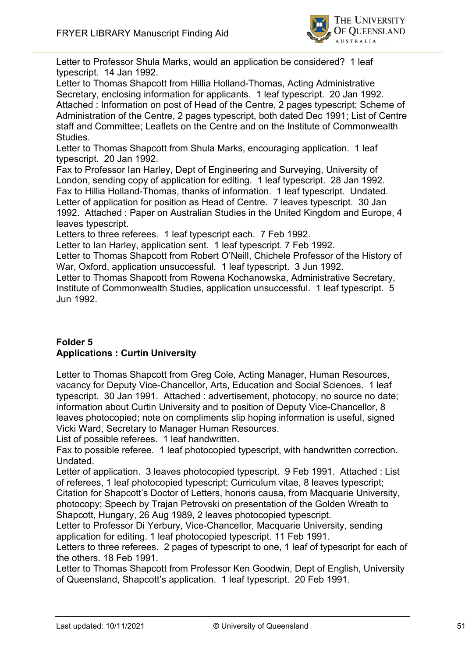

Letter to Professor Shula Marks, would an application be considered? 1 leaf typescript. 14 Jan 1992.

Letter to Thomas Shapcott from Hillia Holland-Thomas, Acting Administrative Secretary, enclosing information for applicants. 1 leaf typescript. 20 Jan 1992. Attached : Information on post of Head of the Centre, 2 pages typescript; Scheme of Administration of the Centre, 2 pages typescript, both dated Dec 1991; List of Centre staff and Committee; Leaflets on the Centre and on the Institute of Commonwealth Studies.

Letter to Thomas Shapcott from Shula Marks, encouraging application. 1 leaf typescript. 20 Jan 1992.

Fax to Professor Ian Harley, Dept of Engineering and Surveying, University of London, sending copy of application for editing. 1 leaf typescript. 28 Jan 1992. Fax to Hillia Holland-Thomas, thanks of information. 1 leaf typescript. Undated. Letter of application for position as Head of Centre. 7 leaves typescript. 30 Jan 1992. Attached : Paper on Australian Studies in the United Kingdom and Europe, 4 leaves typescript.

Letters to three referees. 1 leaf typescript each. 7 Feb 1992.

Letter to Ian Harley, application sent. 1 leaf typescript. 7 Feb 1992.

Letter to Thomas Shapcott from Robert O'Neill, Chichele Professor of the History of War, Oxford, application unsuccessful. 1 leaf typescript. 3 Jun 1992.

Letter to Thomas Shapcott from Rowena Kochanowska, Administrative Secretary, Institute of Commonwealth Studies, application unsuccessful. 1 leaf typescript. 5 Jun 1992.

#### **Folder 5 Applications : Curtin University**

Letter to Thomas Shapcott from Greg Cole, Acting Manager, Human Resources, vacancy for Deputy Vice-Chancellor, Arts, Education and Social Sciences. 1 leaf typescript. 30 Jan 1991. Attached : advertisement, photocopy, no source no date; information about Curtin University and to position of Deputy Vice-Chancellor, 8 leaves photocopied; note on compliments slip hoping information is useful, signed Vicki Ward, Secretary to Manager Human Resources.

List of possible referees. 1 leaf handwritten.

Fax to possible referee. 1 leaf photocopied typescript, with handwritten correction. Undated.

Letter of application. 3 leaves photocopied typescript. 9 Feb 1991. Attached : List of referees, 1 leaf photocopied typescript; Curriculum vitae, 8 leaves typescript; Citation for Shapcott's Doctor of Letters, honoris causa, from Macquarie University, photocopy; Speech by Trajan Petrovski on presentation of the Golden Wreath to Shapcott, Hungary, 26 Aug 1989, 2 leaves photocopied typescript.

Letter to Professor Di Yerbury, Vice-Chancellor, Macquarie University, sending application for editing. 1 leaf photocopied typescript. 11 Feb 1991.

Letters to three referees. 2 pages of typescript to one, 1 leaf of typescript for each of the others. 18 Feb 1991.

Letter to Thomas Shapcott from Professor Ken Goodwin, Dept of English, University of Queensland, Shapcott's application. 1 leaf typescript. 20 Feb 1991.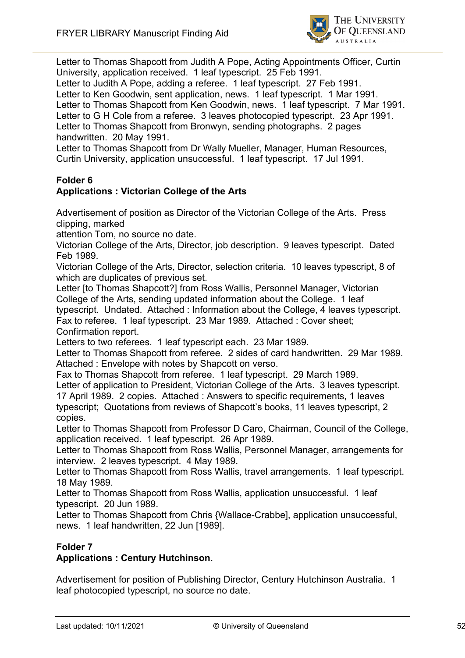

Letter to Thomas Shapcott from Judith A Pope, Acting Appointments Officer, Curtin University, application received. 1 leaf typescript. 25 Feb 1991.

Letter to Judith A Pope, adding a referee. 1 leaf typescript. 27 Feb 1991. Letter to Ken Goodwin, sent application, news. 1 leaf typescript. 1 Mar 1991. Letter to Thomas Shapcott from Ken Goodwin, news. 1 leaf typescript. 7 Mar 1991. Letter to G H Cole from a referee. 3 leaves photocopied typescript. 23 Apr 1991. Letter to Thomas Shapcott from Bronwyn, sending photographs. 2 pages handwritten. 20 May 1991.

Letter to Thomas Shapcott from Dr Wally Mueller, Manager, Human Resources, Curtin University, application unsuccessful. 1 leaf typescript. 17 Jul 1991.

# **Folder 6**

### **Applications : Victorian College of the Arts**

Advertisement of position as Director of the Victorian College of the Arts. Press clipping, marked

attention Tom, no source no date.

Victorian College of the Arts, Director, job description. 9 leaves typescript. Dated Feb 1989.

Victorian College of the Arts, Director, selection criteria. 10 leaves typescript, 8 of which are duplicates of previous set.

Letter [to Thomas Shapcott?] from Ross Wallis, Personnel Manager, Victorian College of the Arts, sending updated information about the College. 1 leaf

typescript. Undated. Attached : Information about the College, 4 leaves typescript. Fax to referee. 1 leaf typescript. 23 Mar 1989. Attached : Cover sheet; Confirmation report.

Letters to two referees. 1 leaf typescript each. 23 Mar 1989.

Letter to Thomas Shapcott from referee. 2 sides of card handwritten. 29 Mar 1989. Attached : Envelope with notes by Shapcott on verso.

Fax to Thomas Shapcott from referee. 1 leaf typescript. 29 March 1989.

Letter of application to President, Victorian College of the Arts. 3 leaves typescript.

17 April 1989. 2 copies. Attached : Answers to specific requirements, 1 leaves typescript; Quotations from reviews of Shapcott's books, 11 leaves typescript, 2 copies.

Letter to Thomas Shapcott from Professor D Caro, Chairman, Council of the College, application received. 1 leaf typescript. 26 Apr 1989.

Letter to Thomas Shapcott from Ross Wallis, Personnel Manager, arrangements for interview. 2 leaves typescript. 4 May 1989.

Letter to Thomas Shapcott from Ross Wallis, travel arrangements. 1 leaf typescript. 18 May 1989.

Letter to Thomas Shapcott from Ross Wallis, application unsuccessful. 1 leaf typescript. 20 Jun 1989.

Letter to Thomas Shapcott from Chris {Wallace-Crabbe], application unsuccessful, news. 1 leaf handwritten, 22 Jun [1989].

#### **Folder 7**

#### **Applications : Century Hutchinson.**

Advertisement for position of Publishing Director, Century Hutchinson Australia. 1 leaf photocopied typescript, no source no date.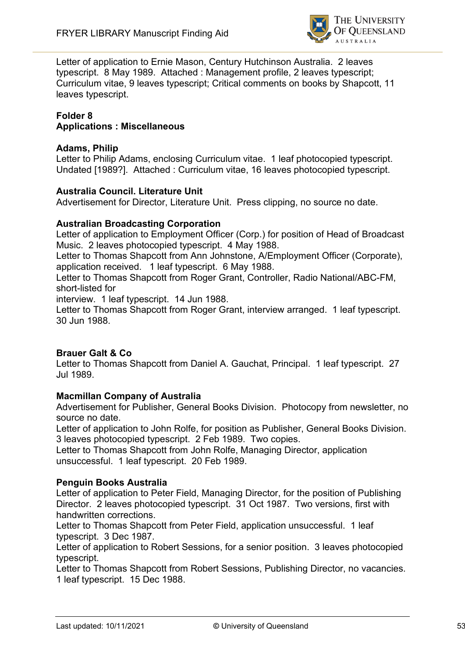

Letter of application to Ernie Mason, Century Hutchinson Australia. 2 leaves typescript. 8 May 1989. Attached : Management profile, 2 leaves typescript; Curriculum vitae, 9 leaves typescript; Critical comments on books by Shapcott, 11 leaves typescript.

#### **Folder 8 Applications : Miscellaneous**

#### **Adams, Philip**

Letter to Philip Adams, enclosing Curriculum vitae. 1 leaf photocopied typescript. Undated [1989?]. Attached : Curriculum vitae, 16 leaves photocopied typescript.

#### **Australia Council. Literature Unit**

Advertisement for Director, Literature Unit. Press clipping, no source no date.

#### **Australian Broadcasting Corporation**

Letter of application to Employment Officer (Corp.) for position of Head of Broadcast Music. 2 leaves photocopied typescript. 4 May 1988.

Letter to Thomas Shapcott from Ann Johnstone, A/Employment Officer (Corporate), application received. 1 leaf typescript. 6 May 1988.

Letter to Thomas Shapcott from Roger Grant, Controller, Radio National/ABC-FM, short-listed for

interview. 1 leaf typescript. 14 Jun 1988.

Letter to Thomas Shapcott from Roger Grant, interview arranged. 1 leaf typescript. 30 Jun 1988.

#### **Brauer Galt & Co**

Letter to Thomas Shapcott from Daniel A. Gauchat, Principal. 1 leaf typescript. 27 Jul 1989.

#### **Macmillan Company of Australia**

Advertisement for Publisher, General Books Division. Photocopy from newsletter, no source no date.

Letter of application to John Rolfe, for position as Publisher, General Books Division. 3 leaves photocopied typescript. 2 Feb 1989. Two copies.

Letter to Thomas Shapcott from John Rolfe, Managing Director, application unsuccessful. 1 leaf typescript. 20 Feb 1989.

#### **Penguin Books Australia**

Letter of application to Peter Field, Managing Director, for the position of Publishing Director. 2 leaves photocopied typescript. 31 Oct 1987. Two versions, first with handwritten corrections.

Letter to Thomas Shapcott from Peter Field, application unsuccessful. 1 leaf typescript. 3 Dec 1987.

Letter of application to Robert Sessions, for a senior position. 3 leaves photocopied typescript.

Letter to Thomas Shapcott from Robert Sessions, Publishing Director, no vacancies. 1 leaf typescript. 15 Dec 1988.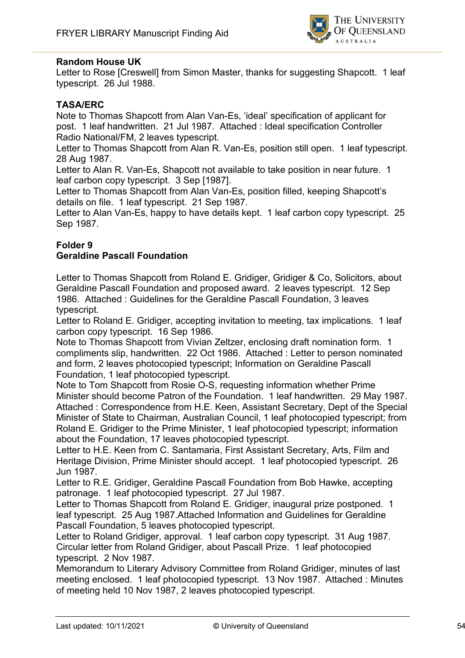

#### **Random House UK**

Letter to Rose [Creswell] from Simon Master, thanks for suggesting Shapcott. 1 leaf typescript. 26 Jul 1988.

#### **TASA/ERC**

Note to Thomas Shapcott from Alan Van-Es, 'ideal' specification of applicant for post. 1 leaf handwritten. 21 Jul 1987. Attached : Ideal specification Controller Radio National/FM, 2 leaves typescript.

Letter to Thomas Shapcott from Alan R. Van-Es, position still open. 1 leaf typescript. 28 Aug 1987.

Letter to Alan R. Van-Es, Shapcott not available to take position in near future. 1 leaf carbon copy typescript. 3 Sep [1987].

Letter to Thomas Shapcott from Alan Van-Es, position filled, keeping Shapcott's details on file. 1 leaf typescript. 21 Sep 1987.

Letter to Alan Van-Es, happy to have details kept. 1 leaf carbon copy typescript. 25 Sep 1987.

#### **Folder 9**

#### **Geraldine Pascall Foundation**

Letter to Thomas Shapcott from Roland E. Gridiger, Gridiger & Co, Solicitors, about Geraldine Pascall Foundation and proposed award. 2 leaves typescript. 12 Sep 1986. Attached : Guidelines for the Geraldine Pascall Foundation, 3 leaves typescript.

Letter to Roland E. Gridiger, accepting invitation to meeting, tax implications. 1 leaf carbon copy typescript. 16 Sep 1986.

Note to Thomas Shapcott from Vivian Zeltzer, enclosing draft nomination form. 1 compliments slip, handwritten. 22 Oct 1986. Attached : Letter to person nominated and form, 2 leaves photocopied typescript; Information on Geraldine Pascall Foundation, 1 leaf photocopied typescript.

Note to Tom Shapcott from Rosie O-S, requesting information whether Prime Minister should become Patron of the Foundation. 1 leaf handwritten. 29 May 1987. Attached : Correspondence from H.E. Keen, Assistant Secretary, Dept of the Special Minister of State to Chairman, Australian Council, 1 leaf photocopied typescript; from Roland E. Gridiger to the Prime Minister, 1 leaf photocopied typescript; information about the Foundation, 17 leaves photocopied typescript.

Letter to H.E. Keen from C. Santamaria, First Assistant Secretary, Arts, Film and Heritage Division, Prime Minister should accept. 1 leaf photocopied typescript. 26 Jun 1987.

Letter to R.E. Gridiger, Geraldine Pascall Foundation from Bob Hawke, accepting patronage. 1 leaf photocopied typescript. 27 Jul 1987.

Letter to Thomas Shapcott from Roland E. Gridiger, inaugural prize postponed. 1 leaf typescript. 25 Aug 1987.Attached Information and Guidelines for Geraldine Pascall Foundation, 5 leaves photocopied typescript.

Letter to Roland Gridiger, approval. 1 leaf carbon copy typescript. 31 Aug 1987. Circular letter from Roland Gridiger, about Pascall Prize. 1 leaf photocopied typescript. 2 Nov 1987.

Memorandum to Literary Advisory Committee from Roland Gridiger, minutes of last meeting enclosed. 1 leaf photocopied typescript. 13 Nov 1987. Attached : Minutes of meeting held 10 Nov 1987, 2 leaves photocopied typescript.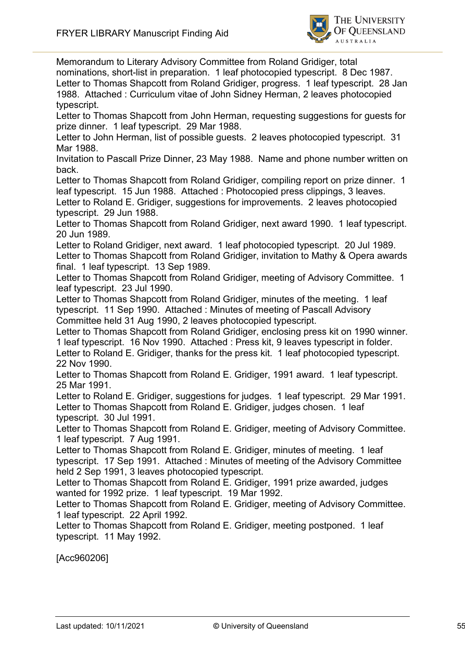

Memorandum to Literary Advisory Committee from Roland Gridiger, total nominations, short-list in preparation. 1 leaf photocopied typescript. 8 Dec 1987. Letter to Thomas Shapcott from Roland Gridiger, progress. 1 leaf typescript. 28 Jan 1988. Attached : Curriculum vitae of John Sidney Herman, 2 leaves photocopied typescript.

Letter to Thomas Shapcott from John Herman, requesting suggestions for guests for prize dinner. 1 leaf typescript. 29 Mar 1988.

Letter to John Herman, list of possible guests. 2 leaves photocopied typescript. 31 Mar 1988.

Invitation to Pascall Prize Dinner, 23 May 1988. Name and phone number written on back.

Letter to Thomas Shapcott from Roland Gridiger, compiling report on prize dinner. 1 leaf typescript. 15 Jun 1988. Attached : Photocopied press clippings, 3 leaves.

Letter to Roland E. Gridiger, suggestions for improvements. 2 leaves photocopied typescript. 29 Jun 1988.

Letter to Thomas Shapcott from Roland Gridiger, next award 1990. 1 leaf typescript. 20 Jun 1989.

Letter to Roland Gridiger, next award. 1 leaf photocopied typescript. 20 Jul 1989. Letter to Thomas Shapcott from Roland Gridiger, invitation to Mathy & Opera awards final. 1 leaf typescript. 13 Sep 1989.

Letter to Thomas Shapcott from Roland Gridiger, meeting of Advisory Committee. 1 leaf typescript. 23 Jul 1990.

Letter to Thomas Shapcott from Roland Gridiger, minutes of the meeting. 1 leaf typescript. 11 Sep 1990. Attached : Minutes of meeting of Pascall Advisory Committee held 31 Aug 1990, 2 leaves photocopied typescript.

Letter to Thomas Shapcott from Roland Gridiger, enclosing press kit on 1990 winner. 1 leaf typescript. 16 Nov 1990. Attached : Press kit, 9 leaves typescript in folder. Letter to Roland E. Gridiger, thanks for the press kit. 1 leaf photocopied typescript. 22 Nov 1990.

Letter to Thomas Shapcott from Roland E. Gridiger, 1991 award. 1 leaf typescript. 25 Mar 1991.

Letter to Roland E. Gridiger, suggestions for judges. 1 leaf typescript. 29 Mar 1991. Letter to Thomas Shapcott from Roland E. Gridiger, judges chosen. 1 leaf typescript. 30 Jul 1991.

Letter to Thomas Shapcott from Roland E. Gridiger, meeting of Advisory Committee. 1 leaf typescript. 7 Aug 1991.

Letter to Thomas Shapcott from Roland E. Gridiger, minutes of meeting. 1 leaf typescript. 17 Sep 1991. Attached : Minutes of meeting of the Advisory Committee held 2 Sep 1991, 3 leaves photocopied typescript.

Letter to Thomas Shapcott from Roland E. Gridiger, 1991 prize awarded, judges wanted for 1992 prize. 1 leaf typescript. 19 Mar 1992.

Letter to Thomas Shapcott from Roland E. Gridiger, meeting of Advisory Committee. 1 leaf typescript. 22 April 1992.

Letter to Thomas Shapcott from Roland E. Gridiger, meeting postponed. 1 leaf typescript. 11 May 1992.

[Acc960206]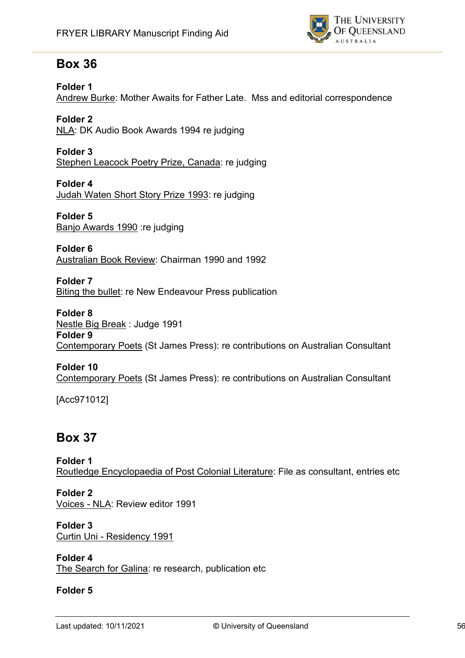

# **Box 36**

#### **Folder 1**

Andrew Burke: Mother Awaits for Father Late. Mss and editorial correspondence

**Folder 2** NLA: DK Audio Book Awards 1994 re judging

**Folder 3** Stephen Leacock Poetry Prize, Canada: re judging

**Folder 4** Judah Waten Short Story Prize 1993: re judging

**Folder 5** Banjo Awards 1990 :re judging

**Folder 6** Australian Book Review: Chairman 1990 and 1992

**Folder 7** Biting the bullet: re New Endeavour Press publication

**Folder 8** Nestle Big Break : Judge 1991 **Folder 9** Contemporary Poets (St James Press): re contributions on Australian Consultant

#### **Folder 10**

Contemporary Poets (St James Press): re contributions on Australian Consultant

[Acc971012]

# **Box 37**

**Folder 1** Routledge Encyclopaedia of Post Colonial Literature: File as consultant, entries etc

**Folder 2** Voices - NLA: Review editor 1991

**Folder 3** Curtin Uni - Residency 1991

**Folder 4** The Search for Galina: re research, publication etc

#### **Folder 5**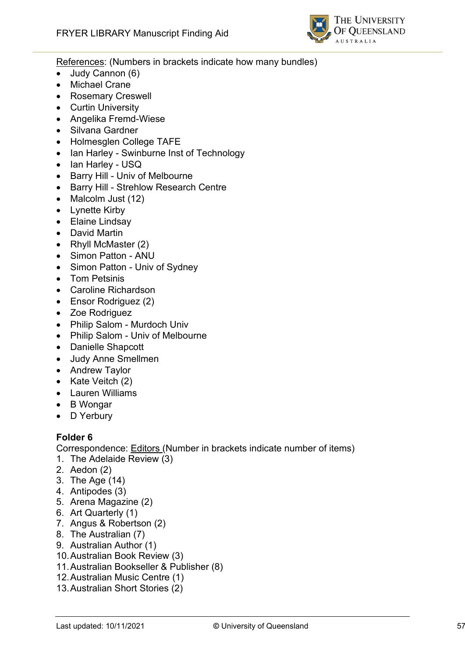

References: (Numbers in brackets indicate how many bundles)

- Judy Cannon (6)
- Michael Crane
- Rosemary Creswell
- Curtin University
- Angelika Fremd-Wiese
- Silvana Gardner
- Holmesglen College TAFE
- Ian Harley Swinburne Inst of Technology
- Ian Harley USQ
- Barry Hill Univ of Melbourne
- Barry Hill Strehlow Research Centre
- Malcolm Just (12)
- Lynette Kirby
- Elaine Lindsay
- David Martin
- Rhyll McMaster (2)
- Simon Patton ANU
- Simon Patton Univ of Sydney
- Tom Petsinis
- Caroline Richardson
- Ensor Rodriguez (2)
- Zoe Rodriguez
- Philip Salom Murdoch Univ
- Philip Salom Univ of Melbourne
- Danielle Shapcott
- Judy Anne Smellmen
- Andrew Taylor
- Kate Veitch (2)
- Lauren Williams
- B Wongar
- D Yerbury

#### **Folder 6**

Correspondence: Editors (Number in brackets indicate number of items)

- 1. The Adelaide Review (3)
- 2. Aedon (2)
- 3. The Age (14)
- 4. Antipodes (3)
- 5. Arena Magazine (2)
- 6. Art Quarterly (1)
- 7. Angus & Robertson (2)
- 8. The Australian (7)
- 9. Australian Author (1)
- 10.Australian Book Review (3)
- 11.Australian Bookseller & Publisher (8)
- 12.Australian Music Centre (1)
- 13.Australian Short Stories (2)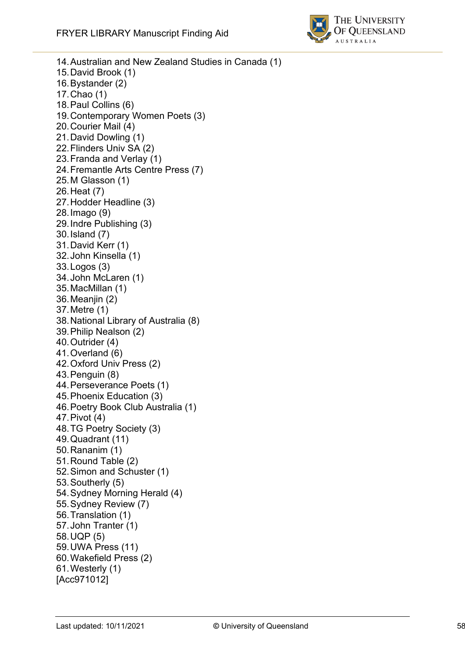

14.Australian and New Zealand Studies in Canada (1) 15.David Brook (1) 16.Bystander (2) 17.Chao (1) 18.Paul Collins (6) 19.Contemporary Women Poets (3) 20.Courier Mail (4) 21.David Dowling (1) 22.Flinders Univ SA (2) 23.Franda and Verlay (1) 24.Fremantle Arts Centre Press (7) 25.M Glasson (1) 26.Heat (7) 27.Hodder Headline (3) 28.Imago (9) 29.Indre Publishing (3) 30.Island (7) 31.David Kerr (1) 32.John Kinsella (1) 33.Logos (3) 34.John McLaren (1) 35.MacMillan (1) 36.Meanjin (2) 37.Metre (1) 38.National Library of Australia (8) 39.Philip Nealson (2) 40.Outrider (4) 41.Overland (6) 42.Oxford Univ Press (2) 43.Penguin (8) 44.Perseverance Poets (1) 45.Phoenix Education (3) 46.Poetry Book Club Australia (1) 47.Pivot (4) 48.TG Poetry Society (3) 49.Quadrant (11) 50.Rananim (1) 51.Round Table (2) 52.Simon and Schuster (1) 53.Southerly (5) 54.Sydney Morning Herald (4) 55.Sydney Review (7) 56.Translation (1) 57.John Tranter (1) 58.UQP (5) 59.UWA Press (11) 60.Wakefield Press (2) 61.Westerly (1) [Acc971012]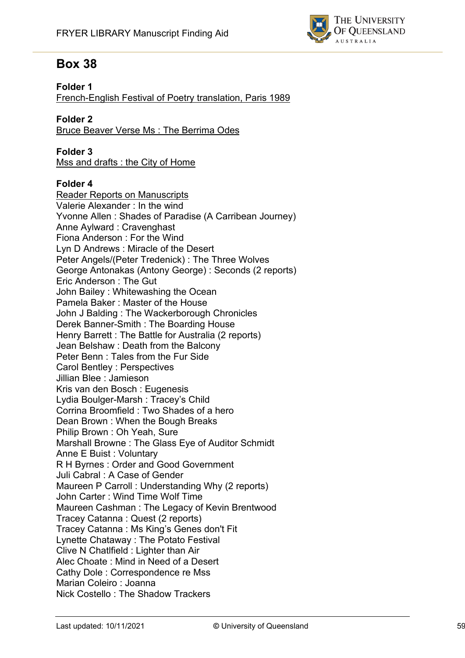

# **Box 38**

#### **Folder 1**

French -English Festival of Poetry translation, Paris 1989

#### **Folder 2**

Bruce Beaver Verse Ms : The Berrima Odes

#### **Folder 3**

Mss and drafts : the City of Home

#### **Folder 4**

Reader Reports on Manuscripts Valerie Alexander : In the wind Yvonne Allen : Shades of Paradise (A Carribean Journey) Anne Aylward : Cravenghast Fiona Anderson : For the Wind Lyn D Andrews : Miracle of the Desert Peter Angels/(Peter Tredenick) : The Three Wolves George Antonakas (Antony George) : Seconds (2 reports) Eric Anderson : The Gut John Bailey : Whitewashing the Ocean Pamela Baker : Master of the House John J Balding : The Wackerborough Chronicles Derek Banner -Smith : The Boarding House Henry Barrett : The Battle for Australia (2 reports) Jean Belshaw : Death from the Balcony Peter Benn : Tales from the Fur Side Carol Bentley : Perspectives Jillian Blee : Jamieson Kris van den Bosch : Eugenesis Lydia Boulger -Marsh : Tracey's Child Corrina Broomfield : Two Shades of a hero Dean Brown : When the Bough Breaks Philip Brown : Oh Yeah, Sure Marshall Browne : The Glass Eye of Auditor Schmidt Anne E Buist : Voluntary R H Byrnes : Order and Good Government Juli Cabral : A Case of Gender Maureen P Carroll : Understanding Why (2 reports) John Carter : Wind Time Wolf Time Maureen Cashman : The Legacy of Kevin Brentwood Tracey Catanna : Quest (2 reports) Tracey Catanna : Ms King's Genes don't Fit Lynette Chataway : The Potato Festival Clive N Chatlfield : Lighter than Air Alec Choate : Mind in Need of a Desert Cathy Dole : Correspondence re Mss Marian Coleiro : Joanna Nick Costello : The Shadow Trackers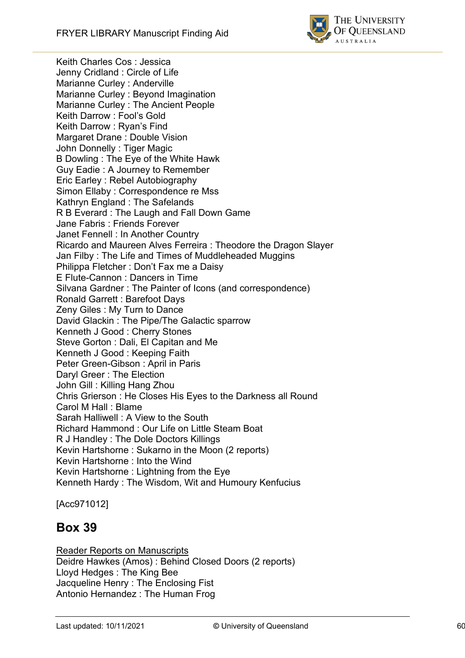

Keith Charles Cos : Jessica Jenny Cridland : Circle of Life Marianne Curley : Anderville Marianne Curley : Beyond Imagination Marianne Curley : The Ancient People Keith Darrow : Fool's Gold Keith Darrow : Ryan's Find Margaret Drane : Double Vision John Donnelly : Tiger Magic B Dowling : The Eye of the White Hawk Guy Eadie : A Journey to Remember Eric Earley : Rebel Autobiography Simon Ellaby : Correspondence re Mss Kathryn England : The Safelands R B Everard : The Laugh and Fall Down Game Jane Fabris : Friends Forever Janet Fennell : In Another Country Ricardo and Maureen Alves Ferreira : Theodore the Dragon Slayer Jan Filby : The Life and Times of Muddleheaded Muggins Philippa Fletcher : Don't Fax me a Daisy E Flute-Cannon : Dancers in Time Silvana Gardner : The Painter of Icons (and correspondence) Ronald Garrett : Barefoot Days Zeny Giles : My Turn to Dance David Glackin : The Pipe/The Galactic sparrow Kenneth J Good : Cherry Stones Steve Gorton : Dali, El Capitan and Me Kenneth J Good : Keeping Faith Peter Green-Gibson : April in Paris Daryl Greer : The Election John Gill : Killing Hang Zhou Chris Grierson : He Closes His Eyes to the Darkness all Round Carol M Hall : Blame Sarah Halliwell : A View to the South Richard Hammond : Our Life on Little Steam Boat R J Handley : The Dole Doctors Killings Kevin Hartshorne : Sukarno in the Moon (2 reports) Kevin Hartshorne : Into the Wind Kevin Hartshorne : Lightning from the Eye Kenneth Hardy : The Wisdom, Wit and Humoury Kenfucius

[Acc971012]

# **Box 39**

Reader Reports on Manuscripts Deidre Hawkes (Amos) : Behind Closed Doors (2 reports) Lloyd Hedges : The King Bee Jacqueline Henry : The Enclosing Fist Antonio Hernandez : The Human Frog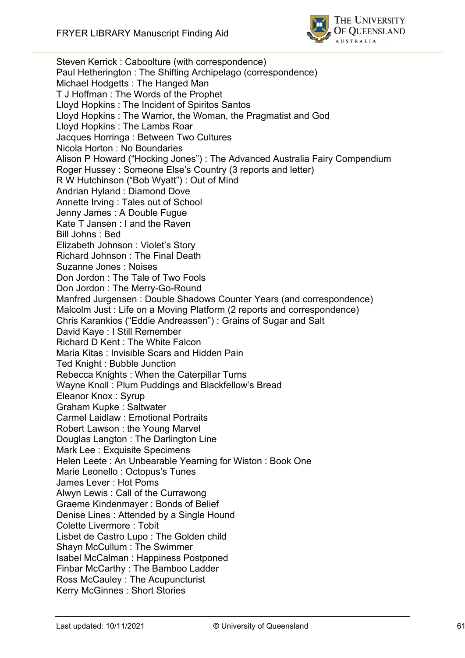

Steven Kerrick : Caboolture (with correspondence) Paul Hetherington : The Shifting Archipelago (correspondence) Michael Hodgetts : The Hanged Man T J Hoffman : The Words of the Prophet Lloyd Hopkins : The Incident of Spiritos Santos Lloyd Hopkins : The Warrior, the Woman, the Pragmatist and God Lloyd Hopkins : The Lambs Roar Jacques Horringa : Between Two Cultures Nicola Horton : No Boundaries Alison P Howard ("Hocking Jones") : The Advanced Australia Fairy Compendium Roger Hussey : Someone Else's Country (3 reports and letter) R W Hutchinson ("Bob Wyatt") : Out of Mind Andrian Hyland : Diamond Dove Annette Irving : Tales out of School Jenny James : A Double Fugue Kate T Jansen : I and the Raven Bill Johns : Bed Elizabeth Johnson : Violet's Story Richard Johnson : The Final Death Suzanne Jones : Noises Don Jordon : The Tale of Two Fools Don Jordon : The Merry-Go-Round Manfred Jurgensen : Double Shadows Counter Years (and correspondence) Malcolm Just : Life on a Moving Platform (2 reports and correspondence) Chris Karankios ("Eddie Andreassen") : Grains of Sugar and Salt David Kaye : I Still Remember Richard D Kent : The White Falcon Maria Kitas : Invisible Scars and Hidden Pain Ted Knight : Bubble Junction Rebecca Knights : When the Caterpillar Turns Wayne Knoll : Plum Puddings and Blackfellow's Bread Eleanor Knox : Syrup Graham Kupke : Saltwater Carmel Laidlaw : Emotional Portraits Robert Lawson : the Young Marvel Douglas Langton : The Darlington Line Mark Lee : Exquisite Specimens Helen Leete : An Unbearable Yearning for Wiston : Book One Marie Leonello : Octopus's Tunes James Lever : Hot Poms Alwyn Lewis : Call of the Currawong Graeme Kindenmayer : Bonds of Belief Denise Lines : Attended by a Single Hound Colette Livermore : Tobit Lisbet de Castro Lupo : The Golden child Shayn McCullum : The Swimmer Isabel McCalman : Happiness Postponed Finbar McCarthy : The Bamboo Ladder Ross McCauley : The Acupuncturist Kerry McGinnes : Short Stories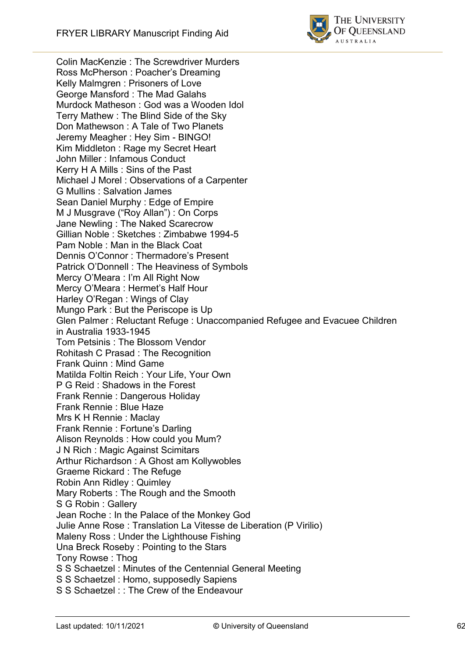

Colin MacKenzie : The Screwdriver Murders Ross McPherson : Poacher's Dreaming Kelly Malmgren : Prisoners of Love George Mansford : The Mad Galahs Murdock Matheson : God was a Wooden Idol Terry Mathew : The Blind Side of the Sky Don Mathewson : A Tale of Two Planets Jeremy Meagher : Hey Sim - BINGO! Kim Middleton : Rage my Secret Heart John Miller : Infamous Conduct Kerry H A Mills : Sins of the Past Michael J Morel : Observations of a Carpenter G Mullins : Salvation James Sean Daniel Murphy : Edge of Empire M J Musgrave ("Roy Allan") : On Corps Jane Newling : The Naked Scarecrow Gillian Noble : Sketches : Zimbabwe 1994-5 Pam Noble : Man in the Black Coat Dennis O'Connor : Thermadore's Present Patrick O'Donnell : The Heaviness of Symbols Mercy O'Meara : I'm All Right Now Mercy O'Meara : Hermet's Half Hour Harley O'Regan : Wings of Clay Mungo Park : But the Periscope is Up Glen Palmer : Reluctant Refuge : Unaccompanied Refugee and Evacuee Children in Australia 1933-1945 Tom Petsinis : The Blossom Vendor Rohitash C Prasad : The Recognition Frank Quinn : Mind Game Matilda Foltin Reich : Your Life, Your Own P G Reid : Shadows in the Forest Frank Rennie : Dangerous Holiday Frank Rennie : Blue Haze Mrs K H Rennie : Maclay Frank Rennie : Fortune's Darling Alison Reynolds : How could you Mum? J N Rich : Magic Against Scimitars Arthur Richardson : A Ghost am Kollywobles Graeme Rickard : The Refuge Robin Ann Ridley : Quimley Mary Roberts : The Rough and the Smooth S G Robin : Gallery Jean Roche : In the Palace of the Monkey God Julie Anne Rose : Translation La Vitesse de Liberation (P Virilio) Maleny Ross : Under the Lighthouse Fishing Una Breck Roseby : Pointing to the Stars Tony Rowse : Thog S S Schaetzel : Minutes of the Centennial General Meeting S S Schaetzel : Homo, supposedly Sapiens S S Schaetzel : : The Crew of the Endeavour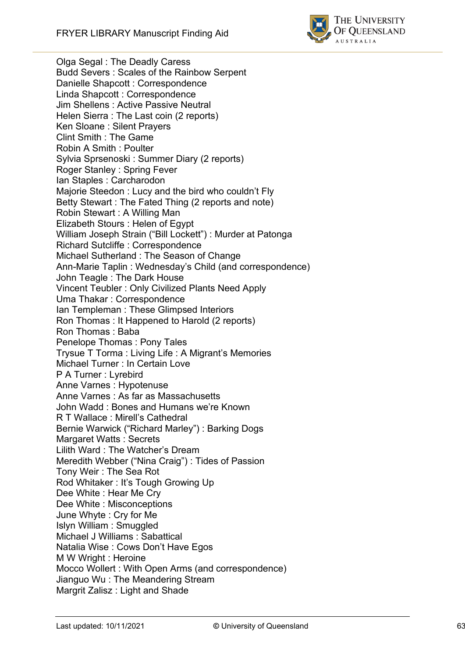

Olga Segal : The Deadly Caress Budd Severs : Scales of the Rainbow Serpent Danielle Shapcott : Correspondence Linda Shapcott : Correspondence Jim Shellens : Active Passive Neutral Helen Sierra : The Last coin (2 reports) Ken Sloane : Silent Prayers Clint Smith : The Game Robin A Smith : Poulter Sylvia Sprsenoski : Summer Diary (2 reports) Roger Stanley : Spring Fever Ian Staples : Carcharodon Majorie Steedon : Lucy and the bird who couldn't Fly Betty Stewart : The Fated Thing (2 reports and note) Robin Stewart : A Willing Man Elizabeth Stours : Helen of Egypt William Joseph Strain ("Bill Lockett") : Murder at Patonga Richard Sutcliffe : Correspondence Michael Sutherland : The Season of Change An n -Marie Taplin : Wednesday's Child (and correspondence) John Teagle : The Dark House Vincent Teubler : Only Civilized Plants Need Apply Uma Thakar : Correspondence Ian Templeman : These Glimpsed Interiors Ron Thomas : It Happened to Harold (2 reports) Ron Thomas : Baba Penelope Thomas : Pony Tales Trysue T Torma : Living Life : A Migrant's Memories Michael Turner : In Certain Love P A Turner : Lyrebird Anne Varnes : Hypotenuse Anne Varnes : As far as Massachusetts John Wadd : Bones and Humans we're Known R T Wallace : Mirell's Cathedral Bernie Warwick ("Richard Marley") : Barking Dogs Margaret Watts : Secrets Lilith Ward : The Watcher's Dream Meredith Webber ("Nina Craig") : Tides of Passion Tony Weir : The Sea Rot Rod Whitaker : It's Tough Growing Up Dee White : Hear Me Cry Dee White : Misconceptions June Whyte : Cry for Me Islyn William : Smuggled Michael J Williams : Sabattical Natalia Wise : Cows Don't Have Egos M W Wright : Heroine Mocco Wollert : With Open Arms (and correspondence) Jianguo Wu : The Meandering Stream Margrit Zalisz : Light and Shade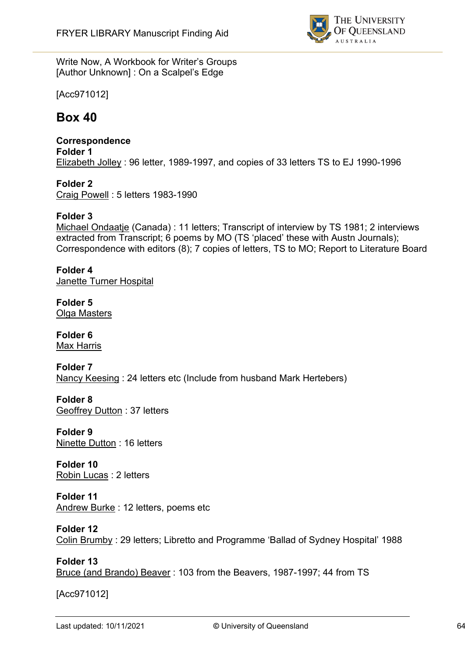

Write Now, A Workbook for Writer's Groups [Author Unknown] : On a Scalpel's Edge

[Acc971012]

# **Box 40**

**Correspondence Folder 1** Elizabeth Jolley : 96 letter, 1989-1997, and copies of 33 letters TS to EJ 1990-1996

**Folder 2** Craig Powell : 5 letters 1983-1990

#### **Folder 3**

Michael Ondaatje (Canada) : 11 letters; Transcript of interview by TS 1981; 2 interviews extracted from Transcript; 6 poems by MO (TS 'placed' these with Austn Journals); Correspondence with editors (8); 7 copies of letters, TS to MO; Report to Literature Board

**Folder 4** Janette Turner Hospital

**Folder 5** Olga Masters

**Folder 6** Max Harris

**Folder 7** Nancy Keesing : 24 letters etc (Include from husband Mark Hertebers)

**Folder 8** Geoffrey Dutton : 37 letters

**Folder 9** Ninette Dutton : 16 letters

**Folder 10** Robin Lucas : 2 letters

#### **Folder 11**

Andrew Burke : 12 letters, poems etc

**Folder 12**

Colin Brumby : 29 letters; Libretto and Programme 'Ballad of Sydney Hospital' 1988

**Folder 13** Bruce (and Brando) Beaver : 103 from the Beavers, 1987-1997; 44 from TS

[Acc971012]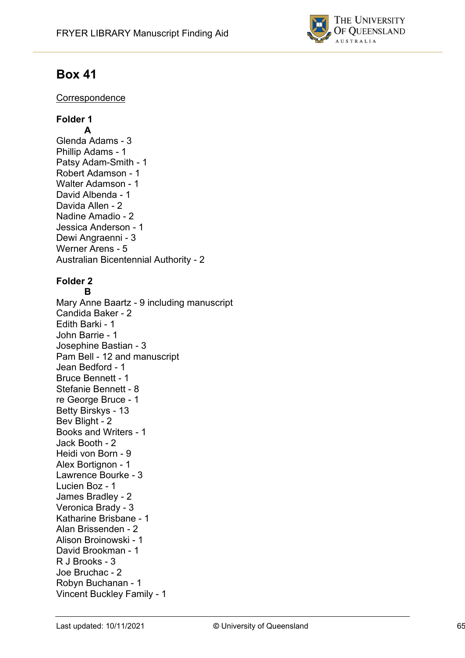

# **Box 41**

#### **Correspondence**

# **Folder 1**

**A** Glenda Adams - 3 Phillip Adams - 1 Patsy Adam-Smith - 1 Robert Adamson - 1 Walter Adamson - 1 David Albenda - 1 Davida Allen - 2 Nadine Amadio - 2 Jessica Anderson - 1 Dewi Angraenni - 3 Werner Arens - 5 Australian Bicentennial Authority - 2

#### **Folder 2 B**

Mary Anne Baartz - 9 including manuscript Candida Baker - 2 Edith Barki - 1 John Barrie - 1 Josephine Bastian - 3 Pam Bell - 12 and manuscript Jean Bedford - 1 Bruce Bennett - 1 Stefanie Bennett - 8 re George Bruce - 1 Betty Birskys - 13 Bev Blight - 2 Books and Writers - 1 Jack Booth - 2 Heidi von Born - 9 Alex Bortignon - 1 Lawrence Bourke - 3 Lucien Boz - 1 James Bradley - 2 Veronica Brady - 3 Katharine Brisbane - 1 Alan Brissenden - 2 Alison Broinowski - 1 David Brookman - 1 R J Brooks - 3 Joe Bruchac - 2 Robyn Buchanan - 1 Vincent Buckley Family - 1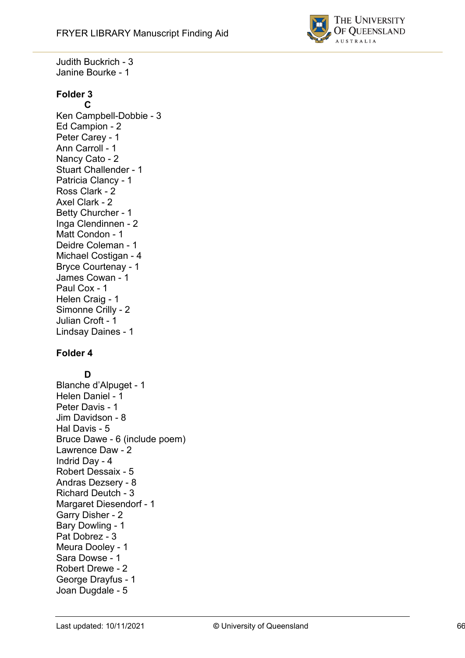

Judith Buckrich - 3 Janine Bourke - 1

# **Folder 3C**

Ken Campbell -Dobbie - 3 Ed Campion - 2 Peter Carey - 1 Ann Carroll - 1 Nancy Cato - 2 Stuart Challender - 1 Patricia Clancy - 1 Ross Clark - 2 Axel Clark - 2 Betty Churcher - 1 Inga Clendinnen - 2 Matt Condon - 1 Deidre Coleman - 1 Michael Costigan - 4 Bryce Courtenay - 1 James Cowan - 1 Paul Cox - 1 Helen Craig - 1 Simonne Crilly - 2 Julian Croft - 1 Lindsay Daines - 1

# **Folder 4**<br>D

Blanche d'Alpuget - 1 Helen Daniel - 1 Peter Davis - 1 Jim Davidson - 8 Hal Davis - 5 Bruce Dawe - 6 (include poem) Lawrence Daw - 2 Indrid Day - 4 Robert Dessaix - 5 Andras Dezsery - 8 Richard Deutch - 3 Margaret Diesendorf - 1 Garry Disher - 2 Bary Dowling - 1 Pat Dobrez - 3 Meura Dooley - 1 Sara Dowse - 1 Robert Drewe - 2 George Drayfus - 1 Joan Dugdale - 5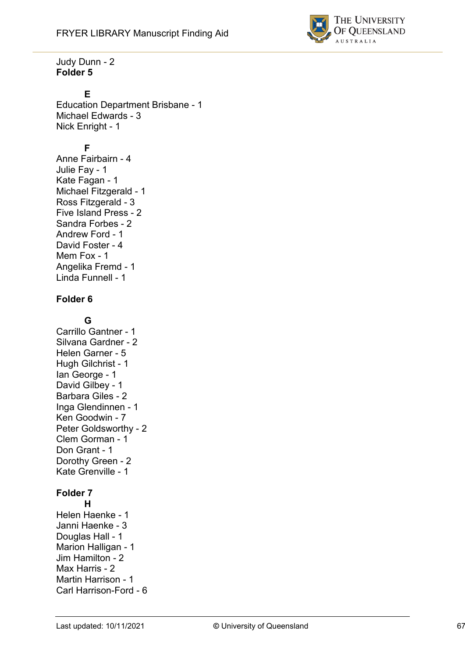

Judy Dunn - 2 **Folder 5**

#### **E**

Education Department Brisbane - 1 Michael Edwards - 3 Nick Enright - 1

#### **F**

Anne Fairbairn - 4 Julie Fay - 1 Kate Fagan - 1 Michael Fitzgerald - 1 Ross Fitzgerald - 3 Five Island Press - 2 Sandra Forbes - 2 Andrew Ford - 1 David Foster - 4 Mem Fox - 1 Angelika Fremd - 1 Linda Funnell - 1

#### **Folder 6**

#### **G**

Carrillo Gantner - 1 Silvana Gardner - 2 Helen Garner - 5 Hugh Gilchrist - 1 Ian George - 1 David Gilbey - 1 Barbara Giles - 2 Inga Glendinnen - 1 Ken Goodwin - 7 Peter Goldsworthy - 2 Clem Gorman - 1 Don Grant - 1 Dorothy Green - 2 Kate Grenville - 1

### **Folder 7**

**H** Helen Haenke - 1 Janni Haenke - 3 Douglas Hall - 1 Marion Halligan - 1 Jim Hamilton - 2 Max Harris - 2 Martin Harrison - 1 Carl Harrison-Ford - 6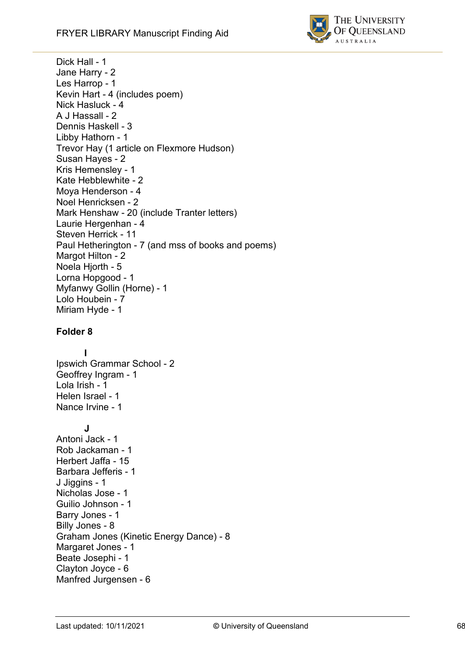

Dick Hall - 1 Jane Harry - 2 Les Harrop - 1 Kevin Hart - 4 (include s poem) Nick Hasluck - 4 A J Hassall - 2 Dennis Haskell - 3 Libby Hathorn - 1 Trevor Hay (1 article on Flexmore Hudson) Susan Hayes - 2 Kris Hemensley - 1 Kate Hebblewhite - 2 Moya Henderson - 4 Noel Henricksen - 2 Mark Henshaw - 20 (include Tranter letters) Laurie Hergenhan - 4 Steven Herrick - 11 Paul Hetherington - 7 (and mss of books and poems) Margot Hilton - 2 Noela Hjorth - 5 Lorna Hopgood - 1 Myfanwy Gollin (Horne) - 1 Lolo Houbein - 7 Miriam Hyde - 1

# **Folder 8I**

Ipswich Grammar School - 2 Geoffrey Ingram - 1 Lola Irish - 1 Helen Israel - 1 Nance Irvine - 1

#### **J**

Antoni Jack - 1 Rob Jackaman - 1 Herbert Jaffa - 15 Barbara Jefferis - 1 J Jiggins - 1 Nicholas Jose - 1 Guilio Johnson - 1 Barry Jones - 1 Billy Jones - 8 Graham Jones (Kinetic Energy Dance) - 8 Margaret Jones - 1 Beate Josephi - 1 Clayton Joyce - 6 Manfred Jurgensen - 6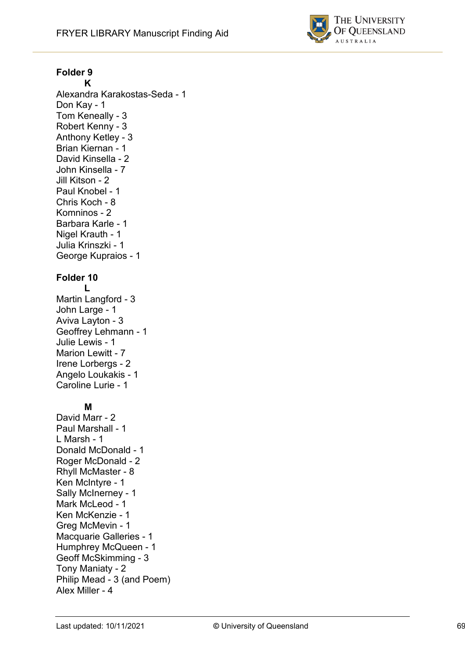

# **Folder 9**

Alexandra Karakostas -Seda - 1 Don Kay - 1 Tom Keneally - 3 Robert Kenny - 3 Anthony Ketley - 3 Brian Kiernan - 1 David Kinsella - 2 John Kinsella - 7 Jill Kitson - 2 Paul Knobel - 1 Chris Koch - 8 Komninos - 2 Barbara Karle - 1 Nigel Krauth - 1 Julia Krinszki - 1 George Kupraios - 1 **Folder 10 L** Martin Langford - 3 John Large - 1 Aviva Layton - 3 Geoffrey Lehmann - 1 Julie Lewis - 1 Marion Lewitt - 7 Irene Lorbergs - 2 Angelo Loukakis - 1 Caroline Lurie - 1 **M** David Marr - 2 Paul Marshall - 1 L Marsh - 1 Donald McDonald - 1 Roger McDonald - 2

Philip Mead - 3 (and Poem)

Tony Maniaty - 2

Alex Miller - 4

Rhyll McMaster - 8 Ken McIntyre - 1 Sally McInerney - 1 Mark McLeod - 1 Ken McKenzie - 1 Greg McMevin - 1 Macquarie Galleries - 1 Humphrey McQueen - 1 Geoff McSkimming - 3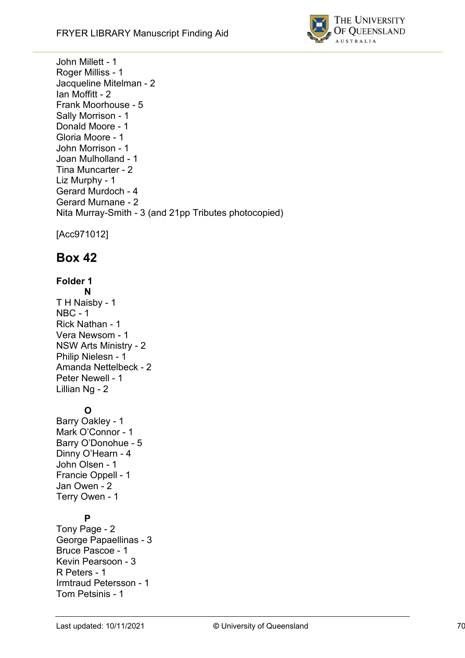

John Millett - 1 Roger Milliss - 1 Jacqueline Mitelman - 2 Ian Moffitt - 2 Frank Moorhouse - 5 Sally Morrison - 1 Donald Moore - 1 Gloria Moore - 1 John Morrison - 1 Joan Mulholland - 1 Tina Muncarter - 2 Liz Murphy - 1 Gerard Murdoch - 4 Gerard Murnane - 2 Nita Murray-Smith - 3 (and 21pp Tributes photocopied)

[Acc971012]

# **Box 42**

# **Folder 1**

- **N** T H Naisby - 1
- NBC 1 Rick Nathan - 1 Vera Newsom - 1 NSW Arts Ministry - 2 Philip Nielesn - 1 Amanda Nettelbeck - 2 Peter Newell - 1 Lillian Ng - 2

# **O**

Barry Oakley - 1 Mark O'Connor - 1 Barry O'Donohue - 5 Dinny O'Hearn - 4 John Olsen - 1 Francie Oppell - 1 Jan Owen - 2 Terry Owen - 1

# **P**

Tony Page - 2 George Papaellinas - 3 Bruce Pascoe - 1 Kevin Pearsoon - 3 R Peters - 1 Irmtraud Petersson - 1 Tom Petsinis - 1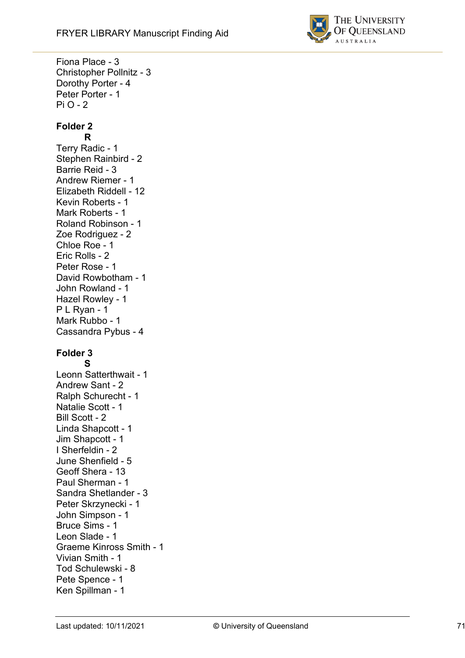Fiona Place - 3



Christopher Pollnitz - 3 Dorothy Porter - 4 Peter Porter - 1 Pi O - 2 **Folder 2 R** Terry Radic - 1 Stephen Rainbird - 2 Barrie Reid - 3 Andrew Riemer - 1 Elizabeth Riddell - 12 Kevin Roberts - 1 Mark Roberts - 1 Roland Robinson - 1 Zoe Rodriguez - 2 Chloe Roe - 1 Eric Rolls - 2 Peter Rose - 1 David Rowbotham - 1 John Rowland - 1 Hazel Rowley - 1 P L Ryan - 1 Mark Rubbo - 1 Cassandra Pybus - 4 **Folder 3 S** Leonn Satterthwait - 1 Andrew Sant - 2 Ralph Schurecht - 1 Natalie Scott - 1 Bill Scott - 2 Linda Shapcott - 1 Jim Shapcott - 1 I Sherfeldin - 2 June Shenfield - 5 Geoff Shera - 13 Paul Sherman - 1 Sandra Shetlander - 3 Peter Skrzynecki - 1 John Simpson - 1 Bruce Sims - 1 Leon Slade - 1 Graeme Kinross Smith - 1 Vivian Smith - 1 Tod Schulewski - 8 Pete Spence - 1 Ken Spillman - 1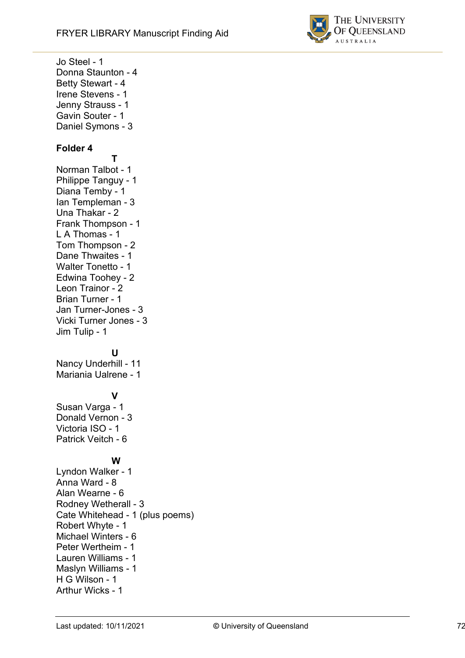

Jo Steel - 1 Donna Staunton - 4 Betty Stewart - 4 Irene Stevens - 1 Jenny Strauss - 1 Gavin Souter - 1 Daniel Symons - 3 **Folder 4 T** Norman Talbot - 1 Philippe Tanguy - 1 Diana Temby - 1 Ian Templeman - 3 Una Thakar - 2 Frank Thompson - 1 L A Thomas - 1 Tom Thompson - 2 Dane Thwaites - 1 Walter Tonetto - 1 Edwina Toohey - 2 Leon Trainor - 2 Brian Turner - 1 Jan Turner-Jones - 3 Vicki Turner Jones - 3 Jim Tulip - 1 **U** Nancy Underhill - 11 Mariania Ualrene - 1 **V** Susan Varga - 1 Donald Vernon - 3 Victoria ISO - 1 Patrick Veitch - 6 **W** Lyndon Walker - 1 Anna Ward - 8 Alan Wearne - 6 Rodney Wetherall - 3 Cate Whitehead - 1 (plus poems) Robert Whyte - 1 Michael Winters - 6 Peter Wertheim - 1 Lauren Williams - 1 Maslyn Williams - 1 H G Wilson - 1 Arthur Wicks - 1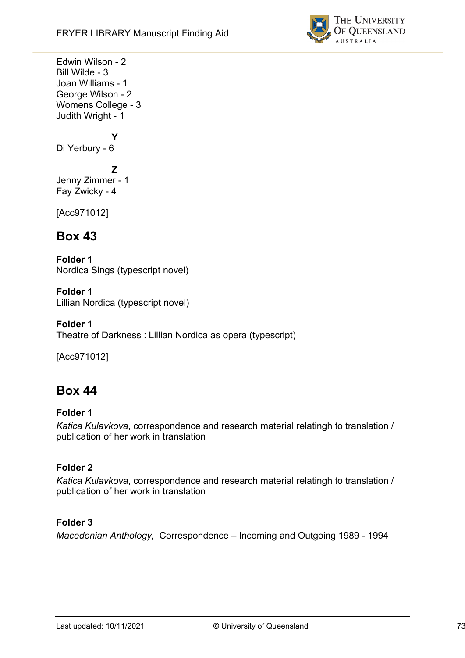

Edwin Wilson - 2 Bill Wilde - 3 Joan Williams - 1 George Wilson - 2 Womens College - 3 Judith Wright - 1

**Y** Di Yerbury - 6

**Z** Jenny Zimmer - 1 Fay Zwicky - 4

[Acc971012]

# **Box 43**

**Folder 1** Nordica Sings (typescript novel)

**Folder 1** Lillian Nordica (typescript novel)

**Folder 1** Theatre of Darkness : Lillian Nordica as opera (typescript)

[Acc971012]

# **Box 44**

## **Folder 1**

*Katica Kulavkova*, correspondence and research material relatingh to translation / publication of her work in translation

## **Folder 2**

*Katica Kulavkova*, correspondence and research material relatingh to translation / publication of her work in translation

## **Folder 3**

*Macedonian Anthology,* Correspondence – Incoming and Outgoing 1989 - 1994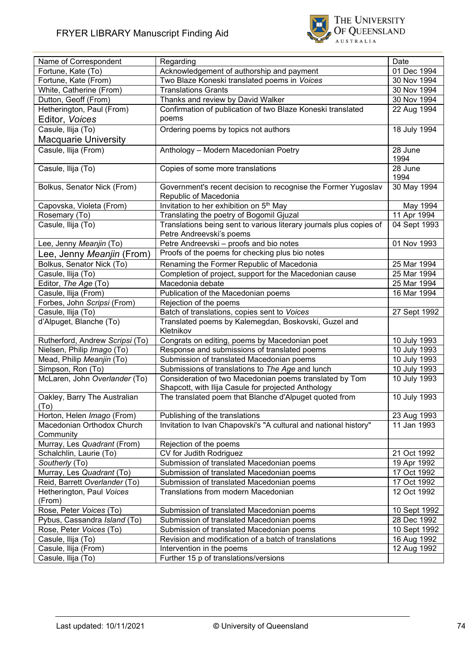

| Name of Correspondent               | Regarding                                                                                                      | Date            |
|-------------------------------------|----------------------------------------------------------------------------------------------------------------|-----------------|
| Fortune, Kate (To)                  | Acknowledgement of authorship and payment                                                                      | 01 Dec 1994     |
| Fortune, Kate (From)                | Two Blaze Koneski translated poems in Voices                                                                   | 30 Nov 1994     |
| White, Catherine (From)             | <b>Translations Grants</b>                                                                                     | 30 Nov 1994     |
| Dutton, Geoff (From)                | Thanks and review by David Walker                                                                              | 30 Nov 1994     |
| Hetherington, Paul (From)           | Confirmation of publication of two Blaze Koneski translated                                                    | 22 Aug 1994     |
| Editor, Voices                      | poems                                                                                                          |                 |
| Casule, Ilija (To)                  | Ordering poems by topics not authors                                                                           | 18 July 1994    |
| <b>Macquarie University</b>         |                                                                                                                |                 |
| Casule, Ilija (From)                | Anthology - Modern Macedonian Poetry                                                                           | 28 June         |
|                                     |                                                                                                                | 1994            |
| Casule, Ilija (To)                  | Copies of some more translations                                                                               | 28 June<br>1994 |
| Bolkus, Senator Nick (From)         | Government's recent decision to recognise the Former Yugoslav                                                  | 30 May 1994     |
|                                     | Republic of Macedonia                                                                                          |                 |
| Capovska, Violeta (From)            | Invitation to her exhibition on 5 <sup>th</sup> May                                                            | May 1994        |
| Rosemary (To)                       | Translating the poetry of Bogomil Gjuzal                                                                       | 11 Apr 1994     |
| Casule, Ilija (To)                  | Translations being sent to various literary journals plus copies of                                            | 04 Sept 1993    |
|                                     | Petre Andreevski's poems                                                                                       |                 |
| Lee, Jenny Meanjin (To)             | Petre Andreevski - proofs and bio notes                                                                        | 01 Nov 1993     |
| Lee, Jenny <i>Meanjin</i> (From)    | Proofs of the poems for checking plus bio notes                                                                |                 |
| Bolkus, Senator Nick (To)           | Renaming the Former Republic of Macedonia                                                                      | 25 Mar 1994     |
| Casule, Ilija (To)                  | Completion of project, support for the Macedonian cause                                                        | 25 Mar 1994     |
| Editor, The Age (To)                | Macedonia debate                                                                                               | 25 Mar 1994     |
| Casule, Ilija (From)                | Publication of the Macedonian poems                                                                            | 16 Mar 1994     |
| Forbes, John Scripsi (From)         | Rejection of the poems                                                                                         |                 |
| Casule, Ilija (To)                  | Batch of translations, copies sent to Voices                                                                   | 27 Sept 1992    |
| d'Alpuget, Blanche (To)             | Translated poems by Kalemegdan, Boskovski, Guzel and<br>Kletnikov                                              |                 |
| Rutherford, Andrew Scripsi (To)     | Congrats on editing, poems by Macedonian poet                                                                  | 10 July 1993    |
| Nielsen, Philip Imago (To)          | Response and submissions of translated poems                                                                   | 10 July 1993    |
| Mead, Philip Meanjin (To)           | Submission of translated Macedonian poems                                                                      | 10 July 1993    |
| Simpson, Ron (To)                   | Submissions of translations to The Age and lunch                                                               | 10 July 1993    |
| McLaren, John Overlander (To)       | Consideration of two Macedonian poems translated by Tom<br>Shapcott, with Ilija Casule for projected Anthology | 10 July 1993    |
| Oakley, Barry The Australian        | The translated poem that Blanche d'Alpuget quoted from                                                         | 10 July 1993    |
| ( I O )                             |                                                                                                                |                 |
| Horton, Helen Imago (From)          | Publishing of the translations                                                                                 | 23 Aug 1993     |
| Macedonian Orthodox Church          | Invitation to Ivan Chapovski's "A cultural and national history"                                               | 11 Jan 1993     |
| Community                           |                                                                                                                |                 |
| Murray, Les Quadrant (From)         | Rejection of the poems                                                                                         |                 |
| Schalchlin, Laurie (To)             | CV for Judith Rodriguez                                                                                        | 21 Oct 1992     |
| Southerly (To)                      | Submission of translated Macedonian poems                                                                      | 19 Apr 1992     |
| Murray, Les Quadrant (To)           | Submission of translated Macedonian poems                                                                      | 17 Oct 1992     |
| Reid, Barrett Overlander (To)       | Submission of translated Macedonian poems                                                                      | 17 Oct 1992     |
| Hetherington, Paul Voices<br>(From) | Translations from modern Macedonian                                                                            | 12 Oct 1992     |
| Rose, Peter Voices (To)             | Submission of translated Macedonian poems                                                                      | 10 Sept 1992    |
| Pybus, Cassandra Island (To)        | Submission of translated Macedonian poems                                                                      | 28 Dec 1992     |
| Rose, Peter Voices (To)             | Submission of translated Macedonian poems                                                                      | 10 Sept 1992    |
| Casule, Ilija (To)                  | Revision and modification of a batch of translations                                                           | 16 Aug 1992     |
| Casule, Ilija (From)                | Intervention in the poems                                                                                      | 12 Aug 1992     |
| Casule, Ilija (To)                  | Further 15 p of translations/versions                                                                          |                 |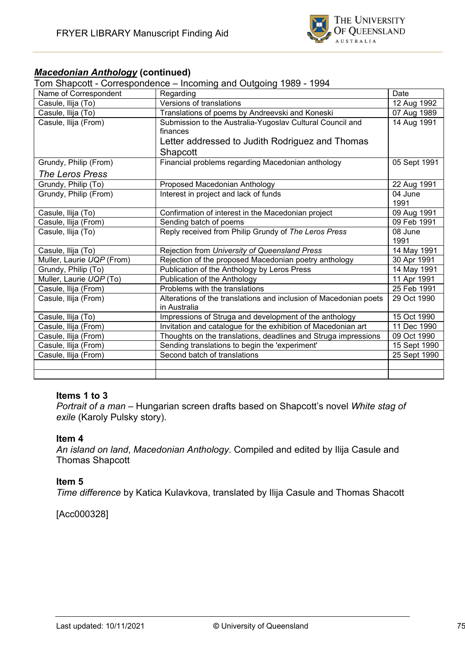

## *Macedonian Anthology* **(continued)**

Tom Shapcott - Correspondence – Incoming and Outgoing 1989 - 1994

| Name of Correspondent     | Regarding                                                         | Date         |
|---------------------------|-------------------------------------------------------------------|--------------|
| Casule, Ilija (To)        | Versions of translations                                          | 12 Aug 1992  |
| Casule, Ilija (To)        | Translations of poems by Andreevski and Koneski                   | 07 Aug 1989  |
| Casule, Ilija (From)      | Submission to the Australia-Yugoslav Cultural Council and         | 14 Aug 1991  |
|                           | finances                                                          |              |
|                           | Letter addressed to Judith Rodriguez and Thomas                   |              |
|                           | Shapcott                                                          |              |
| Grundy, Philip (From)     | Financial problems regarding Macedonian anthology                 | 05 Sept 1991 |
| <b>The Leros Press</b>    |                                                                   |              |
| Grundy, Philip (To)       | Proposed Macedonian Anthology                                     | 22 Aug 1991  |
| Grundy, Philip (From)     | Interest in project and lack of funds                             | 04 June      |
|                           |                                                                   | 1991         |
| Casule, Ilija (To)        | Confirmation of interest in the Macedonian project                | 09 Aug 1991  |
| Casule, Ilija (From)      | Sending batch of poems                                            | 09 Feb 1991  |
| Casule, Ilija (To)        | Reply received from Philip Grundy of The Leros Press              | 08 June      |
|                           |                                                                   | 1991         |
| Casule, Ilija (To)        | Rejection from University of Queensland Press                     | 14 May 1991  |
| Muller, Laurie UQP (From) | Rejection of the proposed Macedonian poetry anthology             | 30 Apr 1991  |
| Grundy, Philip (To)       | Publication of the Anthology by Leros Press                       | 14 May 1991  |
| Muller, Laurie UQP (To)   | Publication of the Anthology                                      | 11 Apr 1991  |
| Casule, Ilija (From)      | Problems with the translations                                    | 25 Feb 1991  |
| Casule, Ilija (From)      | Alterations of the translations and inclusion of Macedonian poets | 29 Oct 1990  |
|                           | in Australia                                                      |              |
| Casule, Ilija (To)        | Impressions of Struga and development of the anthology            | 15 Oct 1990  |
| Casule, Ilija (From)      | Invitation and catalogue for the exhibition of Macedonian art     | 11 Dec 1990  |
| Casule, Ilija (From)      | Thoughts on the translations, deadlines and Struga impressions    | 09 Oct 1990  |
| Casule, Ilija (From)      | Sending translations to begin the 'experiment'                    | 15 Sept 1990 |
| Casule, Ilija (From)      | Second batch of translations                                      | 25 Sept 1990 |
|                           |                                                                   |              |
|                           |                                                                   |              |

#### **Items 1 to 3**

*Portrait of a man* – Hungarian screen drafts based on Shapcott's novel *White stag of exile* (Karoly Pulsky story).

#### **Item 4**

*An island on land*, *Macedonian Anthology*. Compiled and edited by Ilija Casule and Thomas Shapcott

#### **Item 5**

*Time difference* by Katica Kulavkova, translated by Ilija Casule and Thomas Shacott

[Acc000328]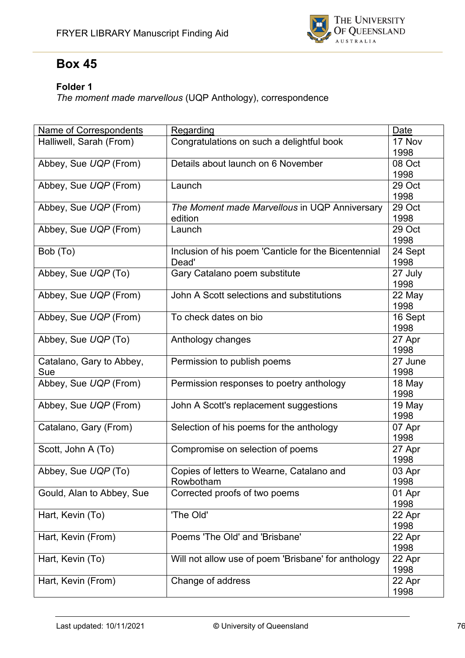

# **Box 45**

## **Folder 1**

*The moment made marvellous* (UQP Anthology), correspondence

| Name of Correspondents    | Regarding                                            | Date    |
|---------------------------|------------------------------------------------------|---------|
| Halliwell, Sarah (From)   | Congratulations on such a delightful book            | 17 Nov  |
|                           |                                                      | 1998    |
| Abbey, Sue UQP (From)     | Details about launch on 6 November                   | 08 Oct  |
|                           |                                                      | 1998    |
| Abbey, Sue UQP (From)     | Launch                                               | 29 Oct  |
|                           |                                                      | 1998    |
| Abbey, Sue UQP (From)     | The Moment made Marvellous in UQP Anniversary        | 29 Oct  |
|                           | edition                                              | 1998    |
| Abbey, Sue UQP (From)     | Launch                                               | 29 Oct  |
|                           |                                                      | 1998    |
| Bob (To)                  | Inclusion of his poem 'Canticle for the Bicentennial | 24 Sept |
|                           | Dead'                                                | 1998    |
| Abbey, Sue UQP (To)       | Gary Catalano poem substitute                        | 27 July |
|                           |                                                      | 1998    |
| Abbey, Sue UQP (From)     | John A Scott selections and substitutions            | 22 May  |
|                           |                                                      | 1998    |
| Abbey, Sue UQP (From)     | To check dates on bio                                | 16 Sept |
|                           |                                                      | 1998    |
| Abbey, Sue UQP (To)       | Anthology changes                                    | 27 Apr  |
|                           |                                                      | 1998    |
| Catalano, Gary to Abbey,  | Permission to publish poems                          | 27 June |
| Sue                       |                                                      | 1998    |
| Abbey, Sue UQP (From)     | Permission responses to poetry anthology             | 18 May  |
|                           |                                                      | 1998    |
| Abbey, Sue UQP (From)     | John A Scott's replacement suggestions               | 19 May  |
|                           |                                                      | 1998    |
| Catalano, Gary (From)     | Selection of his poems for the anthology             | 07 Apr  |
|                           |                                                      | 1998    |
| Scott, John A (To)        | Compromise on selection of poems                     | 27 Apr  |
|                           |                                                      | 1998    |
| Abbey, Sue UQP (To)       | Copies of letters to Wearne, Catalano and            | 03 Apr  |
|                           | Rowbotham                                            | 1998    |
| Gould, Alan to Abbey, Sue | Corrected proofs of two poems                        | 01 Apr  |
|                           |                                                      | 1998    |
| Hart, Kevin (To)          | 'The Old'                                            | 22 Apr  |
|                           |                                                      | 1998    |
| Hart, Kevin (From)        | Poems 'The Old' and 'Brisbane'                       | 22 Apr  |
|                           |                                                      | 1998    |
| Hart, Kevin (To)          | Will not allow use of poem 'Brisbane' for anthology  | 22 Apr  |
|                           |                                                      | 1998    |
| Hart, Kevin (From)        | Change of address                                    | 22 Apr  |
|                           |                                                      | 1998    |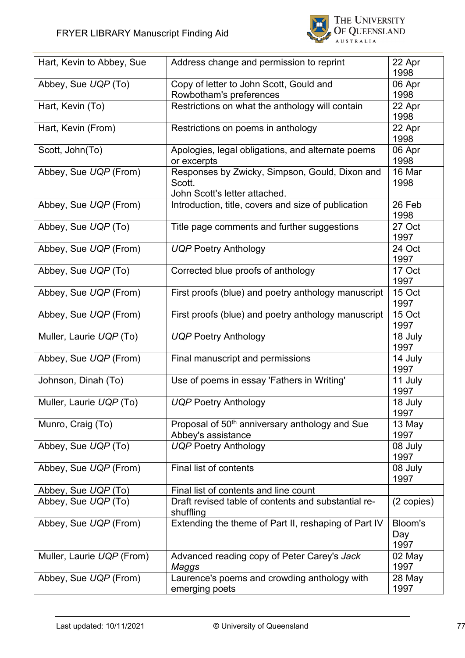

| Hart, Kevin to Abbey, Sue | Address change and permission to reprint                                                  | 22 Apr<br>1998         |
|---------------------------|-------------------------------------------------------------------------------------------|------------------------|
| Abbey, Sue UQP (To)       | Copy of letter to John Scott, Gould and<br>Rowbotham's preferences                        | 06 Apr<br>1998         |
| Hart, Kevin (To)          | Restrictions on what the anthology will contain                                           | 22 Apr<br>1998         |
| Hart, Kevin (From)        | Restrictions on poems in anthology                                                        | 22 Apr<br>1998         |
| Scott, John(To)           | Apologies, legal obligations, and alternate poems<br>or excerpts                          | 06 Apr<br>1998         |
| Abbey, Sue UQP (From)     | Responses by Zwicky, Simpson, Gould, Dixon and<br>Scott.<br>John Scott's letter attached. | 16 Mar<br>1998         |
| Abbey, Sue UQP (From)     | Introduction, title, covers and size of publication                                       | 26 Feb<br>1998         |
| Abbey, Sue UQP (To)       | Title page comments and further suggestions                                               | 27 Oct<br>1997         |
| Abbey, Sue UQP (From)     | <b>UQP Poetry Anthology</b>                                                               | 24 Oct<br>1997         |
| Abbey, Sue UQP (To)       | Corrected blue proofs of anthology                                                        | 17 Oct<br>1997         |
| Abbey, Sue UQP (From)     | First proofs (blue) and poetry anthology manuscript                                       | 15 Oct<br>1997         |
| Abbey, Sue UQP (From)     | First proofs (blue) and poetry anthology manuscript                                       | 15 Oct<br>1997         |
| Muller, Laurie UQP (To)   | <b>UQP Poetry Anthology</b>                                                               | 18 July<br>1997        |
| Abbey, Sue UQP (From)     | Final manuscript and permissions                                                          | 14 July<br>1997        |
| Johnson, Dinah (To)       | Use of poems in essay 'Fathers in Writing'                                                | 11 July<br>1997        |
| Muller, Laurie UQP (To)   | UQP Poetry Anthology                                                                      | 18 July<br>1997        |
| Munro, Craig (To)         | Proposal of 50 <sup>th</sup> anniversary anthology and Sue<br>Abbey's assistance          | 13 May<br>1997         |
| Abbey, Sue UQP (To)       | <b>UQP Poetry Anthology</b>                                                               | 08 July<br>1997        |
| Abbey, Sue UQP (From)     | Final list of contents                                                                    | 08 July<br>1997        |
| Abbey, Sue UQP (To)       | Final list of contents and line count                                                     |                        |
| Abbey, Sue UQP (To)       | Draft revised table of contents and substantial re-<br>shuffling                          | (2 copies)             |
| Abbey, Sue UQP (From)     | Extending the theme of Part II, reshaping of Part IV                                      | Bloom's<br>Day<br>1997 |
| Muller, Laurie UQP (From) | Advanced reading copy of Peter Carey's Jack<br>Maggs                                      | 02 May<br>1997         |
| Abbey, Sue UQP (From)     | Laurence's poems and crowding anthology with<br>emerging poets                            | 28 May<br>1997         |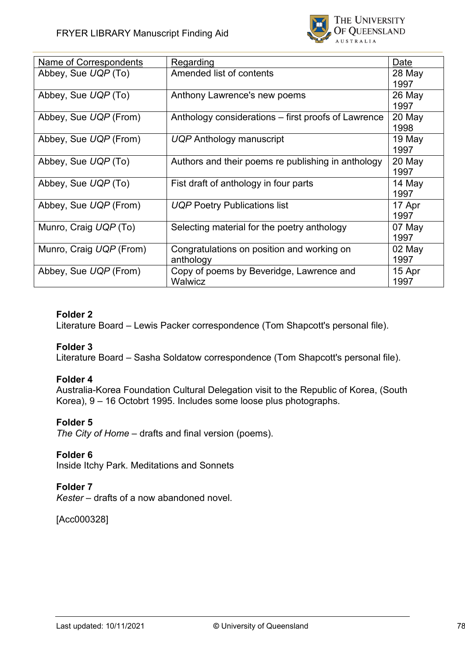

| Name of Correspondents  | Regarding                                                  | Date             |
|-------------------------|------------------------------------------------------------|------------------|
| Abbey, Sue UQP (To)     | Amended list of contents                                   | 28 May<br>1997   |
| Abbey, Sue UQP (To)     | Anthony Lawrence's new poems                               | $26$ May<br>1997 |
| Abbey, Sue UQP (From)   | Anthology considerations – first proofs of Lawrence        | 20 May<br>1998   |
| Abbey, Sue UQP (From)   | UQP Anthology manuscript                                   | 19 May<br>1997   |
| Abbey, Sue UQP (To)     | Authors and their poems re publishing in anthology         | 20 May<br>1997   |
| Abbey, Sue UQP (To)     | Fist draft of anthology in four parts                      | 14 May<br>1997   |
| Abbey, Sue UQP (From)   | <b>UQP Poetry Publications list</b>                        | 17 Apr<br>1997   |
| Munro, Craig UQP (To)   | Selecting material for the poetry anthology                | 07 May<br>1997   |
| Munro, Craig UQP (From) | Congratulations on position and working on<br>anthology    | 02 May<br>1997   |
| Abbey, Sue UQP (From)   | Copy of poems by Beveridge, Lawrence and<br><b>Walwicz</b> | 15 Apr<br>1997   |

Literature Board – Lewis Packer correspondence (Tom Shapcott's personal file).

## **Folder 3**

Literature Board – Sasha Soldatow correspondence (Tom Shapcott's personal file).

## **Folder 4**

Australia-Korea Foundation Cultural Delegation visit to the Republic of Korea, (South Korea), 9 – 16 Octobrt 1995. Includes some loose plus photographs.

## **Folder 5**

*The City of Home* – drafts and final version (poems).

## **Folder 6**

Inside Itchy Park. Meditations and Sonnets

## **Folder 7**

*Kester* – drafts of a now abandoned novel.

[Acc000328]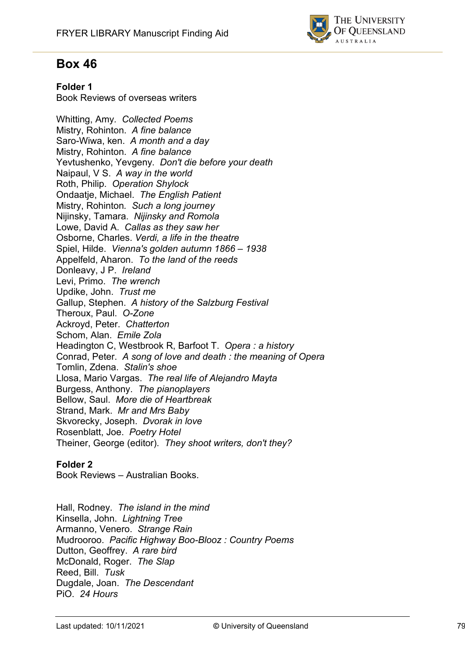

# **Box 46**

## **Folder 1**

Book Reviews of overseas writers

Whitting, Amy*. Collected Poems* Mistry, Rohinton. *A fine balance* Saro-Wiwa, ken. *A month and a day* Mistry, Rohinton. *A fine balance* Yevtushenko, Yevgeny. *Don't die before your death* Naipaul, V S. *A way in the world* Roth, Philip. *Operation Shylock* Ondaatje, Michael. *The English Patient* Mistry, Rohinton*. Such a long journey* Nijinsky, Tamara. *Nijinsky and Romola* Lowe, David A. *Callas as they saw her* Osborne, Charles. *Verdi, a life in the theatre* Spiel, Hilde. *Vienna's golden autumn 1866 – 1938* Appelfeld, Aharon. *To the land of the reeds* Donleavy, J P. *Ireland* Levi, Primo. *The wrench* Updike, John. *Trust me* Gallup, Stephen. *A history of the Salzburg Festival* Theroux, Paul. *O-Zone* Ackroyd, Peter. *Chatterton* Schom, Alan. *Emile Zola* Headington C, Westbrook R, Barfoot T. *Opera : a history* Conrad, Peter. *A song of love and death : the meaning of Opera* Tomlin, Zdena. *Stalin's shoe* Llosa, Mario Vargas. *The real life of Alejandro Mayta* Burgess, Anthony. *The pianoplayers* Bellow, Saul. *More die of Heartbreak* Strand, Mark. *Mr and Mrs Baby* Skvorecky, Joseph. *Dvorak in love* Rosenblatt, Joe. *Poetry Hotel* Theiner, George (editor). *They shoot writers, don't they?*

## **Folder 2**

Book Reviews – Australian Books.

Hall, Rodney. *The island in the mind* Kinsella, John. *Lightning Tree* Armanno, Venero. *Strange Rain* Mudrooroo. *Pacific Highway Boo-Blooz : Country Poems* Dutton, Geoffrey. *A rare bird* McDonald, Roger. *The Slap* Reed, Bill. *Tusk* Dugdale, Joan. *The Descendant* PiO. *24 Hours*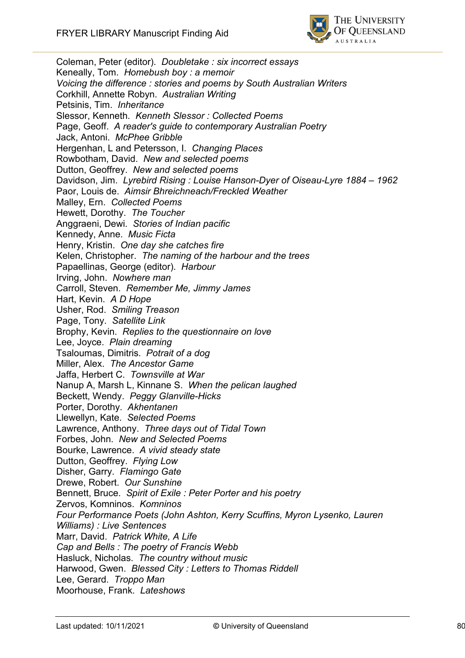

Coleman, Peter (editor). *Doubletake : six incorrect essays* Keneally, Tom. *Homebush boy : a memoir Voicing the difference : stories and poems by South Australian Writers* Corkhill, Annette Robyn. *Australian Writing* Petsinis, Tim. *Inheritance* Slessor, Kenneth. *Kenneth Slessor : Collected Poems* Page, Geoff. *A reader's guide to contemporary Australian Poetry* Jack, Antoni. *McPhee Gribble* Hergenhan, L and Petersson, I. *Changing Places* Rowbotham, David. *New and selected poems* Dutton, Geoffrey. *New and selected poems* Davidson, Jim. *Lyrebird Rising : Louise Hanson-Dyer of Oiseau-Lyre 1884 – 1962* Paor, Louis de. *Aimsir Bhreichneach/Freckled Weather* Malley, Ern. *Collected Poems* Hewett, Dorothy. *The Toucher* Anggraeni, Dewi. *Stories of Indian pacific* Kennedy, Anne. *Music Ficta* Henry, Kristin. *One day she catches fire* Kelen, Christopher. *The naming of the harbour and the trees* Papaellinas, George (editor). *Harbour* Irving, John. *Nowhere man* Carroll, Steven. *Remember Me, Jimmy James* Hart, Kevin. *A D Hope* Usher, Rod. *Smiling Treason* Page, Tony. *Satellite Link* Brophy, Kevin. *Replies to the questionnaire on love* Lee, Joyce. *Plain dreaming* Tsaloumas, Dimitris. *Potrait of a dog* Miller, Alex. *The Ancestor Game* Jaffa, Herbert C. *Townsville at War* Nanup A, Marsh L, Kinnane S. *When the pelican laughed* Beckett, Wendy. *Peggy Glanville-Hicks* Porter, Dorothy. *Akhentanen* Llewellyn, Kate. *Selected Poems* Lawrence, Anthony. *Three days out of Tidal Town* Forbes, John. *New and Selected Poems* Bourke, Lawrence. *A vivid steady state* Dutton, Geoffrey. *Flying Low* Disher, Garry. *Flamingo Gate* Drewe, Robert. *Our Sunshine* Bennett, Bruce. *Spirit of Exile : Peter Porter and his poetry* Zervos, Komninos. *Komninos Four Performance Poets (John Ashton, Kerry Scuffins, Myron Lysenko, Lauren Williams) : Live Sentences* Marr, David. *Patrick White, A Life Cap and Bells : The poetry of Francis Webb* Hasluck, Nicholas. *The country without music* Harwood, Gwen. *Blessed City : Letters to Thomas Riddell* Lee, Gerard. *Troppo Man* Moorhouse, Frank. *Lateshows*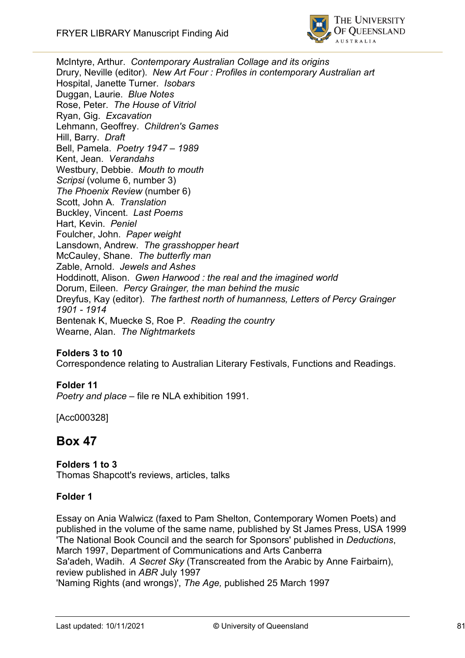

McIntyre, Arthur. *Contemporary Australian Collage and its origins* Drury, Neville (editor). *New Art Four : Profiles in contemporary Australian art* Hospital, Janette Turner. *Isobars* Duggan, Laurie. *Blue Notes* Rose, Peter. *The House of Vitriol* Ryan, Gig. *Excavation* Lehmann, Geoffrey. *Children's Games* Hill, Barry. *Draft* Bell, Pamela. *Poetry 1947 – 1989* Kent, Jean. *Verandahs* Westbury, Debbie. *Mouth to mouth Scripsi* (volume 6, number 3) *The Phoenix Review* (number 6) Scott, John A. *Translation* Buckley, Vincent. *Last Poems* Hart, Kevin. *Peniel* Foulcher, John. *Paper weight* Lansdown, Andrew. *The grasshopper heart* McCauley, Shane. *The butterfly man* Zable, Arnold. *Jewels and Ashes* Hoddinott, Alison. *Gwen Harwood : the real and the imagined world* Dorum, Eileen. *Percy Grainger, the man behind the music* Dreyfus, Kay (editor). *The farthest north of humanness, Letters of Percy Grainger 1901 - 1914* Bentenak K, Muecke S, Roe P. *Reading the country* Wearne, Alan. *The Nightmarkets*

## **Folders 3 to 10**

Correspondence relating to Australian Literary Festivals, Functions and Readings.

## **Folder 11**

*Poetry and place* – file re NLA exhibition 1991.

[Acc000328]

# **Box 47**

#### **Folders 1 to 3**

Thomas Shapcott's reviews, articles, talks

#### **Folder 1**

Essay on Ania Walwicz (faxed to Pam Shelton, Contemporary Women Poets) and published in the volume of the same name, published by St James Press, USA 1999 'The National Book Council and the search for Sponsors' published in *Deductions*, March 1997, Department of Communications and Arts Canberra Sa'adeh, Wadih. *A Secret Sky* (Transcreated from the Arabic by Anne Fairbairn), review published in *ABR* July 1997 'Naming Rights (and wrongs)', *The Age,* published 25 March 1997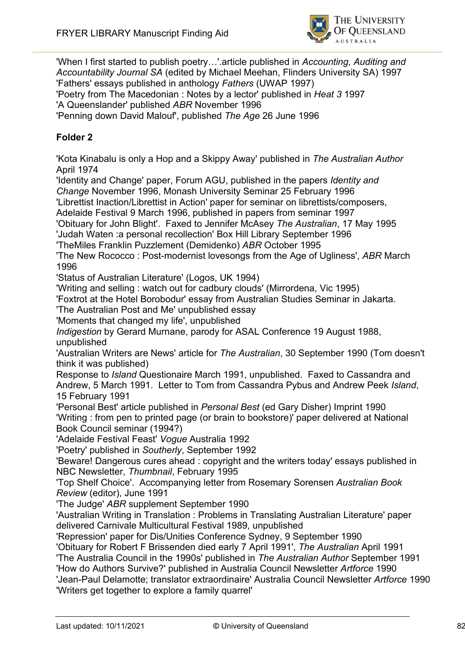

'When I first started to publish poetry…'.article published in *Accounting, Auditing and Accountability Journal SA* (edited by Michael Meehan, Flinders University SA) 1997 'Fathers' essays published in anthology *Fathers* (UWAP 1997) 'Poetry from The Macedonian : Notes by a lector' published in *Heat 3* 1997 'A Queenslander' published *ABR* November 1996 'Penning down David Malouf', published *The Age* 26 June 1996

## **Folder 2**

'Kota Kinabalu is only a Hop and a Skippy Away' published in *The Australian Author* April 1974

'Identity and Change' paper, Forum AGU, published in the papers *Identity and Change* November 1996, Monash University Seminar 25 February 1996

'Librettist Inaction/Librettist in Action' paper for seminar on librettists/composers,

Adelaide Festival 9 March 1996, published in papers from seminar 1997

'Obituary for John Blight'. Faxed to Jennifer McAsey *The Australian*, 17 May 1995

'Judah Waten :a personal recollection' Box Hill Library September 1996

'TheMiles Franklin Puzzlement (Demidenko) *ABR* October 1995

'The New Rococco : Post-modernist lovesongs from the Age of Ugliness', *ABR* March 1996

'Status of Australian Literature' (Logos, UK 1994)

'Writing and selling : watch out for cadbury clouds' (Mirrordena, Vic 1995)

'Foxtrot at the Hotel Borobodur' essay from Australian Studies Seminar in Jakarta.

'The Australian Post and Me' unpublished essay

'Moments that changed my life', unpublished

*Indigestion* by Gerard Murnane, parody for ASAL Conference 19 August 1988, unpublished

'Australian Writers are News' article for *The Australian*, 30 September 1990 (Tom doesn't think it was published)

Response to *Island* Questionaire March 1991, unpublished. Faxed to Cassandra and Andrew, 5 March 1991. Letter to Tom from Cassandra Pybus and Andrew Peek *Island*, 15 February 1991

'Personal Best' article published in *Personal Best* (ed Gary Disher) Imprint 1990 'Writing : from pen to printed page (or brain to bookstore)' paper delivered at National Book Council seminar (1994?)

'Adelaide Festival Feast' *Vogue* Australia 1992

'Poetry' published in *Southerly*, September 1992

'Beware! Dangerous cures ahead : copyright and the writers today' essays published in NBC Newsletter, *Thumbnail*, February 1995

'Top Shelf Choice'. Accompanying letter from Rosemary Sorensen *Australian Book Review* (editor), June 1991

'The Judge' *ABR* supplement September 1990

'Australian Writing in Translation : Problems in Translating Australian Literature' paper delivered Carnivale Multicultural Festival 1989, unpublished

'Repression' paper for Dis/Unities Conference Sydney, 9 September 1990

'Obituary for Robert F Brissenden died early 7 April 1991', *The Australian* April 1991

'The Australia Council in the 1990s' published in *The Australian Author* September 1991

'How do Authors Survive?' published in Australia Council Newsletter *Artforce* 1990

'Jean-Paul Delamotte; translator extraordinaire' Australia Council Newsletter *Artforce* 1990 'Writers get together to explore a family quarrel'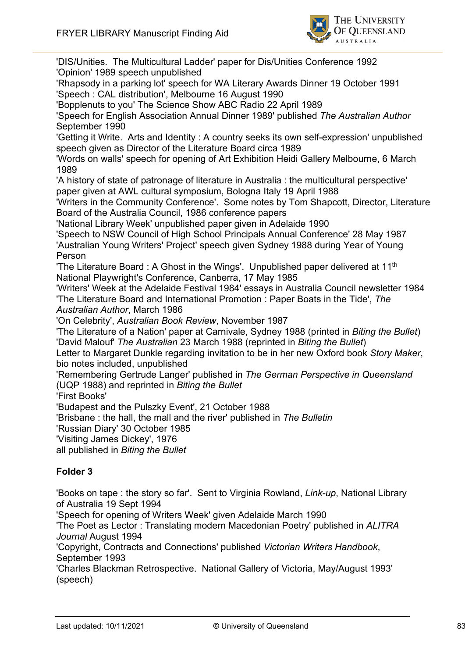

'DIS/Unities. The Multicultural Ladder' paper for Dis/Unities Conference 1992 'Opinion' 1989 speech unpublished

'Rhapsody in a parking lot' speech for WA Literary Awards Dinner 19 October 1991 'Speech : CAL distribution', Melbourne 16 August 1990

'Bopplenuts to you' The Science Show ABC Radio 22 April 1989

'Speech for English Association Annual Dinner 1989' published *The Australian Author* September 1990

'Getting it Write. Arts and Identity : A country seeks its own self-expression' unpublished speech given as Director of the Literature Board circa 1989

'Words on walls' speech for opening of Art Exhibition Heidi Gallery Melbourne, 6 March 1989

'A history of state of patronage of literature in Australia : the multicultural perspective' paper given at AWL cultural symposium, Bologna Italy 19 April 1988

'Writers in the Community Conference'. Some notes by Tom Shapcott, Director, Literature Board of the Australia Council, 1986 conference papers

'National Library Week' unpublished paper given in Adelaide 1990

'Speech to NSW Council of High School Principals Annual Conference' 28 May 1987 'Australian Young Writers' Project' speech given Sydney 1988 during Year of Young Person

'The Literature Board : A Ghost in the Wings'. Unpublished paper delivered at 11th National Playwright's Conference, Canberra, 17 May 1985

'Writers' Week at the Adelaide Festival 1984' essays in Australia Council newsletter 1984 'The Literature Board and International Promotion : Paper Boats in the Tide', *The Australian Author*, March 1986

'On Celebrity', *Australian Book Review*, November 1987

'The Literature of a Nation' paper at Carnivale, Sydney 1988 (printed in *Biting the Bullet*) 'David Malouf' *The Australian* 23 March 1988 (reprinted in *Biting the Bullet*)

Letter to Margaret Dunkle regarding invitation to be in her new Oxford book *Story Maker*, bio notes included, unpublished

'Remembering Gertrude Langer' published in *The German Perspective in Queensland* (UQP 1988) and reprinted in *Biting the Bullet*

'First Books'

'Budapest and the Pulszky Event', 21 October 1988

'Brisbane : the hall, the mall and the river' published in *The Bulletin*

'Russian Diary' 30 October 1985

'Visiting James Dickey', 1976

all published in *Biting the Bullet*

## **Folder 3**

'Books on tape : the story so far'. Sent to Virginia Rowland, *Link-up*, National Library of Australia 19 Sept 1994

'Speech for opening of Writers Week' given Adelaide March 1990

'The Poet as Lector : Translating modern Macedonian Poetry' published in *ALITRA Journal* August 1994

'Copyright, Contracts and Connections' published *Victorian Writers Handbook*, September 1993

'Charles Blackman Retrospective. National Gallery of Victoria, May/August 1993' (speech)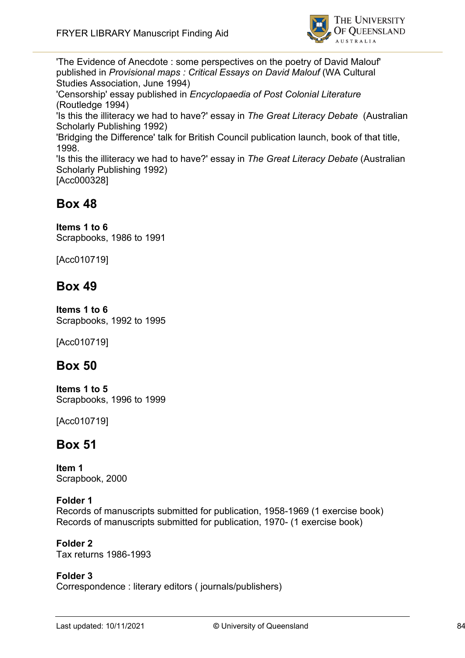

'The Evidence of Anecdote : some perspectives on the poetry of David Malouf' published in *Provisional maps : Critical Essays on David Malouf* (WA Cultural Studies Association, June 1994) 'Censorship' essay published in *Encyclopaedia of Post Colonial Literature* (Routledge 1994) 'Is this the illiteracy we had to have?' essay in *The Great Literacy Debate* (Australian Scholarly Publishing 1992) 'Bridging the Difference' talk for British Council publication launch, book of that title, 1998. 'Is this the illiteracy we had to have?' essay in *The Great Literacy Debate* (Australian Scholarly Publishing 1992) [Acc000328]

# **Box 48**

# **Items 1 to 6**

Scrapbooks, 1986 to 1991

[Acc010719]

# **Box 49**

**Items 1 to 6** Scrapbooks, 1992 to 1995

[Acc010719]

# **Box 50**

**Items 1 to 5** Scrapbooks, 1996 to 1999

[Acc010719]

# **Box 51**

**Item 1** Scrapbook, 2000

## **Folder 1**

Records of manuscripts submitted for publication, 1958-1969 (1 exercise book) Records of manuscripts submitted for publication, 1970- (1 exercise book)

## **Folder 2**

Tax returns 1986-1993

## **Folder 3**

Correspondence : literary editors ( journals/publishers)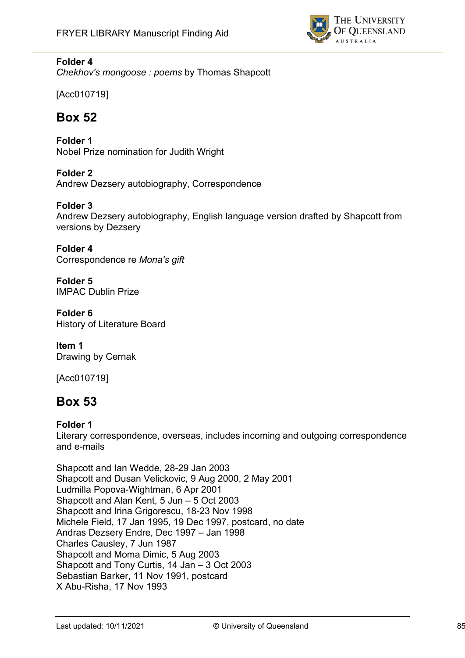

*Chekhov's mongoose : poems* by Thomas Shapcott

[Acc010719]

# **Box 52**

**Folder 1** Nobel Prize nomination for Judith Wright

**Folder 2** Andrew Dezsery autobiography, Correspondence

**Folder 3**

Andrew Dezsery autobiography, English language version drafted by Shapcott from versions by Dezsery

**Folder 4** Correspondence re *Mona's gift*

**Folder 5** IMPAC Dublin Prize

**Folder 6** History of Literature Board

**Item 1** Drawing by Cernak

[Acc010719]

# **Box 53**

## **Folder 1**

Literary correspondence, overseas, includes incoming and outgoing correspondence and e-mails

Shapcott and Ian Wedde, 28-29 Jan 2003 Shapcott and Dusan Velickovic, 9 Aug 2000, 2 May 2001 Ludmilla Popova-Wightman, 6 Apr 2001 Shapcott and Alan Kent, 5 Jun – 5 Oct 2003 Shapcott and Irina Grigorescu, 18-23 Nov 1998 Michele Field, 17 Jan 1995, 19 Dec 1997, postcard, no date Andras Dezsery Endre, Dec 1997 – Jan 1998 Charles Causley, 7 Jun 1987 Shapcott and Moma Dimic, 5 Aug 2003 Shapcott and Tony Curtis, 14 Jan – 3 Oct 2003 Sebastian Barker, 11 Nov 1991, postcard X Abu-Risha, 17 Nov 1993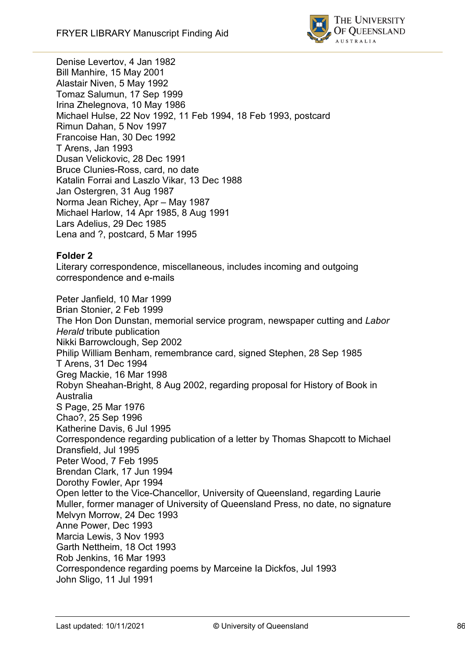

Denise Levertov, 4 Jan 1982 Bill Manhire, 15 May 2001 Alastair Niven, 5 May 1992 Tomaz Salumun, 17 Sep 1999 Irina Zhelegnova, 10 May 1986 Michael Hulse, 22 Nov 1992, 11 Feb 1994, 18 Feb 1993, postcard Rimun Dahan, 5 Nov 1997 Francoise Han, 30 Dec 1992 T Arens, Jan 1993 Dusan Velickovic, 28 Dec 1991 Bruce Clunies-Ross, card, no date Katalin Forrai and Laszlo Vikar, 13 Dec 1988 Jan Ostergren, 31 Aug 1987 Norma Jean Richey, Apr – May 1987 Michael Harlow, 14 Apr 1985, 8 Aug 1991 Lars Adelius, 29 Dec 1985 Lena and ?, postcard, 5 Mar 1995

## **Folder 2**

Literary correspondence, miscellaneous, includes incoming and outgoing correspondence and e-mails

Peter Janfield, 10 Mar 1999 Brian Stonier, 2 Feb 1999 The Hon Don Dunstan, memorial service program, newspaper cutting and *Labor Herald* tribute publication Nikki Barrowclough, Sep 2002 Philip William Benham, remembrance card, signed Stephen, 28 Sep 1985 T Arens, 31 Dec 1994 Greg Mackie, 16 Mar 1998 Robyn Sheahan-Bright, 8 Aug 2002, regarding proposal for History of Book in Australia S Page, 25 Mar 1976 Chao?, 25 Sep 1996 Katherine Davis, 6 Jul 1995 Correspondence regarding publication of a letter by Thomas Shapcott to Michael Dransfield, Jul 1995 Peter Wood, 7 Feb 1995 Brendan Clark, 17 Jun 1994 Dorothy Fowler, Apr 1994 Open letter to the Vice-Chancellor, University of Queensland, regarding Laurie Muller, former manager of University of Queensland Press, no date, no signature Melvyn Morrow, 24 Dec 1993 Anne Power, Dec 1993 Marcia Lewis, 3 Nov 1993 Garth Nettheim, 18 Oct 1993 Rob Jenkins, 16 Mar 1993 Correspondence regarding poems by Marceine Ia Dickfos, Jul 1993 John Sligo, 11 Jul 1991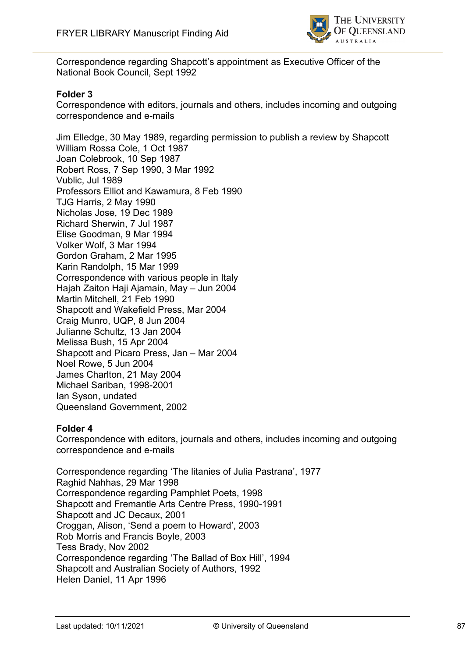

Correspondence regarding Shapcott's appointment as Executive Officer of the National Book Council, Sept 1992

### **Folder 3**

Correspondence with editors, journals and others, includes incoming and outgoing correspondence and e-mails

Jim Elledge, 30 May 1989, regarding permission to publish a review by Shapcott William Rossa Cole, 1 Oct 1987 Joan Colebrook, 10 Sep 1987 Robert Ross, 7 Sep 1990, 3 Mar 1992 Vublic, Jul 1989 Professors Elliot and Kawamura, 8 Feb 1990 TJG Harris, 2 May 1990 Nicholas Jose, 19 Dec 1989 Richard Sherwin, 7 Jul 1987 Elise Goodman, 9 Mar 1994 Volker Wolf, 3 Mar 1994 Gordon Graham, 2 Mar 1995 Karin Randolph, 15 Mar 1999 Correspondence with various people in Italy Hajah Zaiton Haji Ajamain, May – Jun 2004 Martin Mitchell, 21 Feb 1990 Shapcott and Wakefield Press, Mar 2004 Craig Munro, UQP, 8 Jun 2004 Julianne Schultz, 13 Jan 2004 Melissa Bush, 15 Apr 2004 Shapcott and Picaro Press, Jan – Mar 2004 Noel Rowe, 5 Jun 2004 James Charlton, 21 May 2004 Michael Sariban, 1998-2001 Ian Syson, undated Queensland Government, 2002

#### **Folder 4**

Correspondence with editors, journals and others, includes incoming and outgoing correspondence and e-mails

Correspondence regarding 'The litanies of Julia Pastrana', 1977 Raghid Nahhas, 29 Mar 1998 Correspondence regarding Pamphlet Poets, 1998 Shapcott and Fremantle Arts Centre Press, 1990-1991 Shapcott and JC Decaux, 2001 Croggan, Alison, 'Send a poem to Howard', 2003 Rob Morris and Francis Boyle, 2003 Tess Brady, Nov 2002 Correspondence regarding 'The Ballad of Box Hill', 1994 Shapcott and Australian Society of Authors, 1992 Helen Daniel, 11 Apr 1996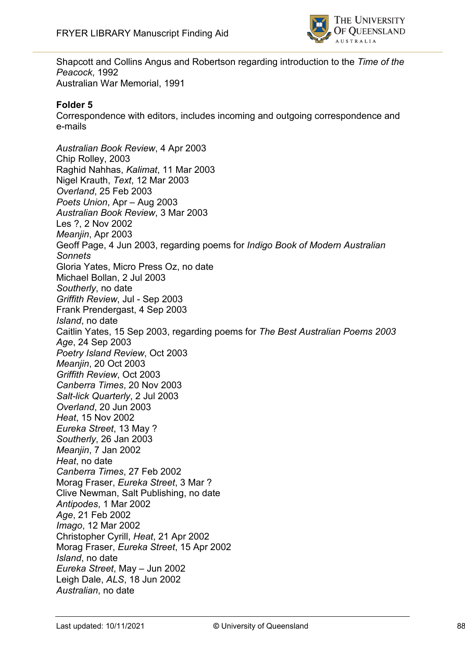

Shapcott and Collins Angus and Robertson regarding introduction to the *Time of the Peacock*, 1992 Australian War Memorial, 1991

#### **Folder 5**

Correspondence with editors, includes incoming and outgoing correspondence and e-mails

*Australian Book Review*, 4 Apr 2003 Chip Rolley, 2003 Raghid Nahhas, *Kalimat*, 11 Mar 2003 Nigel Krauth, *Text*, 12 Mar 2003 *Overland*, 25 Feb 2003 *Poets Union*, Apr – Aug 2003 *Australian Book Review*, 3 Mar 2003 Les ?, 2 Nov 2002 *Meanjin*, Apr 2003 Geoff Page, 4 Jun 2003, regarding poems for *Indigo Book of Modern Australian Sonnets* Gloria Yates, Micro Press Oz, no date Michael Bollan, 2 Jul 2003 *Southerly*, no date *Griffith Review*, Jul - Sep 2003 Frank Prendergast, 4 Sep 2003 *Island*, no date Caitlin Yates, 15 Sep 2003, regarding poems for *The Best Australian Poems 2003 Age*, 24 Sep 2003 *Poetry Island Review*, Oct 2003 *Meanjin*, 20 Oct 2003 *Griffith Review*, Oct 2003 *Canberra Times*, 20 Nov 2003 *Salt-lick Quarterly*, 2 Jul 2003 *Overland*, 20 Jun 2003 *Heat*, 15 Nov 2002 *Eureka Street*, 13 May ? *Southerly*, 26 Jan 2003 *Meanjin*, 7 Jan 2002 *Heat*, no date *Canberra Times*, 27 Feb 2002 Morag Fraser, *Eureka Street*, 3 Mar ? Clive Newman, Salt Publishing, no date *Antipodes*, 1 Mar 2002 *Age*, 21 Feb 2002 *Imago*, 12 Mar 2002 Christopher Cyrill, *Heat*, 21 Apr 2002 Morag Fraser, *Eureka Street*, 15 Apr 2002 *Island*, no date *Eureka Street*, May – Jun 2002 Leigh Dale, *ALS*, 18 Jun 2002 *Australian*, no date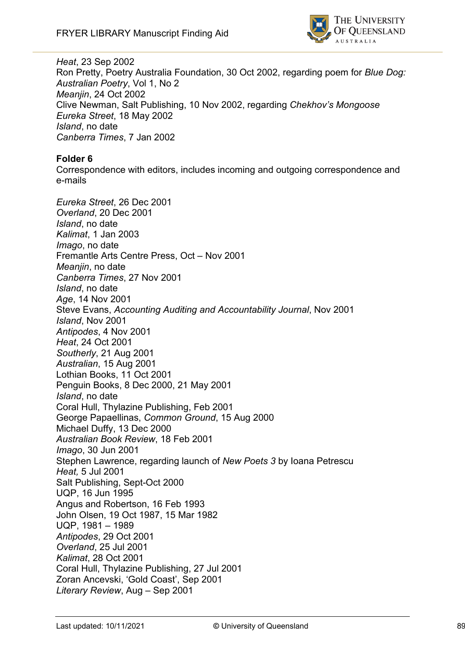

*Heat*, 23 Sep 2002 Ron Pretty, Poetry Australia Foundation, 30 Oct 2002, regarding poem for *Blue Dog: Australian Poetry*, Vol 1, No 2 *Meanjin*, 24 Oct 2002 Clive Newman, Salt Publishing, 10 Nov 2002, regarding *Chekhov's Mongoose Eureka Street*, 18 May 2002 *Island*, no date *Canberra Times*, 7 Jan 2002

## **Folder 6**

Correspondence with editors, includes incoming and outgoing correspondence and e-mails

*Eureka Street*, 26 Dec 2001 *Overland*, 20 Dec 2001 *Island*, no date *Kalimat*, 1 Jan 2003 *Imago*, no date Fremantle Arts Centre Press, Oct – Nov 2001 *Meanjin*, no date *Canberra Times*, 27 Nov 2001 *Island*, no date *Age*, 14 Nov 2001 Steve Evans, *Accounting Auditing and Accountability Journal*, Nov 2001 *Island*, Nov 2001 *Antipodes*, 4 Nov 2001 *Heat*, 24 Oct 2001 *Southerly*, 21 Aug 2001 *Australian*, 15 Aug 2001 Lothian Books, 11 Oct 2001 Penguin Books, 8 Dec 2000, 21 May 2001 *Island*, no date Coral Hull, Thylazine Publishing, Feb 2001 George Papaellinas, *Common Ground*, 15 Aug 2000 Michael Duffy, 13 Dec 2000 *Australian Book Review*, 18 Feb 2001 *Imago*, 30 Jun 2001 Stephen Lawrence, regarding launch of *New Poets 3* by Ioana Petrescu *Heat,* 5 Jul 2001 Salt Publishing, Sept-Oct 2000 UQP, 16 Jun 1995 Angus and Robertson, 16 Feb 1993 John Olsen, 19 Oct 1987, 15 Mar 1982 UQP, 1981 – 1989 *Antipodes*, 29 Oct 2001 *Overland*, 25 Jul 2001 *Kalimat*, 28 Oct 2001 Coral Hull, Thylazine Publishing, 27 Jul 2001 Zoran Ancevski, 'Gold Coast', Sep 2001 *Literary Review*, Aug – Sep 2001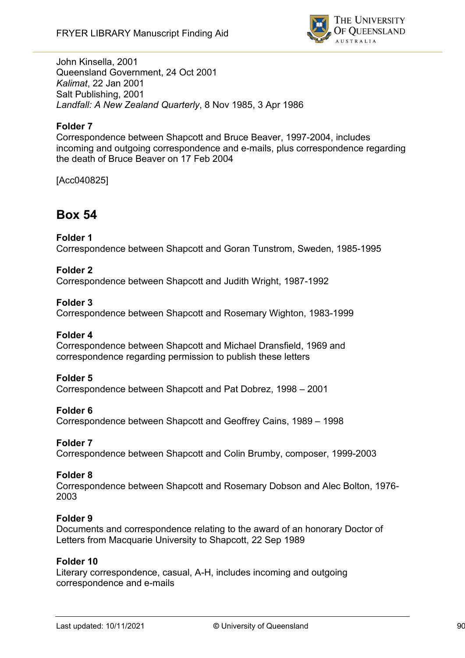

John Kinsella, 2001 Queensland Government, 24 Oct 2001 *Kalimat*, 22 Jan 2001 Salt Publishing, 2001 *Landfall: A New Zealand Quarterly*, 8 Nov 1985, 3 Apr 1986

## **Folder 7**

Correspondence between Shapcott and Bruce Beaver, 1997-2004, includes incoming and outgoing correspondence and e-mails, plus correspondence regarding the death of Bruce Beaver on 17 Feb 2004

[Acc040825]

# **Box 54**

#### **Folder 1**

Correspondence between Shapcott and Goran Tunstrom, Sweden, 1985-1995

#### **Folder 2**

Correspondence between Shapcott and Judith Wright, 1987-1992

#### **Folder 3**

Correspondence between Shapcott and Rosemary Wighton, 1983-1999

#### **Folder 4**

Correspondence between Shapcott and Michael Dransfield, 1969 and correspondence regarding permission to publish these letters

#### **Folder 5**

Correspondence between Shapcott and Pat Dobrez, 1998 – 2001

#### **Folder 6**

Correspondence between Shapcott and Geoffrey Cains, 1989 – 1998

#### **Folder 7**

Correspondence between Shapcott and Colin Brumby, composer, 1999-2003

#### **Folder 8**

Correspondence between Shapcott and Rosemary Dobson and Alec Bolton, 1976- 2003

#### **Folder 9**

Documents and correspondence relating to the award of an honorary Doctor of Letters from Macquarie University to Shapcott, 22 Sep 1989

#### **Folder 10**

Literary correspondence, casual, A-H, includes incoming and outgoing correspondence and e-mails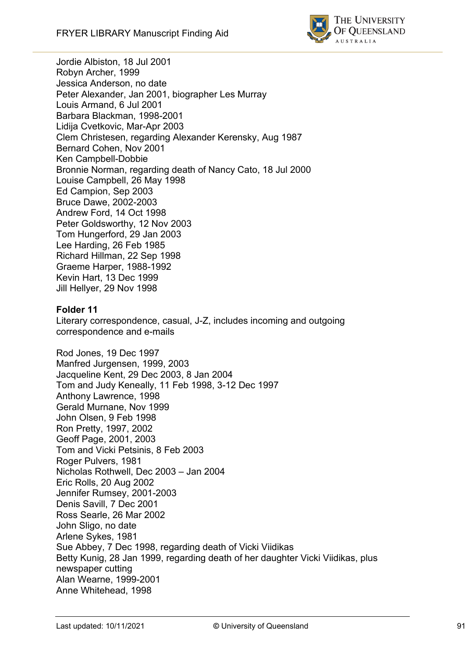

Jordie Albiston, 18 Jul 2001 Robyn Archer, 1999 Jessica Anderson, no date Peter Alexander, Jan 2001, biographer Les Murray Louis Armand, 6 Jul 2001 Barbara Blackman, 1998-2001 Lidija Cvetkovic, Mar-Apr 2003 Clem Christesen, regarding Alexander Kerensky, Aug 1987 Bernard Cohen, Nov 2001 Ken Campbell-Dobbie Bronnie Norman, regarding death of Nancy Cato, 18 Jul 2000 Louise Campbell, 26 May 1998 Ed Campion, Sep 2003 Bruce Dawe, 2002-2003 Andrew Ford, 14 Oct 1998 Peter Goldsworthy, 12 Nov 2003 Tom Hungerford, 29 Jan 2003 Lee Harding, 26 Feb 1985 Richard Hillman, 22 Sep 1998 Graeme Harper, 1988-1992 Kevin Hart, 13 Dec 1999 Jill Hellyer, 29 Nov 1998

## **Folder 11**

Literary correspondence, casual, J-Z, includes incoming and outgoing correspondence and e-mails

Rod Jones, 19 Dec 1997 Manfred Jurgensen, 1999, 2003 Jacqueline Kent, 29 Dec 2003, 8 Jan 2004 Tom and Judy Keneally, 11 Feb 1998, 3-12 Dec 1997 Anthony Lawrence, 1998 Gerald Murnane, Nov 1999 John Olsen, 9 Feb 1998 Ron Pretty, 1997, 2002 Geoff Page, 2001, 2003 Tom and Vicki Petsinis, 8 Feb 2003 Roger Pulvers, 1981 Nicholas Rothwell, Dec 2003 – Jan 2004 Eric Rolls, 20 Aug 2002 Jennifer Rumsey, 2001-2003 Denis Savill, 7 Dec 2001 Ross Searle, 26 Mar 2002 John Sligo, no date Arlene Sykes, 1981 Sue Abbey, 7 Dec 1998, regarding death of Vicki Viidikas Betty Kunig, 28 Jan 1999, regarding death of her daughter Vicki Viidikas, plus newspaper cutting Alan Wearne, 1999-2001 Anne Whitehead, 1998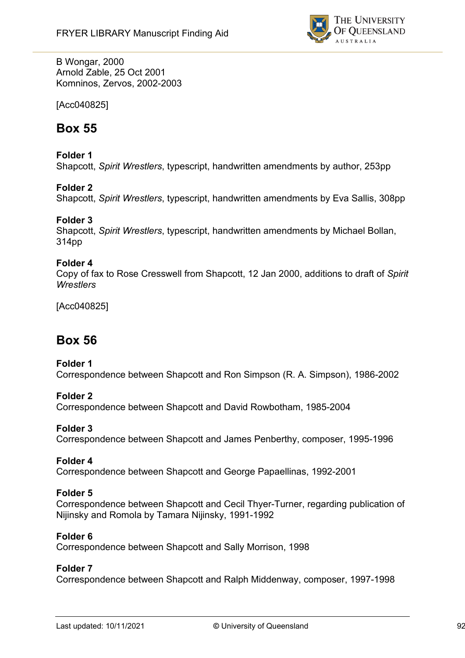

B Wongar, 2000 Arnold Zable, 25 Oct 2001 Komninos, Zervos, 2002-2003

[Acc040825]

# **Box 55**

## **Folder 1**

Shapcott, *Spirit Wrestlers*, typescript, handwritten amendments by author, 253pp

## **Folder 2**

Shapcott, *Spirit Wrestlers*, typescript, handwritten amendments by Eva Sallis, 308pp

## **Folder 3**

Shapcott, *Spirit Wrestlers*, typescript, handwritten amendments by Michael Bollan, 314pp

#### **Folder 4**

Copy of fax to Rose Cresswell from Shapcott, 12 Jan 2000, additions to draft of *Spirit Wrestlers*

[Acc040825]

# **Box 56**

#### **Folder 1**

Correspondence between Shapcott and Ron Simpson (R. A. Simpson), 1986-2002

#### **Folder 2**

Correspondence between Shapcott and David Rowbotham, 1985-2004

#### **Folder 3**

Correspondence between Shapcott and James Penberthy, composer, 1995-1996

#### **Folder 4**

Correspondence between Shapcott and George Papaellinas, 1992-2001

#### **Folder 5**

Correspondence between Shapcott and Cecil Thyer-Turner, regarding publication of Nijinsky and Romola by Tamara Nijinsky, 1991-1992

#### **Folder 6**

Correspondence between Shapcott and Sally Morrison, 1998

#### **Folder 7**

Correspondence between Shapcott and Ralph Middenway, composer, 1997-1998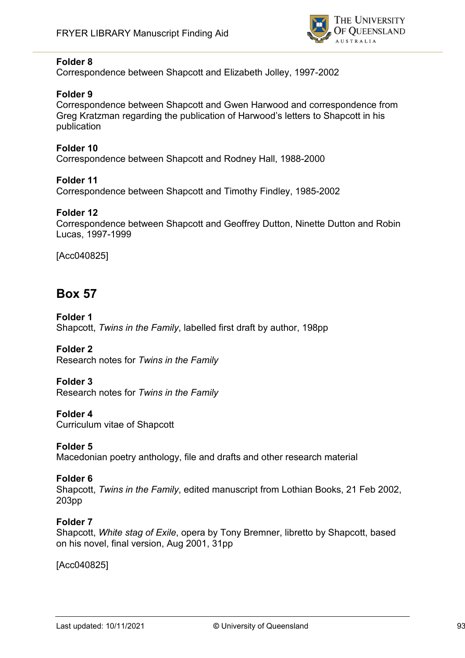

Correspondence between Shapcott and Elizabeth Jolley, 1997-2002

## **Folder 9**

Correspondence between Shapcott and Gwen Harwood and correspondence from Greg Kratzman regarding the publication of Harwood's letters to Shapcott in his publication

### **Folder 10**

Correspondence between Shapcott and Rodney Hall, 1988-2000

#### **Folder 11**

Correspondence between Shapcott and Timothy Findley, 1985-2002

#### **Folder 12**

Correspondence between Shapcott and Geoffrey Dutton, Ninette Dutton and Robin Lucas, 1997-1999

[Acc040825]

# **Box 57**

#### **Folder 1** Shapcott, *Twins in the Family*, labelled first draft by author, 198pp

**Folder 2**

Research notes for *Twins in the Family*

## **Folder 3**

Research notes for *Twins in the Family*

#### **Folder 4**

Curriculum vitae of Shapcott

## **Folder 5**

Macedonian poetry anthology, file and drafts and other research material

#### **Folder 6**

Shapcott, *Twins in the Family*, edited manuscript from Lothian Books, 21 Feb 2002, 203pp

#### **Folder 7**

Shapcott, *White stag of Exile*, opera by Tony Bremner, libretto by Shapcott, based on his novel, final version, Aug 2001, 31pp

[Acc040825]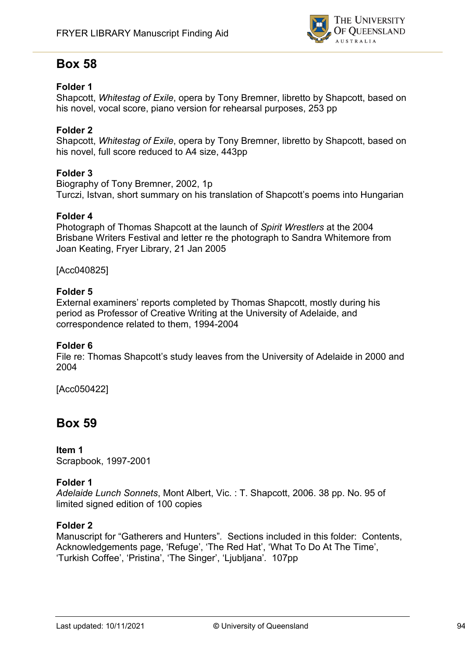

# **Box 58**

## **Folder 1**

Shapcott, *Whitestag of Exile*, opera by Tony Bremner, libretto by Shapcott, based on his novel, vocal score, piano version for rehearsal purposes, 253 pp

## **Folder 2**

Shapcott, *Whitestag of Exile*, opera by Tony Bremner, libretto by Shapcott, based on his novel, full score reduced to A4 size, 443pp

## **Folder 3**

Biography of Tony Bremner, 2002, 1p Turczi, Istvan, short summary on his translation of Shapcott's poems into Hungarian

## **Folder 4**

Photograph of Thomas Shapcott at the launch of *Spirit Wrestlers* at the 2004 Brisbane Writers Festival and letter re the photograph to Sandra Whitemore from Joan Keating, Fryer Library, 21 Jan 2005

[Acc040825]

#### **Folder 5**

External examiners' reports completed by Thomas Shapcott, mostly during his period as Professor of Creative Writing at the University of Adelaide, and correspondence related to them, 1994-2004

#### **Folder 6**

File re: Thomas Shapcott's study leaves from the University of Adelaide in 2000 and 2004

[Acc050422]

# **Box 59**

**Item 1** Scrapbook, 1997-2001

## **Folder 1**

*Adelaide Lunch Sonnets*, Mont Albert, Vic. : T. Shapcott, 2006. 38 pp. No. 95 of limited signed edition of 100 copies

## **Folder 2**

Manuscript for "Gatherers and Hunters"*.* Sections included in this folder: Contents, Acknowledgements page, 'Refuge', 'The Red Hat', 'What To Do At The Time', 'Turkish Coffee', 'Pristina', 'The Singer', 'Ljubljana'*.* 107pp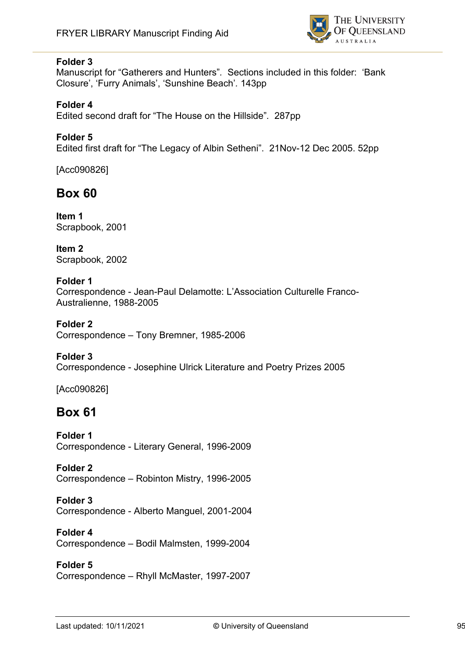

Manuscript for "Gatherers and Hunters"*.* Sections included in this folder: 'Bank Closure', 'Furry Animals', 'Sunshine Beach'*.* 143pp

## **Folder 4**

Edited second draft for "The House on the Hillside"*.* 287pp

## **Folder 5**

Edited first draft for "The Legacy of Albin Setheni". 21Nov-12 Dec 2005. 52pp

[Acc090826]

# **Box 60**

**Item 1** Scrapbook, 2001

**Item 2** Scrapbook, 2002

### **Folder 1**

Correspondence - Jean-Paul Delamotte: L'Association Culturelle Franco-Australienne, 1988-2005

**Folder 2** Correspondence – Tony Bremner, 1985-2006

**Folder 3** Correspondence - Josephine Ulrick Literature and Poetry Prizes 2005

[Acc090826]

# **Box 61**

**Folder 1** Correspondence - Literary General, 1996-2009

#### **Folder 2**

Correspondence – Robinton Mistry, 1996-2005

# **Folder 3**

Correspondence - Alberto Manguel, 2001-2004

# **Folder 4**

Correspondence – Bodil Malmsten, 1999-2004

## **Folder 5**

Correspondence – Rhyll McMaster, 1997-2007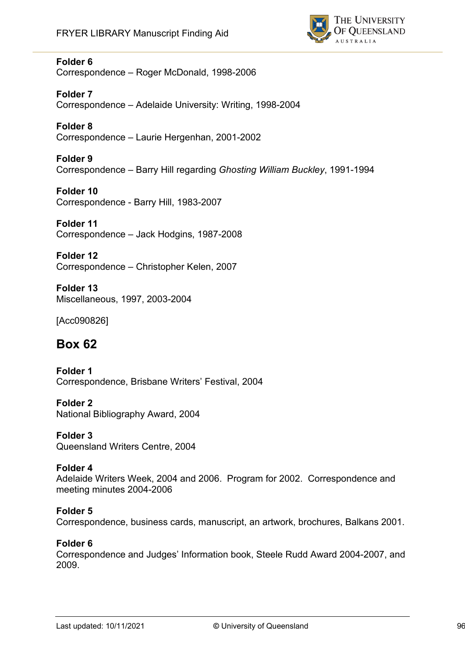

Correspondence – Roger McDonald, 1998-2006

## **Folder 7**

Correspondence – Adelaide University: Writing, 1998-2004

## **Folder 8**

Correspondence – Laurie Hergenhan, 2001-2002

## **Folder 9**

Correspondence – Barry Hill regarding *Ghosting William Buckley*, 1991-1994

#### **Folder 10** Correspondence - Barry Hill, 1983-2007

**Folder 11** Correspondence – Jack Hodgins, 1987-2008

**Folder 12** Correspondence – Christopher Kelen, 2007

**Folder 13** Miscellaneous, 1997, 2003-2004

[Acc090826]

# **Box 62**

**Folder 1**  Correspondence, Brisbane Writers' Festival, 2004

**Folder 2** National Bibliography Award, 2004

**Folder 3** Queensland Writers Centre, 2004

## **Folder 4**

Adelaide Writers Week, 2004 and 2006. Program for 2002. Correspondence and meeting minutes 2004-2006

## **Folder 5**

Correspondence, business cards, manuscript, an artwork, brochures, Balkans 2001.

## **Folder 6**

Correspondence and Judges' Information book, Steele Rudd Award 2004-2007, and 2009.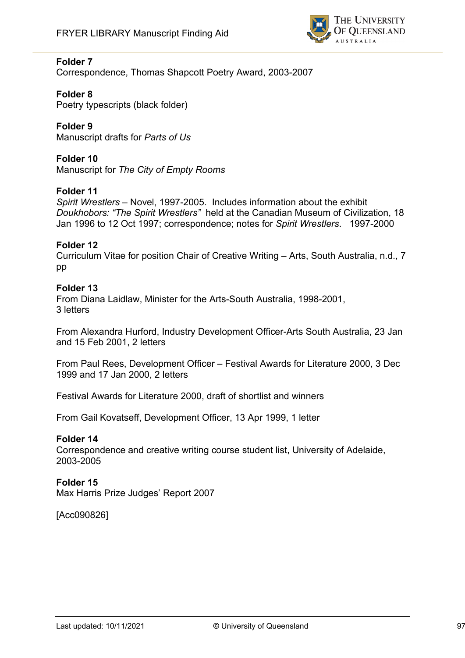

Correspondence, Thomas Shapcott Poetry Award, 2003-2007

## **Folder 8**

Poetry typescripts (black folder)

#### **Folder 9** Manuscript drafts for *Parts of Us*

# **Folder 10**

Manuscript for *The City of Empty Rooms*

## **Folder 11**

*Spirit Wrestlers* – Novel, 1997-2005. Includes information about the exhibit *Doukhobors: "The Spirit Wrestlers"* held at the Canadian Museum of Civilization, 18 Jan 1996 to 12 Oct 1997; correspondence; notes for *Spirit Wrestlers*. 1997-2000

## **Folder 12**

Curriculum Vitae for position Chair of Creative Writing – Arts, South Australia, n.d., 7 pp

## **Folder 13**

From Diana Laidlaw, Minister for the Arts-South Australia, 1998-2001, 3 letters

From Alexandra Hurford, Industry Development Officer-Arts South Australia, 23 Jan and 15 Feb 2001, 2 letters

From Paul Rees, Development Officer – Festival Awards for Literature 2000, 3 Dec 1999 and 17 Jan 2000, 2 letters

Festival Awards for Literature 2000, draft of shortlist and winners

From Gail Kovatseff, Development Officer, 13 Apr 1999, 1 letter

## **Folder 14**

Correspondence and creative writing course student list, University of Adelaide, 2003-2005

## **Folder 15**

Max Harris Prize Judges' Report 2007

[Acc090826]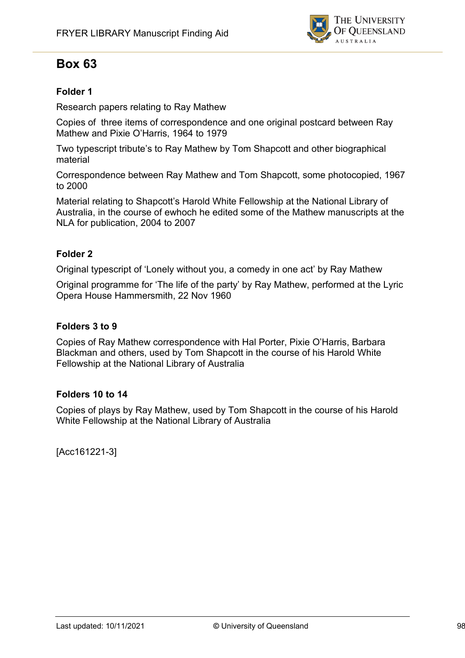

# **Box 63**

## **Folder 1**

Research papers relating to Ray Mathew

Copies of three items of correspondence and one original postcard between Ray Mathew and Pixie O'Harris, 1964 to 1979

Two typescript tribute's to Ray Mathew by Tom Shapcott and other biographical material

Correspondence between Ray Mathew and Tom Shapcott, some photocopied, 1967 to 2000

Material relating to Shapcott's Harold White Fellowship at the National Library of Australia, in the course of ewhoch he edited some of the Mathew manuscripts at the NLA for publication, 2004 to 2007

## **Folder 2**

Original typescript of 'Lonely without you, a comedy in one act' by Ray Mathew

Original programme for 'The life of the party' by Ray Mathew, performed at the Lyric Opera House Hammersmith, 22 Nov 1960

## **Folders 3 to 9**

Copies of Ray Mathew correspondence with Hal Porter, Pixie O'Harris, Barbara Blackman and others, used by Tom Shapcott in the course of his Harold White Fellowship at the National Library of Australia

## **Folders 10 to 14**

Copies of plays by Ray Mathew, used by Tom Shapcott in the course of his Harold White Fellowship at the National Library of Australia

[Acc161221-3]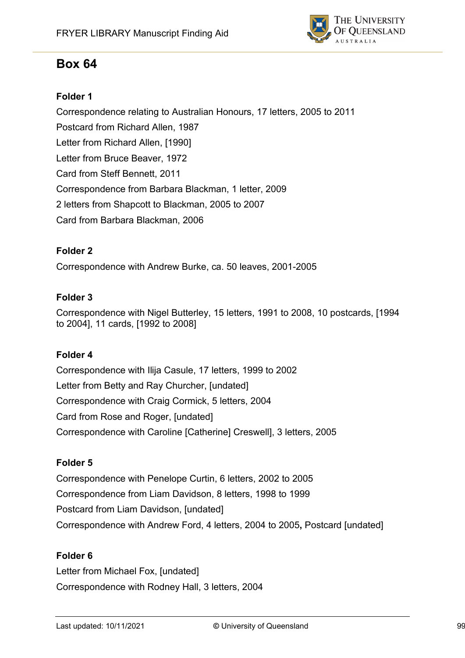

# **Box 64**

## **Folder 1**

Correspondence relating to Australian Honours, 17 letters, 2005 to 2011 Postcard from Richard Allen, 1987 Letter from Richard Allen, [1990] Letter from Bruce Beaver, 1972 Card from Steff Bennett, 2011 Correspondence from Barbara Blackman, 1 letter, 2009 2 letters from Shapcott to Blackman, 2005 to 2007 Card from Barbara Blackman, 2006

## **Folder 2**

Correspondence with Andrew Burke, ca. 50 leaves, 2001-2005

## **Folder 3**

Correspondence with Nigel Butterley, 15 letters, 1991 to 2008, 10 postcards, [1994 to 2004], 11 cards, [1992 to 2008]

## **Folder 4**

Correspondence with Ilija Casule, 17 letters, 1999 to 2002 Letter from Betty and Ray Churcher, [undated] Correspondence with Craig Cormick, 5 letters, 2004 Card from Rose and Roger, [undated] Correspondence with Caroline [Catherine] Creswell], 3 letters, 2005

## **Folder 5**

Correspondence with Penelope Curtin, 6 letters, 2002 to 2005 Correspondence from Liam Davidson, 8 letters, 1998 to 1999 Postcard from Liam Davidson, [undated] Correspondence with Andrew Ford, 4 letters, 2004 to 2005**,** Postcard [undated]

## **Folder 6**

Letter from Michael Fox, [undated] Correspondence with Rodney Hall, 3 letters, 2004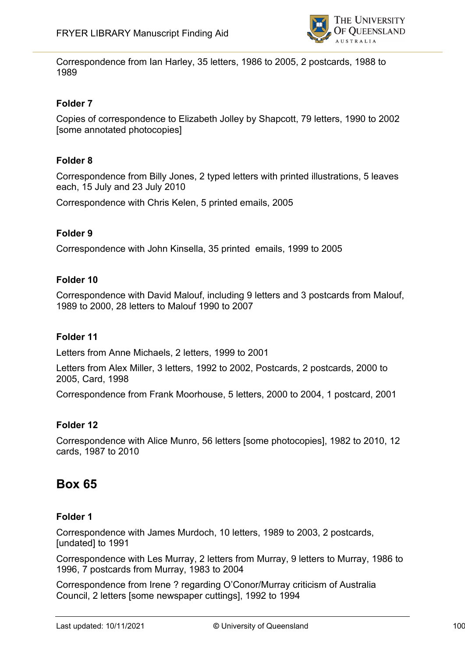

Correspondence from Ian Harley, 35 letters, 1986 to 2005, 2 postcards, 1988 to 1989

## **Folder 7**

Copies of correspondence to Elizabeth Jolley by Shapcott, 79 letters, 1990 to 2002 [some annotated photocopies]

## **Folder 8**

Correspondence from Billy Jones, 2 typed letters with printed illustrations, 5 leaves each, 15 July and 23 July 2010

Correspondence with Chris Kelen, 5 printed emails, 2005

## **Folder 9**

Correspondence with John Kinsella, 35 printed emails, 1999 to 2005

#### **Folder 10**

Correspondence with David Malouf, including 9 letters and 3 postcards from Malouf, 1989 to 2000, 28 letters to Malouf 1990 to 2007

## **Folder 11**

Letters from Anne Michaels, 2 letters, 1999 to 2001

Letters from Alex Miller, 3 letters, 1992 to 2002, Postcards, 2 postcards, 2000 to 2005, Card, 1998

Correspondence from Frank Moorhouse, 5 letters, 2000 to 2004, 1 postcard, 2001

#### **Folder 12**

Correspondence with Alice Munro, 56 letters [some photocopies], 1982 to 2010, 12 cards, 1987 to 2010

# **Box 65**

## **Folder 1**

Correspondence with James Murdoch, 10 letters, 1989 to 2003, 2 postcards, [undated] to 1991

Correspondence with Les Murray, 2 letters from Murray, 9 letters to Murray, 1986 to 1996, 7 postcards from Murray, 1983 to 2004

Correspondence from Irene ? regarding O'Conor/Murray criticism of Australia Council, 2 letters [some newspaper cuttings], 1992 to 1994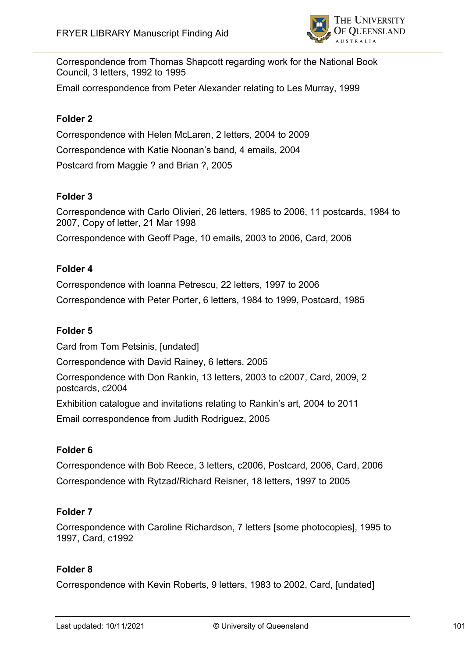

Correspondence from Thomas Shapcott regarding work for the National Book Council, 3 letters, 1992 to 1995

Email correspondence from Peter Alexander relating to Les Murray, 1999

## **Folder 2**

Correspondence with Helen McLaren, 2 letters, 2004 to 2009 Correspondence with Katie Noonan's band, 4 emails, 2004 Postcard from Maggie ? and Brian ?, 2005

## **Folder 3**

Correspondence with Carlo Olivieri, 26 letters, 1985 to 2006, 11 postcards, 1984 to 2007, Copy of letter, 21 Mar 1998 Correspondence with Geoff Page, 10 emails, 2003 to 2006, Card, 2006

#### **Folder 4**

Correspondence with Ioanna Petrescu, 22 letters, 1997 to 2006 Correspondence with Peter Porter, 6 letters, 1984 to 1999, Postcard, 1985

### **Folder 5**

Card from Tom Petsinis, [undated] Correspondence with David Rainey, 6 letters, 2005 Correspondence with Don Rankin, 13 letters, 2003 to c2007, Card, 2009, 2 postcards, c2004 Exhibition catalogue and invitations relating to Rankin's art, 2004 to 2011 Email correspondence from Judith Rodriguez, 2005

#### **Folder 6**

Correspondence with Bob Reece, 3 letters, c2006, Postcard, 2006, Card, 2006 Correspondence with Rytzad/Richard Reisner, 18 letters, 1997 to 2005

#### **Folder 7**

Correspondence with Caroline Richardson, 7 letters [some photocopies], 1995 to 1997, Card, c1992

#### **Folder 8**

Correspondence with Kevin Roberts, 9 letters, 1983 to 2002, Card, [undated]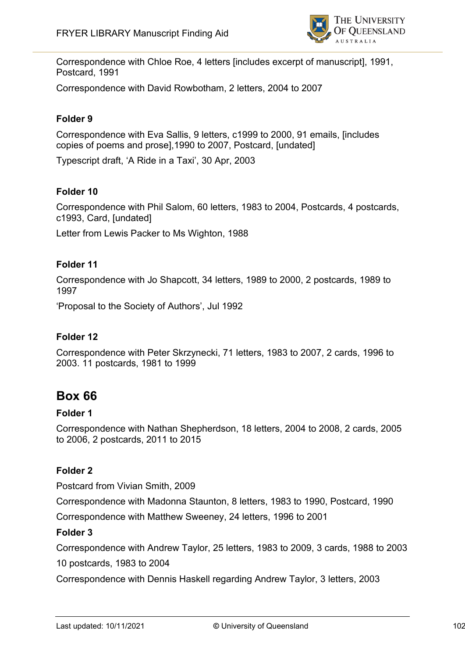

Correspondence with Chloe Roe, 4 letters [includes excerpt of manuscript], 1991, Postcard, 1991

Correspondence with David Rowbotham, 2 letters, 2004 to 2007

## **Folder 9**

Correspondence with Eva Sallis, 9 letters, c1999 to 2000, 91 emails, [includes copies of poems and prose],1990 to 2007, Postcard, [undated]

Typescript draft, 'A Ride in a Taxi', 30 Apr, 2003

## **Folder 10**

Correspondence with Phil Salom, 60 letters, 1983 to 2004, Postcards, 4 postcards, c1993, Card, [undated]

Letter from Lewis Packer to Ms Wighton, 1988

#### **Folder 11**

Correspondence with Jo Shapcott, 34 letters, 1989 to 2000, 2 postcards, 1989 to 1997

'Proposal to the Society of Authors', Jul 1992

#### **Folder 12**

Correspondence with Peter Skrzynecki, 71 letters, 1983 to 2007, 2 cards, 1996 to 2003. 11 postcards, 1981 to 1999

## **Box 66**

#### **Folder 1**

Correspondence with Nathan Shepherdson, 18 letters, 2004 to 2008, 2 cards, 2005 to 2006, 2 postcards, 2011 to 2015

### **Folder 2**

Postcard from Vivian Smith, 2009

Correspondence with Madonna Staunton, 8 letters, 1983 to 1990, Postcard, 1990

Correspondence with Matthew Sweeney, 24 letters, 1996 to 2001

#### **Folder 3**

Correspondence with Andrew Taylor, 25 letters, 1983 to 2009, 3 cards, 1988 to 2003

10 postcards, 1983 to 2004

Correspondence with Dennis Haskell regarding Andrew Taylor, 3 letters, 2003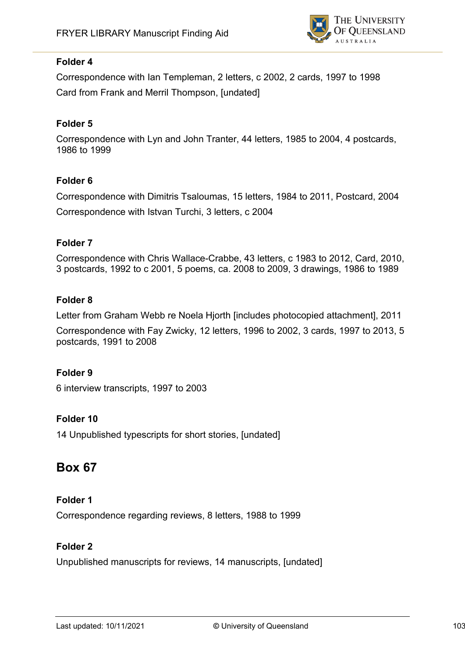

Correspondence with Ian Templeman, 2 letters, c 2002, 2 cards, 1997 to 1998 Card from Frank and Merril Thompson, [undated]

## **Folder 5**

Correspondence with Lyn and John Tranter, 44 letters, 1985 to 2004, 4 postcards, 1986 to 1999

## **Folder 6**

Correspondence with Dimitris Tsaloumas, 15 letters, 1984 to 2011, Postcard, 2004 Correspondence with Istvan Turchi, 3 letters, c 2004

## **Folder 7**

Correspondence with Chris Wallace-Crabbe, 43 letters, c 1983 to 2012, Card, 2010, 3 postcards, 1992 to c 2001, 5 poems, ca. 2008 to 2009, 3 drawings, 1986 to 1989

## **Folder 8**

Letter from Graham Webb re Noela Hjorth [includes photocopied attachment], 2011

Correspondence with Fay Zwicky, 12 letters, 1996 to 2002, 3 cards, 1997 to 2013, 5 postcards, 1991 to 2008

## **Folder 9**

6 interview transcripts, 1997 to 2003

## **Folder 10**

14 Unpublished typescripts for short stories, [undated]

# **Box 67**

## **Folder 1**

Correspondence regarding reviews, 8 letters, 1988 to 1999

## **Folder 2**

Unpublished manuscripts for reviews, 14 manuscripts, [undated]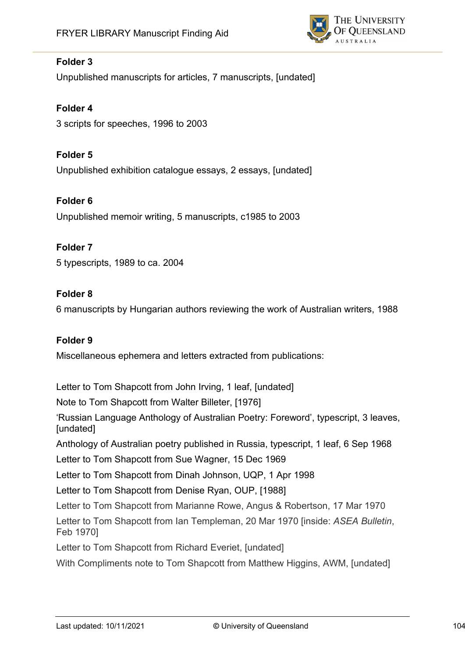

Unpublished manuscripts for articles, 7 manuscripts, [undated]

**Folder 4** 3 scripts for speeches, 1996 to 2003

## **Folder 5**

Unpublished exhibition catalogue essays, 2 essays, [undated]

## **Folder 6**

Unpublished memoir writing, 5 manuscripts, c1985 to 2003

## **Folder 7**

5 typescripts, 1989 to ca. 2004

## **Folder 8**

6 manuscripts by Hungarian authors reviewing the work of Australian writers, 1988

## **Folder 9**

Miscellaneous ephemera and letters extracted from publications:

Letter to Tom Shapcott from John Irving, 1 leaf, [undated]

Note to Tom Shapcott from Walter Billeter, [1976]

'Russian Language Anthology of Australian Poetry: Foreword', typescript, 3 leaves, [undated]

Anthology of Australian poetry published in Russia, typescript, 1 leaf, 6 Sep 1968

Letter to Tom Shapcott from Sue Wagner, 15 Dec 1969

Letter to Tom Shapcott from Dinah Johnson, UQP, 1 Apr 1998

Letter to Tom Shapcott from Denise Ryan, OUP, [1988]

Letter to Tom Shapcott from Marianne Rowe, Angus & Robertson, 17 Mar 1970

Letter to Tom Shapcott from Ian Templeman, 20 Mar 1970 [inside: *ASEA Bulletin*, Feb 1970]

Letter to Tom Shapcott from Richard Everiet, [undated]

With Compliments note to Tom Shapcott from Matthew Higgins, AWM, [undated]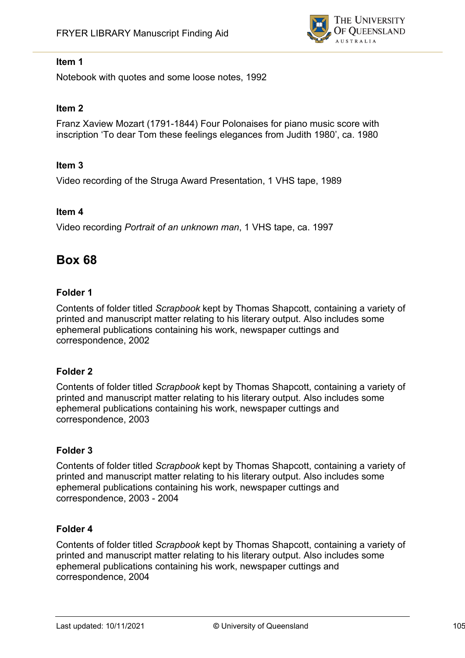

## **Item 1**

Notebook with quotes and some loose notes, 1992

## **Item 2**

Franz Xaview Mozart (1791-1844) Four Polonaises for piano music score with inscription 'To dear Tom these feelings elegances from Judith 1980', ca. 1980

### **Item 3**

Video recording of the Struga Award Presentation, 1 VHS tape, 1989

#### **Item 4**

Video recording *Portrait of an unknown man*, 1 VHS tape, ca. 1997

# **Box 68**

#### **Folder 1**

Contents of folder titled *Scrapbook* kept by Thomas Shapcott, containing a variety of printed and manuscript matter relating to his literary output. Also includes some ephemeral publications containing his work, newspaper cuttings and correspondence, 2002

## **Folder 2**

Contents of folder titled *Scrapbook* kept by Thomas Shapcott, containing a variety of printed and manuscript matter relating to his literary output. Also includes some ephemeral publications containing his work, newspaper cuttings and correspondence, 2003

## **Folder 3**

Contents of folder titled *Scrapbook* kept by Thomas Shapcott, containing a variety of printed and manuscript matter relating to his literary output. Also includes some ephemeral publications containing his work, newspaper cuttings and correspondence, 2003 - 2004

## **Folder 4**

Contents of folder titled *Scrapbook* kept by Thomas Shapcott, containing a variety of printed and manuscript matter relating to his literary output. Also includes some ephemeral publications containing his work, newspaper cuttings and correspondence, 2004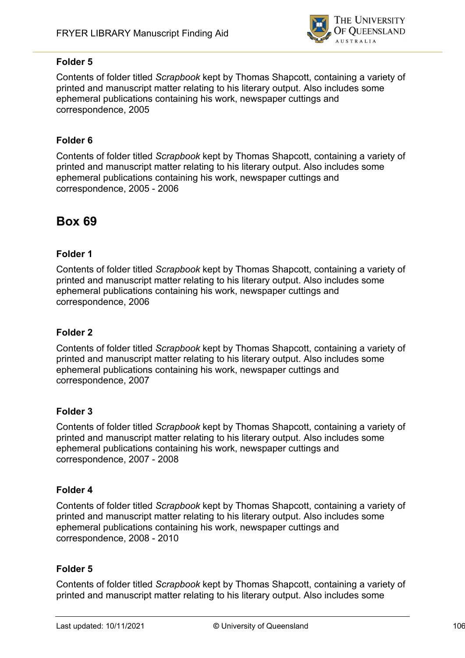

Contents of folder titled *Scrapbook* kept by Thomas Shapcott, containing a variety of printed and manuscript matter relating to his literary output. Also includes some ephemeral publications containing his work, newspaper cuttings and correspondence, 2005

## **Folder 6**

Contents of folder titled *Scrapbook* kept by Thomas Shapcott, containing a variety of printed and manuscript matter relating to his literary output. Also includes some ephemeral publications containing his work, newspaper cuttings and correspondence, 2005 - 2006

# **Box 69**

## **Folder 1**

Contents of folder titled *Scrapbook* kept by Thomas Shapcott, containing a variety of printed and manuscript matter relating to his literary output. Also includes some ephemeral publications containing his work, newspaper cuttings and correspondence, 2006

## **Folder 2**

Contents of folder titled *Scrapbook* kept by Thomas Shapcott, containing a variety of printed and manuscript matter relating to his literary output. Also includes some ephemeral publications containing his work, newspaper cuttings and correspondence, 2007

## **Folder 3**

Contents of folder titled *Scrapbook* kept by Thomas Shapcott, containing a variety of printed and manuscript matter relating to his literary output. Also includes some ephemeral publications containing his work, newspaper cuttings and correspondence, 2007 - 2008

## **Folder 4**

Contents of folder titled *Scrapbook* kept by Thomas Shapcott, containing a variety of printed and manuscript matter relating to his literary output. Also includes some ephemeral publications containing his work, newspaper cuttings and correspondence, 2008 - 2010

## **Folder 5**

Contents of folder titled *Scrapbook* kept by Thomas Shapcott, containing a variety of printed and manuscript matter relating to his literary output. Also includes some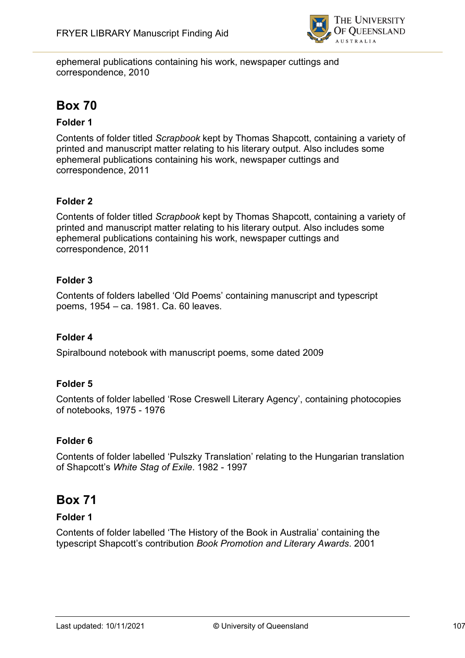

ephemeral publications containing his work, newspaper cuttings and correspondence, 2010

# **Box 70**

## **Folder 1**

Contents of folder titled *Scrapbook* kept by Thomas Shapcott, containing a variety of printed and manuscript matter relating to his literary output. Also includes some ephemeral publications containing his work, newspaper cuttings and correspondence, 2011

## **Folder 2**

Contents of folder titled *Scrapbook* kept by Thomas Shapcott, containing a variety of printed and manuscript matter relating to his literary output. Also includes some ephemeral publications containing his work, newspaper cuttings and correspondence, 2011

## **Folder 3**

Contents of folders labelled 'Old Poems' containing manuscript and typescript poems, 1954 – ca. 1981. Ca. 60 leaves.

## **Folder 4**

Spiralbound notebook with manuscript poems, some dated 2009

## **Folder 5**

Contents of folder labelled 'Rose Creswell Literary Agency', containing photocopies of notebooks, 1975 - 1976

## **Folder 6**

Contents of folder labelled 'Pulszky Translation' relating to the Hungarian translation of Shapcott's *White Stag of Exile*. 1982 - 1997

# **Box 71**

## **Folder 1**

Contents of folder labelled 'The History of the Book in Australia' containing the typescript Shapcott's contribution *Book Promotion and Literary Awards*. 2001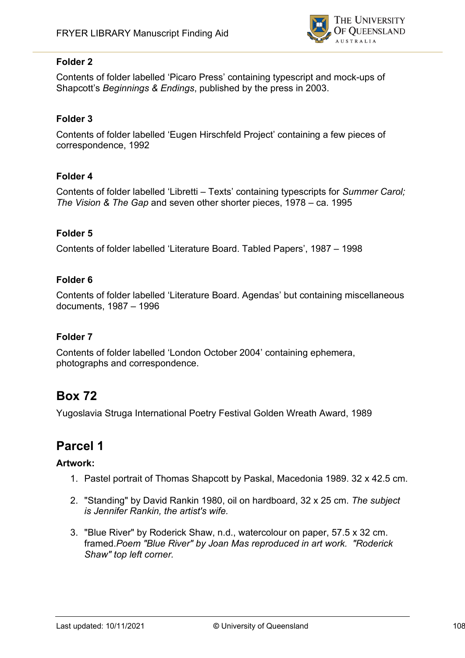

Contents of folder labelled 'Picaro Press' containing typescript and mock-ups of Shapcott's *Beginnings & Endings*, published by the press in 2003.

## **Folder 3**

Contents of folder labelled 'Eugen Hirschfeld Project' containing a few pieces of correspondence, 1992

## **Folder 4**

Contents of folder labelled 'Libretti – Texts' containing typescripts for *Summer Carol; The Vision & The Gap* and seven other shorter pieces, 1978 – ca. 1995

## **Folder 5**

Contents of folder labelled 'Literature Board. Tabled Papers', 1987 – 1998

## **Folder 6**

Contents of folder labelled 'Literature Board. Agendas' but containing miscellaneous documents, 1987 – 1996

## **Folder 7**

Contents of folder labelled 'London October 2004' containing ephemera, photographs and correspondence.

# **Box 72**

Yugoslavia Struga International Poetry Festival Golden Wreath Award, 1989

# **Parcel 1**

## **Artwork:**

- 1. Pastel portrait of Thomas Shapcott by Paskal, Macedonia 1989. 32 x 42.5 cm.
- 2. "Standing" by David Rankin 1980, oil on hardboard, 32 x 25 cm. *The subject is Jennifer Rankin, the artist's wife.*
- 3. "Blue River" by Roderick Shaw, n.d., watercolour on paper, 57.5 x 32 cm. framed.*Poem "Blue River" by Joan Mas reproduced in art work. "Roderick Shaw" top left corner.*